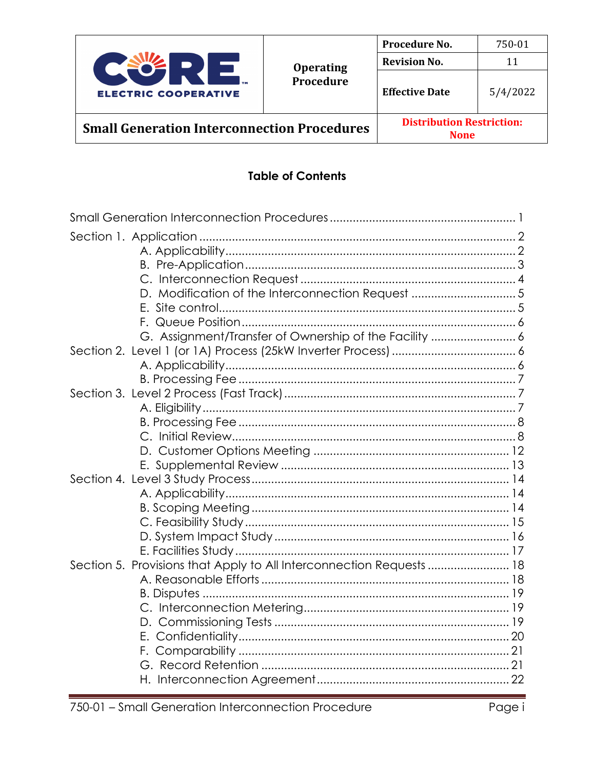

**Distribution Restriction: Small Generation Interconnection Procedures None** 

### **Table of Contents**

| D. Modification of the Interconnection Request 5                     |  |
|----------------------------------------------------------------------|--|
|                                                                      |  |
|                                                                      |  |
| G. Assignment/Transfer of Ownership of the Facility  6               |  |
|                                                                      |  |
|                                                                      |  |
|                                                                      |  |
|                                                                      |  |
|                                                                      |  |
|                                                                      |  |
|                                                                      |  |
|                                                                      |  |
|                                                                      |  |
|                                                                      |  |
|                                                                      |  |
|                                                                      |  |
|                                                                      |  |
|                                                                      |  |
|                                                                      |  |
| Section 5. Provisions that Apply to All Interconnection Requests  18 |  |
|                                                                      |  |
|                                                                      |  |
|                                                                      |  |
|                                                                      |  |
|                                                                      |  |
|                                                                      |  |
|                                                                      |  |
|                                                                      |  |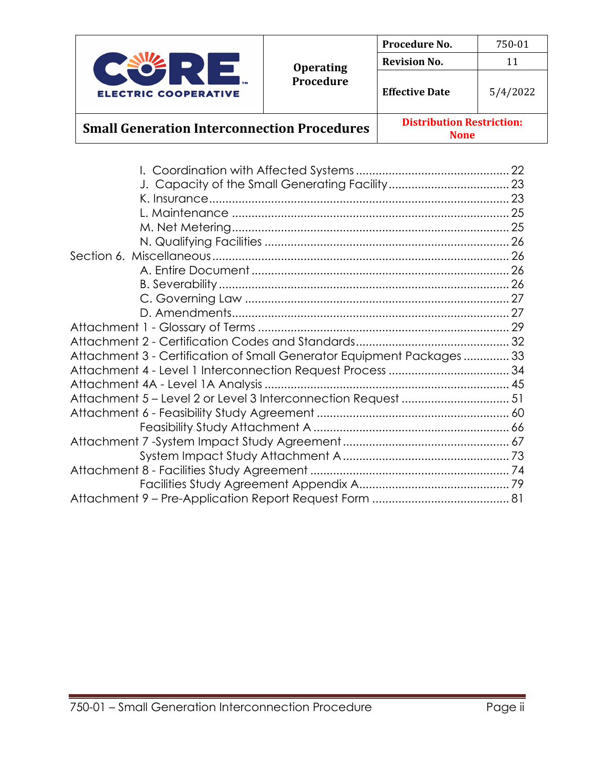

**None**

| Attachment 3 - Certification of Small Generator Equipment Packages33 |  |
|----------------------------------------------------------------------|--|
|                                                                      |  |
|                                                                      |  |
| Attachment 5 - Level 2 or Level 3 Interconnection Request 51         |  |
|                                                                      |  |
|                                                                      |  |
|                                                                      |  |
|                                                                      |  |
|                                                                      |  |
|                                                                      |  |
|                                                                      |  |
|                                                                      |  |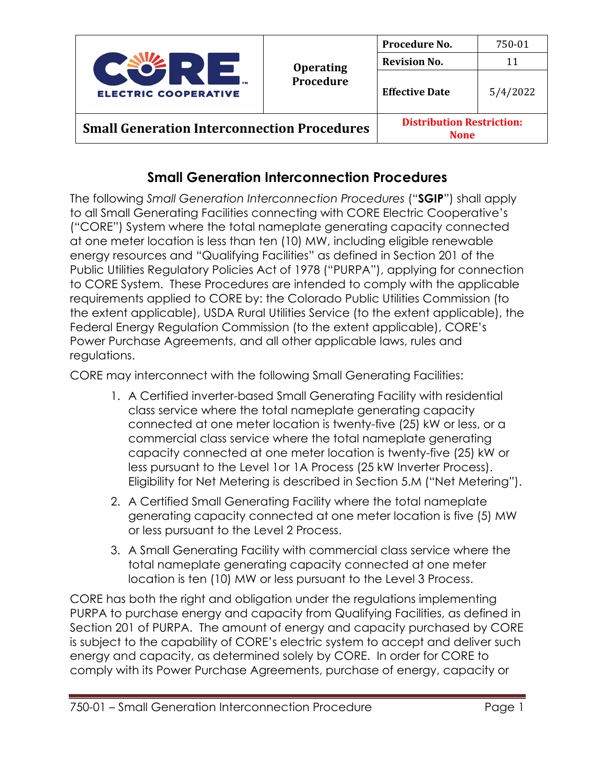

**None**

## **Small Generation Interconnection Procedures**

The following *Small Generation Interconnection Procedures* ("**SGIP**") shall apply to all Small Generating Facilities connecting with CORE Electric Cooperative's ("CORE") System where the total nameplate generating capacity connected at one meter location is less than ten (10) MW, including eligible renewable energy resources and "Qualifying Facilities" as defined in Section 201 of the Public Utilities Regulatory Policies Act of 1978 ("PURPA"), applying for connection to CORE System. These Procedures are intended to comply with the applicable requirements applied to CORE by: the Colorado Public Utilities Commission (to the extent applicable), USDA Rural Utilities Service (to the extent applicable), the Federal Energy Regulation Commission (to the extent applicable), CORE's Power Purchase Agreements, and all other applicable laws, rules and regulations.

CORE may interconnect with the following Small Generating Facilities:

- 1. A Certified inverter-based Small Generating Facility with residential class service where the total nameplate generating capacity connected at one meter location is twenty-five (25) kW or less, or a commercial class service where the total nameplate generating capacity connected at one meter location is twenty-five (25) kW or less pursuant to the Level 1or 1A Process (25 kW Inverter Process). Eligibility for Net Metering is described in Section 5.M ("Net Metering").
- 2. A Certified Small Generating Facility where the total nameplate generating capacity connected at one meter location is five (5) MW or less pursuant to the Level 2 Process.
- 3. A Small Generating Facility with commercial class service where the total nameplate generating capacity connected at one meter location is ten (10) MW or less pursuant to the Level 3 Process.

CORE has both the right and obligation under the regulations implementing PURPA to purchase energy and capacity from Qualifying Facilities, as defined in Section 201 of PURPA. The amount of energy and capacity purchased by CORE is subject to the capability of CORE's electric system to accept and deliver such energy and capacity, as determined solely by CORE. In order for CORE to comply with its Power Purchase Agreements, purchase of energy, capacity or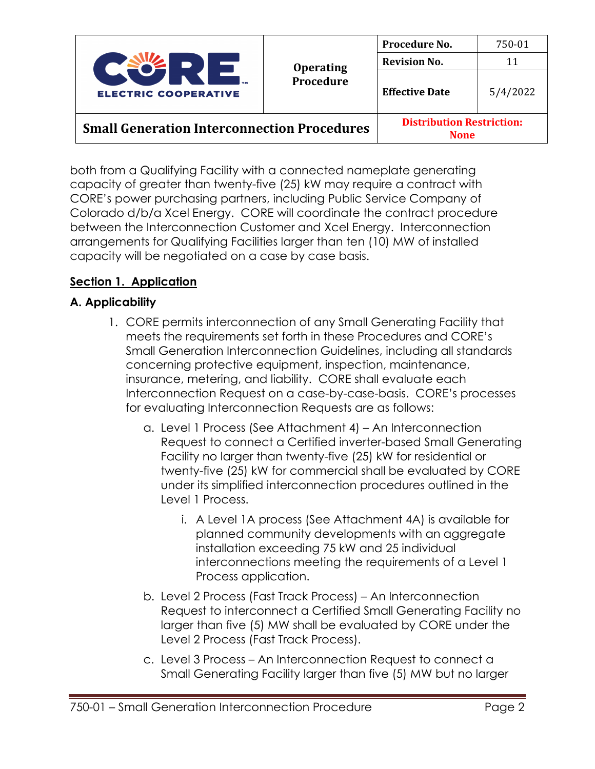

**None**

both from a Qualifying Facility with a connected nameplate generating capacity of greater than twenty-five (25) kW may require a contract with CORE's power purchasing partners, including Public Service Company of Colorado d/b/a Xcel Energy. CORE will coordinate the contract procedure between the Interconnection Customer and Xcel Energy. Interconnection arrangements for Qualifying Facilities larger than ten (10) MW of installed capacity will be negotiated on a case by case basis.

## **Section 1. Application**

## **A. Applicability**

- 1. CORE permits interconnection of any Small Generating Facility that meets the requirements set forth in these Procedures and CORE's Small Generation Interconnection Guidelines, including all standards concerning protective equipment, inspection, maintenance, insurance, metering, and liability. CORE shall evaluate each Interconnection Request on a case-by-case-basis. CORE's processes for evaluating Interconnection Requests are as follows:
	- a. Level 1 Process (See Attachment 4) An Interconnection Request to connect a Certified inverter-based Small Generating Facility no larger than twenty-five (25) kW for residential or twenty-five (25) kW for commercial shall be evaluated by CORE under its simplified interconnection procedures outlined in the Level 1 Process.
		- i. A Level 1A process (See Attachment 4A) is available for planned community developments with an aggregate installation exceeding 75 kW and 25 individual interconnections meeting the requirements of a Level 1 Process application.
	- b. Level 2 Process (Fast Track Process) An Interconnection Request to interconnect a Certified Small Generating Facility no larger than five (5) MW shall be evaluated by CORE under the Level 2 Process (Fast Track Process).
	- c. Level 3 Process An Interconnection Request to connect a Small Generating Facility larger than five (5) MW but no larger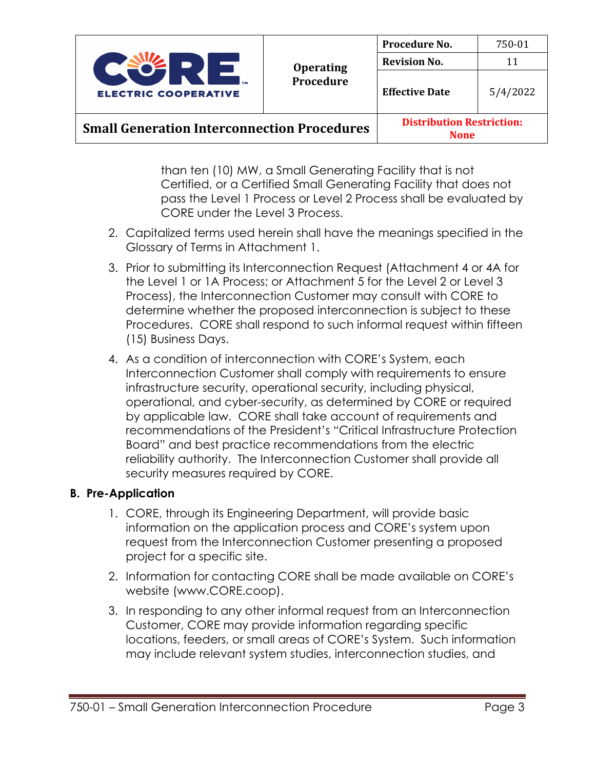

**None**

than ten (10) MW, a Small Generating Facility that is not Certified, or a Certified Small Generating Facility that does not pass the Level 1 Process or Level 2 Process shall be evaluated by CORE under the Level 3 Process.

- 2. Capitalized terms used herein shall have the meanings specified in the Glossary of Terms in Attachment 1.
- 3. Prior to submitting its Interconnection Request (Attachment 4 or 4A for the Level 1 or 1A Process; or Attachment 5 for the Level 2 or Level 3 Process), the Interconnection Customer may consult with CORE to determine whether the proposed interconnection is subject to these Procedures. CORE shall respond to such informal request within fifteen (15) Business Days.
- 4. As a condition of interconnection with CORE's System, each Interconnection Customer shall comply with requirements to ensure infrastructure security, operational security, including physical, operational, and cyber-security, as determined by CORE or required by applicable law. CORE shall take account of requirements and recommendations of the President's "Critical Infrastructure Protection Board" and best practice recommendations from the electric reliability authority. The Interconnection Customer shall provide all security measures required by CORE.

### **B. Pre-Application**

- 1. CORE, through its Engineering Department, will provide basic information on the application process and CORE's system upon request from the Interconnection Customer presenting a proposed project for a specific site.
- 2. Information for contacting CORE shall be made available on CORE's website (www.CORE.coop).
- 3. In responding to any other informal request from an Interconnection Customer, CORE may provide information regarding specific locations, feeders, or small areas of CORE's System. Such information may include relevant system studies, interconnection studies, and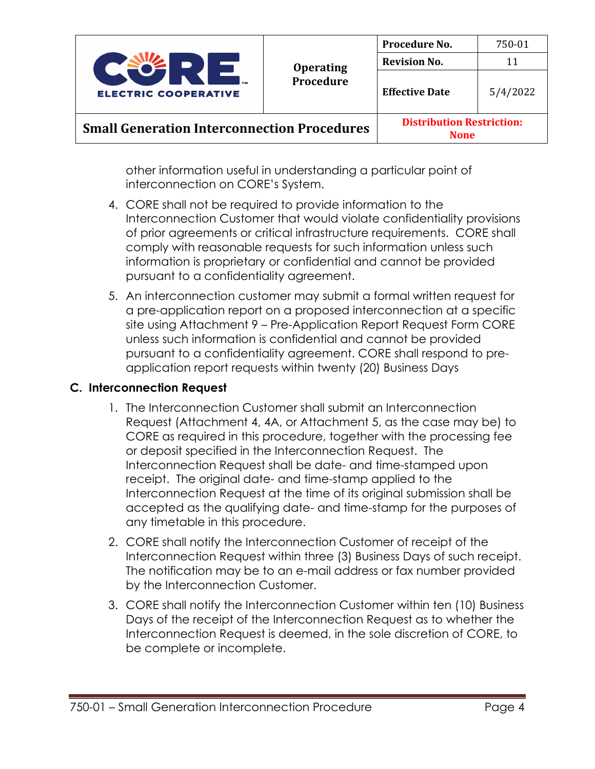

**None**

other information useful in understanding a particular point of interconnection on CORE's System.

- 4. CORE shall not be required to provide information to the Interconnection Customer that would violate confidentiality provisions of prior agreements or critical infrastructure requirements. CORE shall comply with reasonable requests for such information unless such information is proprietary or confidential and cannot be provided pursuant to a confidentiality agreement.
- 5. An interconnection customer may submit a formal written request for a pre-application report on a proposed interconnection at a specific site using Attachment 9 – Pre-Application Report Request Form CORE unless such information is confidential and cannot be provided pursuant to a confidentiality agreement. CORE shall respond to preapplication report requests within twenty (20) Business Days

### **C. Interconnection Request**

- 1. The Interconnection Customer shall submit an Interconnection Request (Attachment 4, 4A, or Attachment 5, as the case may be) to CORE as required in this procedure, together with the processing fee or deposit specified in the Interconnection Request. The Interconnection Request shall be date- and time-stamped upon receipt. The original date- and time-stamp applied to the Interconnection Request at the time of its original submission shall be accepted as the qualifying date- and time-stamp for the purposes of any timetable in this procedure.
- 2. CORE shall notify the Interconnection Customer of receipt of the Interconnection Request within three (3) Business Days of such receipt. The notification may be to an e-mail address or fax number provided by the Interconnection Customer.
- 3. CORE shall notify the Interconnection Customer within ten (10) Business Days of the receipt of the Interconnection Request as to whether the Interconnection Request is deemed, in the sole discretion of CORE, to be complete or incomplete.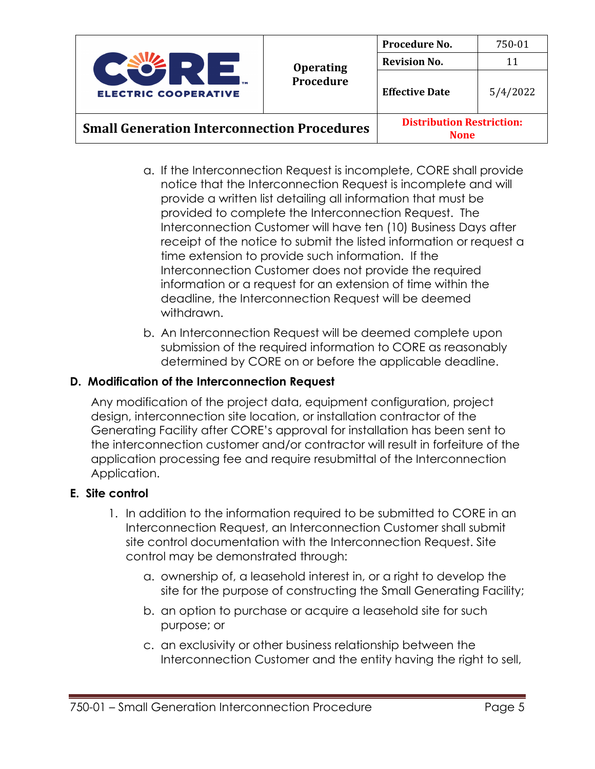

**None**

- a. If the Interconnection Request is incomplete, CORE shall provide notice that the Interconnection Request is incomplete and will provide a written list detailing all information that must be provided to complete the Interconnection Request. The Interconnection Customer will have ten (10) Business Days after receipt of the notice to submit the listed information or request a time extension to provide such information. If the Interconnection Customer does not provide the required information or a request for an extension of time within the deadline, the Interconnection Request will be deemed withdrawn.
- b. An Interconnection Request will be deemed complete upon submission of the required information to CORE as reasonably determined by CORE on or before the applicable deadline.

## **D. Modification of the Interconnection Request**

Any modification of the project data, equipment configuration, project design, interconnection site location, or installation contractor of the Generating Facility after CORE's approval for installation has been sent to the interconnection customer and/or contractor will result in forfeiture of the application processing fee and require resubmittal of the Interconnection Application.

### **E. Site control**

- 1. In addition to the information required to be submitted to CORE in an Interconnection Request, an Interconnection Customer shall submit site control documentation with the Interconnection Request. Site control may be demonstrated through:
	- a. ownership of, a leasehold interest in, or a right to develop the site for the purpose of constructing the Small Generating Facility;
	- b. an option to purchase or acquire a leasehold site for such purpose; or
	- c. an exclusivity or other business relationship between the Interconnection Customer and the entity having the right to sell,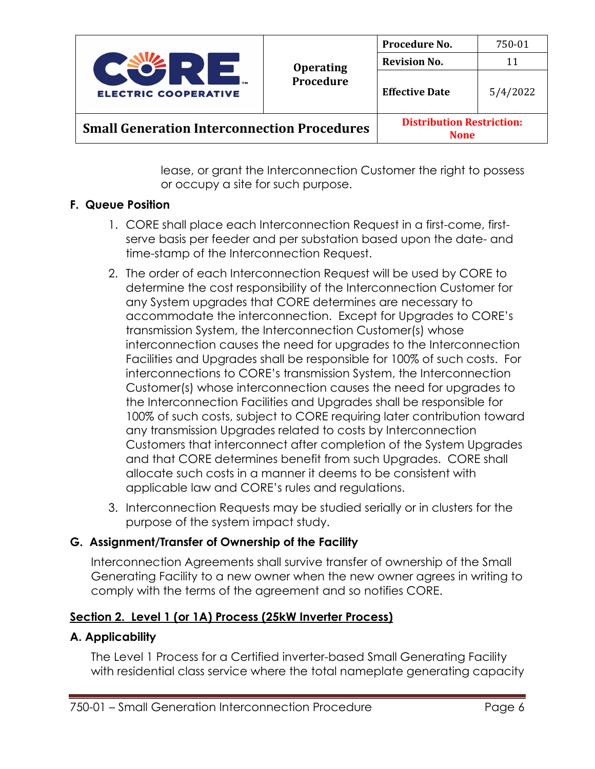

**None**

lease, or grant the Interconnection Customer the right to possess or occupy a site for such purpose.

### **F. Queue Position**

- 1. CORE shall place each Interconnection Request in a first-come, firstserve basis per feeder and per substation based upon the date- and time-stamp of the Interconnection Request.
- 2. The order of each Interconnection Request will be used by CORE to determine the cost responsibility of the Interconnection Customer for any System upgrades that CORE determines are necessary to accommodate the interconnection. Except for Upgrades to CORE's transmission System, the Interconnection Customer(s) whose interconnection causes the need for upgrades to the Interconnection Facilities and Upgrades shall be responsible for 100% of such costs. For interconnections to CORE's transmission System, the Interconnection Customer(s) whose interconnection causes the need for upgrades to the Interconnection Facilities and Upgrades shall be responsible for 100% of such costs, subject to CORE requiring later contribution toward any transmission Upgrades related to costs by Interconnection Customers that interconnect after completion of the System Upgrades and that CORE determines benefit from such Upgrades. CORE shall allocate such costs in a manner it deems to be consistent with applicable law and CORE's rules and regulations.
- 3. Interconnection Requests may be studied serially or in clusters for the purpose of the system impact study.

## **G. Assignment/Transfer of Ownership of the Facility**

Interconnection Agreements shall survive transfer of ownership of the Small Generating Facility to a new owner when the new owner agrees in writing to comply with the terms of the agreement and so notifies CORE.

## **Section 2. Level 1 (or 1A) Process (25kW Inverter Process)**

### **A. Applicability**

The Level 1 Process for a Certified inverter-based Small Generating Facility with residential class service where the total nameplate generating capacity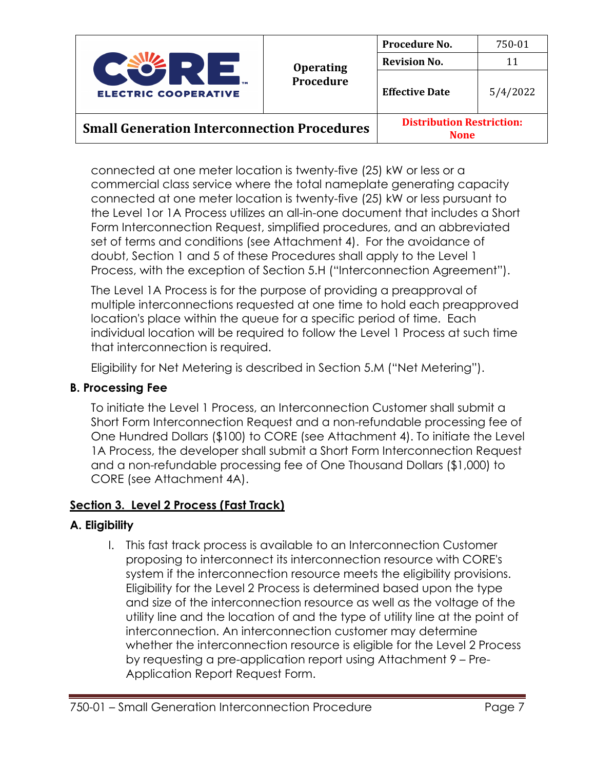

| <b>Operating</b><br>Procedure | Procedure No.         | 750-01   |
|-------------------------------|-----------------------|----------|
|                               | <b>Revision No.</b>   | 11       |
|                               | <b>Effective Date</b> | 5/4/2022 |

connected at one meter location is twenty-five (25) kW or less or a commercial class service where the total nameplate generating capacity connected at one meter location is twenty-five (25) kW or less pursuant to the Level 1or 1A Process utilizes an all-in-one document that includes a Short Form Interconnection Request, simplified procedures, and an abbreviated set of terms and conditions (see Attachment 4). For the avoidance of doubt, Section 1 and 5 of these Procedures shall apply to the Level 1 Process, with the exception of Section 5.H ("Interconnection Agreement").

The Level 1A Process is for the purpose of providing a preapproval of multiple interconnections requested at one time to hold each preapproved location's place within the queue for a specific period of time. Each individual location will be required to follow the Level 1 Process at such time that interconnection is required.

Eligibility for Net Metering is described in Section 5.M ("Net Metering").

## **B. Processing Fee**

To initiate the Level 1 Process, an Interconnection Customer shall submit a Short Form Interconnection Request and a non-refundable processing fee of One Hundred Dollars (\$100) to CORE (see Attachment 4). To initiate the Level 1A Process, the developer shall submit a Short Form Interconnection Request and a non-refundable processing fee of One Thousand Dollars (\$1,000) to CORE (see Attachment 4A).

## **Section 3. Level 2 Process (Fast Track)**

## **A. Eligibility**

I. This fast track process is available to an Interconnection Customer proposing to interconnect its interconnection resource with CORE's system if the interconnection resource meets the eligibility provisions. Eligibility for the Level 2 Process is determined based upon the type and size of the interconnection resource as well as the voltage of the utility line and the location of and the type of utility line at the point of interconnection. An interconnection customer may determine whether the interconnection resource is eligible for the Level 2 Process by requesting a pre-application report using Attachment 9 – Pre-Application Report Request Form.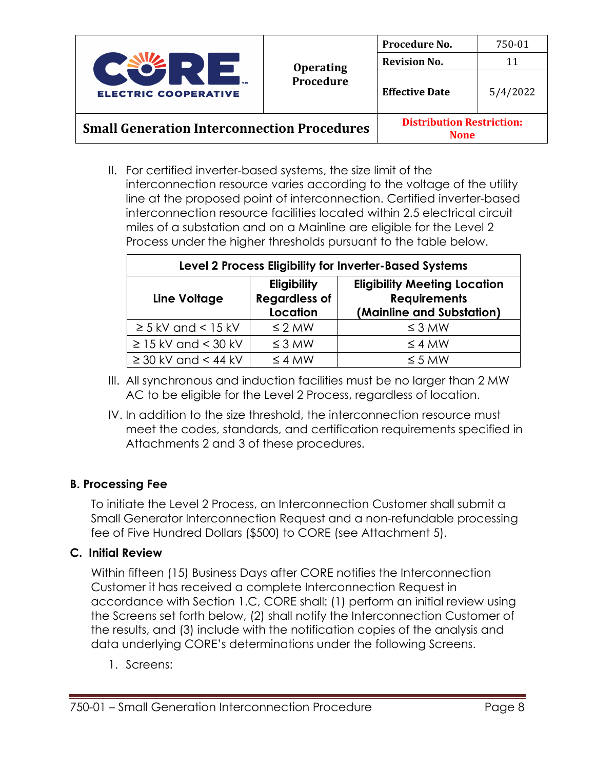

II. For certified inverter-based systems, the size limit of the interconnection resource varies according to the voltage of the utility line at the proposed point of interconnection. Certified inverter-based interconnection resource facilities located within 2.5 electrical circuit miles of a substation and on a Mainline are eligible for the Level 2 Process under the higher thresholds pursuant to the table below.

| Level 2 Process Eligibility for Inverter-Based Systems |                                                               |                                                                                         |  |
|--------------------------------------------------------|---------------------------------------------------------------|-----------------------------------------------------------------------------------------|--|
| Line Voltage                                           | <b>Eligibility</b><br><b>Regardless of</b><br><b>Location</b> | <b>Eligibility Meeting Location</b><br><b>Requirements</b><br>(Mainline and Substation) |  |
| $\geq$ 5 kV and < 15 kV                                | $\leq$ 2 MW                                                   | $\leq$ 3 MW                                                                             |  |
| $\geq$ 15 kV and < 30 kV                               | $\leq$ 3 MW                                                   | $\leq$ 4 MW                                                                             |  |
| $\geq$ 30 kV and < 44 kV                               | $\leq$ 4 MW                                                   | $\leq$ 5 MW                                                                             |  |

- III. All synchronous and induction facilities must be no larger than 2 MW AC to be eligible for the Level 2 Process, regardless of location.
- IV. In addition to the size threshold, the interconnection resource must meet the codes, standards, and certification requirements specified in Attachments 2 and 3 of these procedures.

## **B. Processing Fee**

To initiate the Level 2 Process, an Interconnection Customer shall submit a Small Generator Interconnection Request and a non-refundable processing fee of Five Hundred Dollars (\$500) to CORE (see Attachment 5).

### **C. Initial Review**

Within fifteen (15) Business Days after CORE notifies the Interconnection Customer it has received a complete Interconnection Request in accordance with Section 1.C, CORE shall: (1) perform an initial review using the Screens set forth below, (2) shall notify the Interconnection Customer of the results, and (3) include with the notification copies of the analysis and data underlying CORE's determinations under the following Screens.

1. Screens: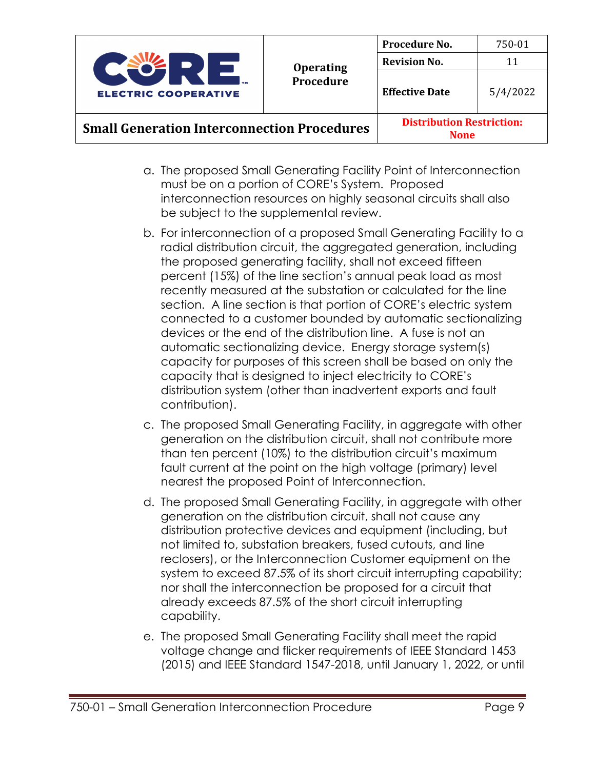

**None**

- a. The proposed Small Generating Facility Point of Interconnection must be on a portion of CORE's System. Proposed interconnection resources on highly seasonal circuits shall also be subject to the supplemental review.
- b. For interconnection of a proposed Small Generating Facility to a radial distribution circuit, the aggregated generation, including the proposed generating facility, shall not exceed fifteen percent (15%) of the line section's annual peak load as most recently measured at the substation or calculated for the line section. A line section is that portion of CORE's electric system connected to a customer bounded by automatic sectionalizing devices or the end of the distribution line. A fuse is not an automatic sectionalizing device. Energy storage system(s) capacity for purposes of this screen shall be based on only the capacity that is designed to inject electricity to CORE's distribution system (other than inadvertent exports and fault contribution).
- c. The proposed Small Generating Facility, in aggregate with other generation on the distribution circuit, shall not contribute more than ten percent (10%) to the distribution circuit's maximum fault current at the point on the high voltage (primary) level nearest the proposed Point of Interconnection.
- d. The proposed Small Generating Facility, in aggregate with other generation on the distribution circuit, shall not cause any distribution protective devices and equipment (including, but not limited to, substation breakers, fused cutouts, and line reclosers), or the Interconnection Customer equipment on the system to exceed 87.5% of its short circuit interrupting capability; nor shall the interconnection be proposed for a circuit that already exceeds 87.5% of the short circuit interrupting capability.
- e. The proposed Small Generating Facility shall meet the rapid voltage change and flicker requirements of IEEE Standard 1453 (2015) and IEEE Standard 1547-2018, until January 1, 2022, or until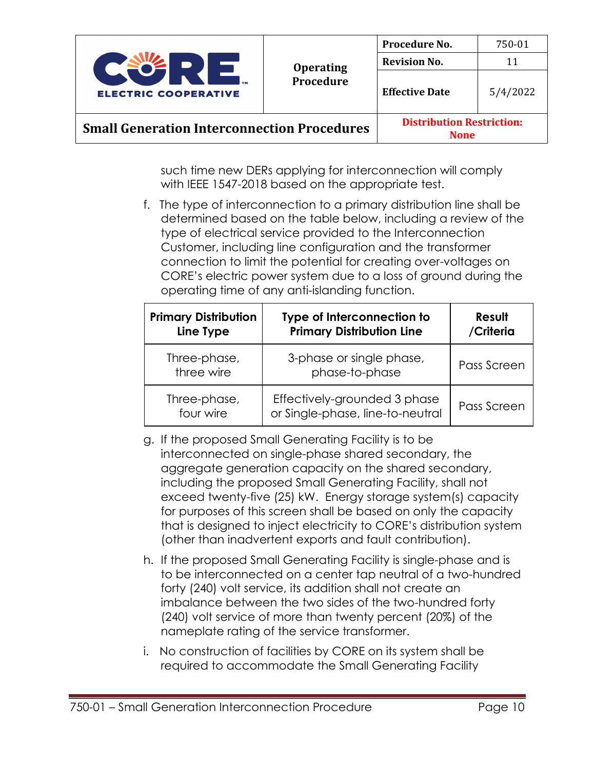

such time new DERs applying for interconnection will comply with IEEE 1547-2018 based on the appropriate test.

f. The type of interconnection to a primary distribution line shall be determined based on the table below, including a review of the type of electrical service provided to the Interconnection Customer, including line configuration and the transformer connection to limit the potential for creating over-voltages on CORE's electric power system due to a loss of ground during the operating time of any anti-islanding function.

| <b>Primary Distribution</b><br>Line Type | Type of Interconnection to<br><b>Primary Distribution Line</b>   | Result<br>/Criteria |
|------------------------------------------|------------------------------------------------------------------|---------------------|
| Three-phase,<br>three wire               | 3-phase or single phase,<br>phase-to-phase                       | Pass Screen         |
| Three-phase,<br>four wire                | Effectively-grounded 3 phase<br>or Single-phase, line-to-neutral | Pass Screen         |

- g. If the proposed Small Generating Facility is to be interconnected on single-phase shared secondary, the aggregate generation capacity on the shared secondary, including the proposed Small Generating Facility, shall not exceed twenty-five (25) kW. Energy storage system(s) capacity for purposes of this screen shall be based on only the capacity that is designed to inject electricity to CORE's distribution system (other than inadvertent exports and fault contribution).
- h. If the proposed Small Generating Facility is single-phase and is to be interconnected on a center tap neutral of a two-hundred forty (240) volt service, its addition shall not create an imbalance between the two sides of the two-hundred forty (240) volt service of more than twenty percent (20%) of the nameplate rating of the service transformer.
- i. No construction of facilities by CORE on its system shall be required to accommodate the Small Generating Facility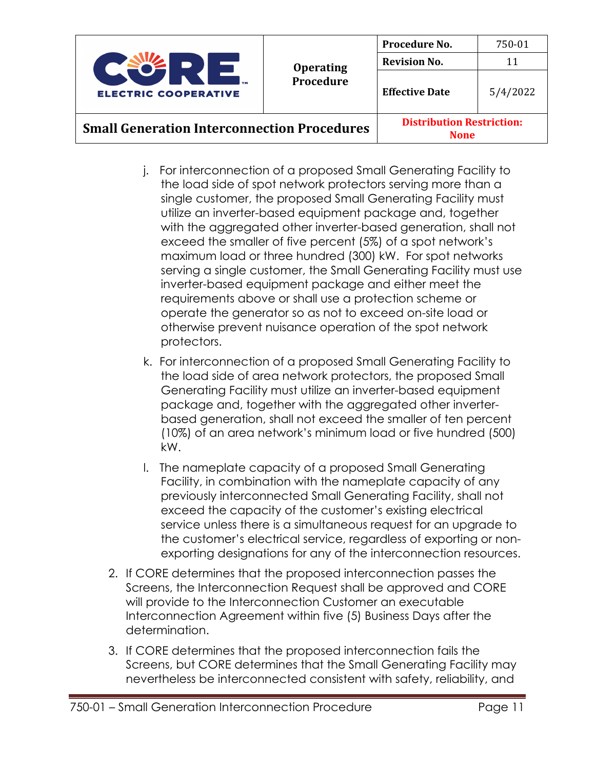

**None**

- j. For interconnection of a proposed Small Generating Facility to the load side of spot network protectors serving more than a single customer, the proposed Small Generating Facility must utilize an inverter-based equipment package and, together with the aggregated other inverter-based generation, shall not exceed the smaller of five percent (5%) of a spot network's maximum load or three hundred (300) kW. For spot networks serving a single customer, the Small Generating Facility must use inverter-based equipment package and either meet the requirements above or shall use a protection scheme or operate the generator so as not to exceed on-site load or otherwise prevent nuisance operation of the spot network protectors.
- k. For interconnection of a proposed Small Generating Facility to the load side of area network protectors, the proposed Small Generating Facility must utilize an inverter-based equipment package and, together with the aggregated other inverterbased generation, shall not exceed the smaller of ten percent (10%) of an area network's minimum load or five hundred (500) kW.
- l. The nameplate capacity of a proposed Small Generating Facility, in combination with the nameplate capacity of any previously interconnected Small Generating Facility, shall not exceed the capacity of the customer's existing electrical service unless there is a simultaneous request for an upgrade to the customer's electrical service, regardless of exporting or nonexporting designations for any of the interconnection resources.
- 2. If CORE determines that the proposed interconnection passes the Screens, the Interconnection Request shall be approved and CORE will provide to the Interconnection Customer an executable Interconnection Agreement within five (5) Business Days after the determination.
- 3. If CORE determines that the proposed interconnection fails the Screens, but CORE determines that the Small Generating Facility may nevertheless be interconnected consistent with safety, reliability, and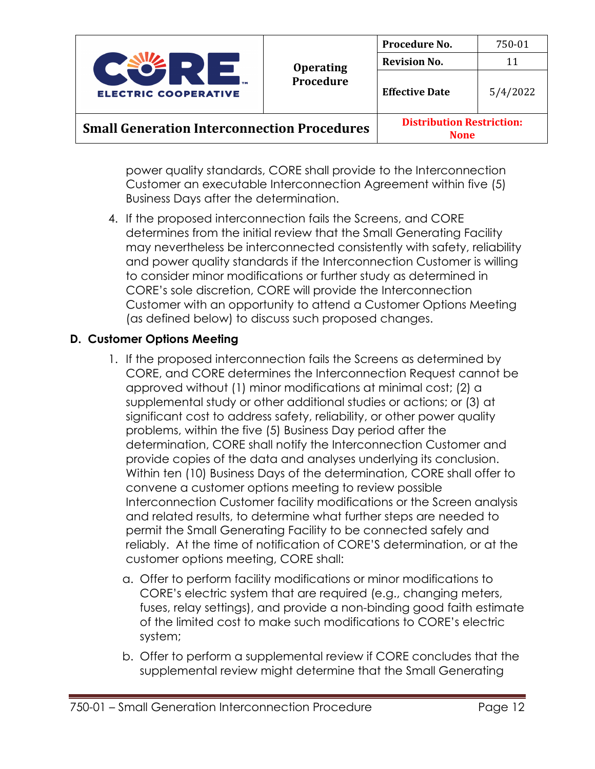

**None**

power quality standards, CORE shall provide to the Interconnection Customer an executable Interconnection Agreement within five (5) Business Days after the determination.

4. If the proposed interconnection fails the Screens, and CORE determines from the initial review that the Small Generating Facility may nevertheless be interconnected consistently with safety, reliability and power quality standards if the Interconnection Customer is willing to consider minor modifications or further study as determined in CORE's sole discretion, CORE will provide the Interconnection Customer with an opportunity to attend a Customer Options Meeting (as defined below) to discuss such proposed changes.

## **D. Customer Options Meeting**

- 1. If the proposed interconnection fails the Screens as determined by CORE, and CORE determines the Interconnection Request cannot be approved without (1) minor modifications at minimal cost; (2) a supplemental study or other additional studies or actions; or (3) at significant cost to address safety, reliability, or other power quality problems, within the five (5) Business Day period after the determination, CORE shall notify the Interconnection Customer and provide copies of the data and analyses underlying its conclusion. Within ten (10) Business Days of the determination, CORE shall offer to convene a customer options meeting to review possible Interconnection Customer facility modifications or the Screen analysis and related results, to determine what further steps are needed to permit the Small Generating Facility to be connected safely and reliably. At the time of notification of CORE'S determination, or at the customer options meeting, CORE shall:
	- a. Offer to perform facility modifications or minor modifications to CORE's electric system that are required (e.g., changing meters, fuses, relay settings), and provide a non-binding good faith estimate of the limited cost to make such modifications to CORE's electric system;
	- b. Offer to perform a supplemental review if CORE concludes that the supplemental review might determine that the Small Generating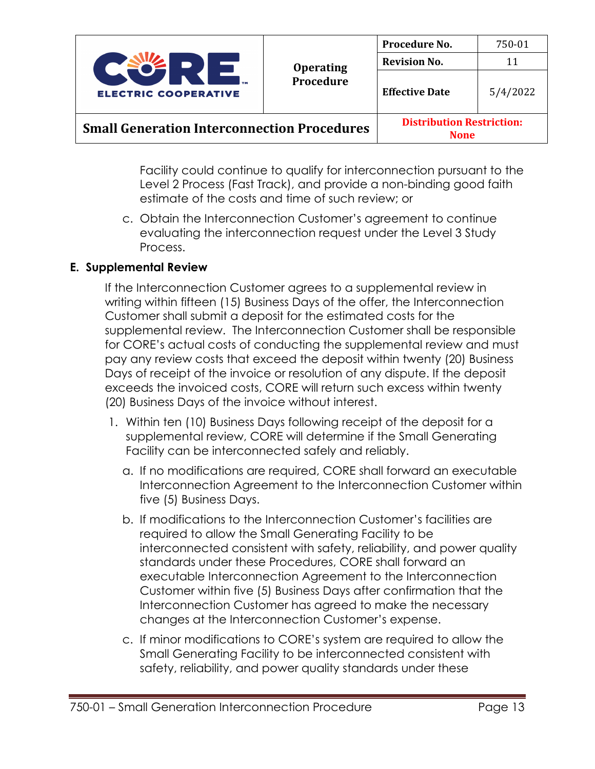

**None**

Facility could continue to qualify for interconnection pursuant to the Level 2 Process (Fast Track), and provide a non-binding good faith estimate of the costs and time of such review; or

c. Obtain the Interconnection Customer's agreement to continue evaluating the interconnection request under the Level 3 Study Process.

## **E. Supplemental Review**

If the Interconnection Customer agrees to a supplemental review in writing within fifteen (15) Business Days of the offer, the Interconnection Customer shall submit a deposit for the estimated costs for the supplemental review. The Interconnection Customer shall be responsible for CORE's actual costs of conducting the supplemental review and must pay any review costs that exceed the deposit within twenty (20) Business Days of receipt of the invoice or resolution of any dispute. If the deposit exceeds the invoiced costs, CORE will return such excess within twenty (20) Business Days of the invoice without interest.

- 1. Within ten (10) Business Days following receipt of the deposit for a supplemental review, CORE will determine if the Small Generating Facility can be interconnected safely and reliably.
	- a. If no modifications are required, CORE shall forward an executable Interconnection Agreement to the Interconnection Customer within five (5) Business Days.
	- b. If modifications to the Interconnection Customer's facilities are required to allow the Small Generating Facility to be interconnected consistent with safety, reliability, and power quality standards under these Procedures, CORE shall forward an executable Interconnection Agreement to the Interconnection Customer within five (5) Business Days after confirmation that the Interconnection Customer has agreed to make the necessary changes at the Interconnection Customer's expense.
	- c. If minor modifications to CORE's system are required to allow the Small Generating Facility to be interconnected consistent with safety, reliability, and power quality standards under these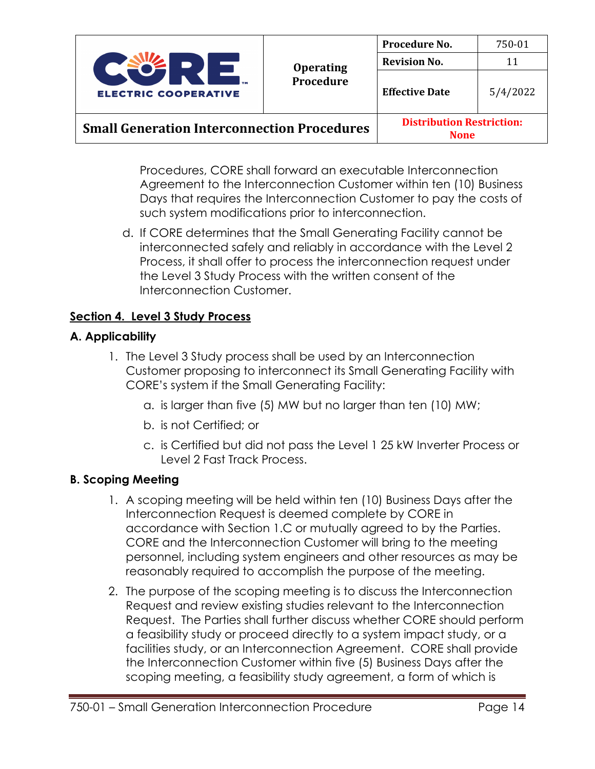

Procedures, CORE shall forward an executable Interconnection Agreement to the Interconnection Customer within ten (10) Business Days that requires the Interconnection Customer to pay the costs of such system modifications prior to interconnection.

d. If CORE determines that the Small Generating Facility cannot be interconnected safely and reliably in accordance with the Level 2 Process, it shall offer to process the interconnection request under the Level 3 Study Process with the written consent of the Interconnection Customer.

## **Section 4. Level 3 Study Process**

## **A. Applicability**

- 1. The Level 3 Study process shall be used by an Interconnection Customer proposing to interconnect its Small Generating Facility with CORE's system if the Small Generating Facility:
	- a. is larger than five (5) MW but no larger than ten (10) MW;
	- b. is not Certified; or
	- c. is Certified but did not pass the Level 1 25 kW Inverter Process or Level 2 Fast Track Process.

## **B. Scoping Meeting**

- 1. A scoping meeting will be held within ten (10) Business Days after the Interconnection Request is deemed complete by CORE in accordance with Section 1.C or mutually agreed to by the Parties. CORE and the Interconnection Customer will bring to the meeting personnel, including system engineers and other resources as may be reasonably required to accomplish the purpose of the meeting.
- 2. The purpose of the scoping meeting is to discuss the Interconnection Request and review existing studies relevant to the Interconnection Request. The Parties shall further discuss whether CORE should perform a feasibility study or proceed directly to a system impact study, or a facilities study, or an Interconnection Agreement. CORE shall provide the Interconnection Customer within five (5) Business Days after the scoping meeting, a feasibility study agreement, a form of which is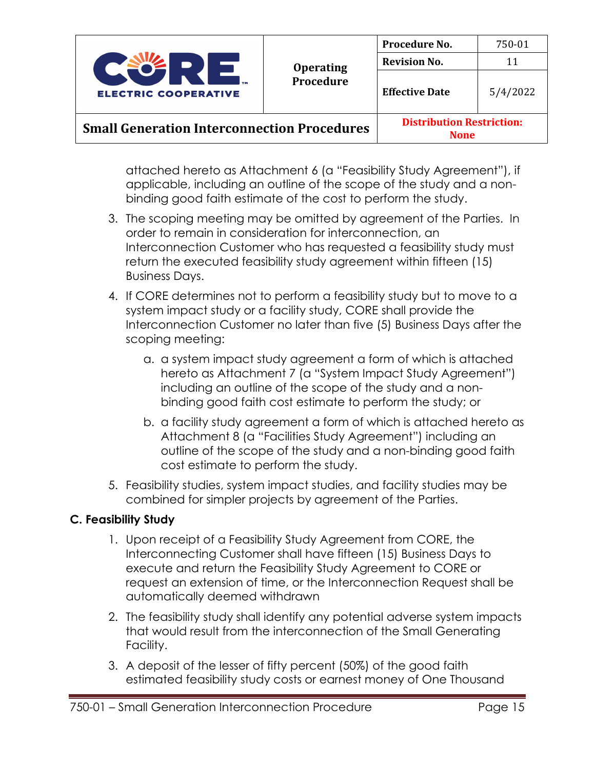

**None**

attached hereto as Attachment 6 (a "Feasibility Study Agreement"), if applicable, including an outline of the scope of the study and a nonbinding good faith estimate of the cost to perform the study.

- 3. The scoping meeting may be omitted by agreement of the Parties. In order to remain in consideration for interconnection, an Interconnection Customer who has requested a feasibility study must return the executed feasibility study agreement within fifteen (15) Business Days.
- 4. If CORE determines not to perform a feasibility study but to move to a system impact study or a facility study, CORE shall provide the Interconnection Customer no later than five (5) Business Days after the scoping meeting:
	- a. a system impact study agreement a form of which is attached hereto as Attachment 7 (a "System Impact Study Agreement") including an outline of the scope of the study and a nonbinding good faith cost estimate to perform the study; or
	- b. a facility study agreement a form of which is attached hereto as Attachment 8 (a "Facilities Study Agreement") including an outline of the scope of the study and a non-binding good faith cost estimate to perform the study.
- 5. Feasibility studies, system impact studies, and facility studies may be combined for simpler projects by agreement of the Parties.

## **C. Feasibility Study**

- 1. Upon receipt of a Feasibility Study Agreement from CORE, the Interconnecting Customer shall have fifteen (15) Business Days to execute and return the Feasibility Study Agreement to CORE or request an extension of time, or the Interconnection Request shall be automatically deemed withdrawn
- 2. The feasibility study shall identify any potential adverse system impacts that would result from the interconnection of the Small Generating Facility.
- 3. A deposit of the lesser of fifty percent (50%) of the good faith estimated feasibility study costs or earnest money of One Thousand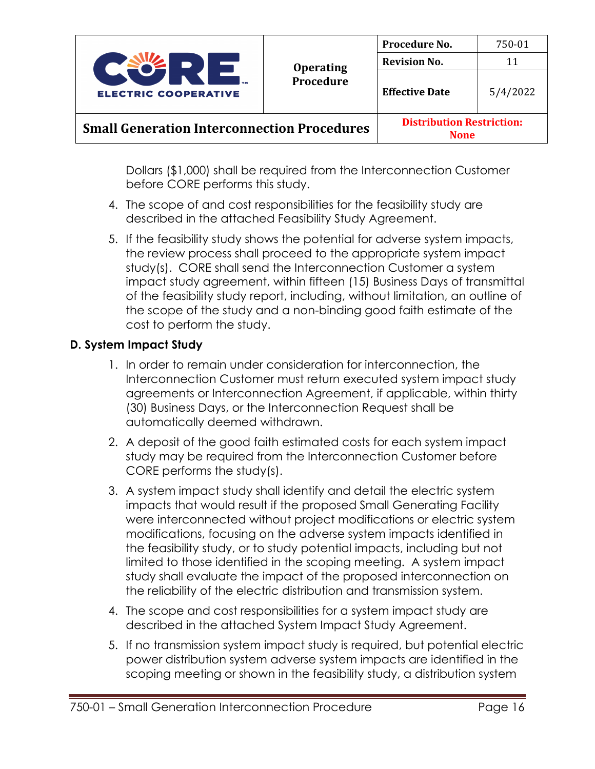

**None**

Dollars (\$1,000) shall be required from the Interconnection Customer before CORE performs this study.

- 4. The scope of and cost responsibilities for the feasibility study are described in the attached Feasibility Study Agreement.
- 5. If the feasibility study shows the potential for adverse system impacts, the review process shall proceed to the appropriate system impact study(s). CORE shall send the Interconnection Customer a system impact study agreement, within fifteen (15) Business Days of transmittal of the feasibility study report, including, without limitation, an outline of the scope of the study and a non-binding good faith estimate of the cost to perform the study.

## **D. System Impact Study**

- 1. In order to remain under consideration for interconnection, the Interconnection Customer must return executed system impact study agreements or Interconnection Agreement, if applicable, within thirty (30) Business Days, or the Interconnection Request shall be automatically deemed withdrawn.
- 2. A deposit of the good faith estimated costs for each system impact study may be required from the Interconnection Customer before CORE performs the study(s).
- 3. A system impact study shall identify and detail the electric system impacts that would result if the proposed Small Generating Facility were interconnected without project modifications or electric system modifications, focusing on the adverse system impacts identified in the feasibility study, or to study potential impacts, including but not limited to those identified in the scoping meeting. A system impact study shall evaluate the impact of the proposed interconnection on the reliability of the electric distribution and transmission system.
- 4. The scope and cost responsibilities for a system impact study are described in the attached System Impact Study Agreement.
- 5. If no transmission system impact study is required, but potential electric power distribution system adverse system impacts are identified in the scoping meeting or shown in the feasibility study, a distribution system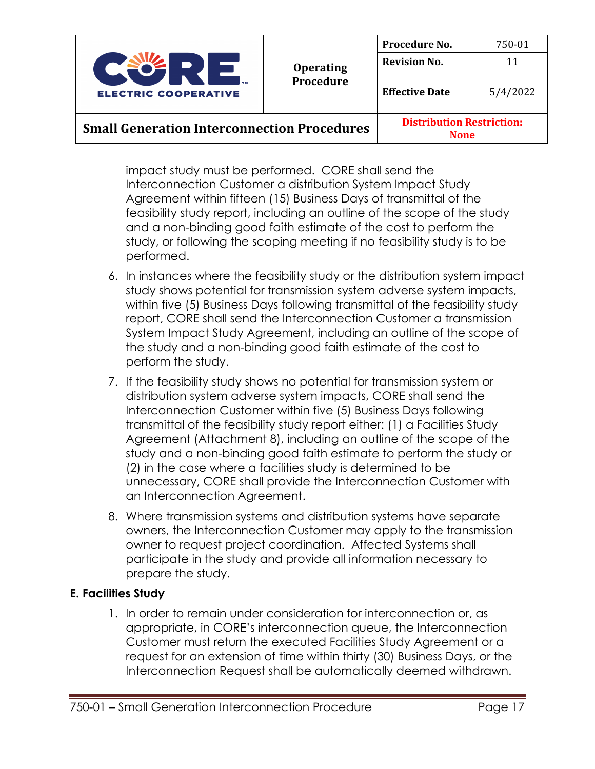

impact study must be performed. CORE shall send the Interconnection Customer a distribution System Impact Study Agreement within fifteen (15) Business Days of transmittal of the feasibility study report, including an outline of the scope of the study and a non-binding good faith estimate of the cost to perform the study, or following the scoping meeting if no feasibility study is to be performed.

- 6. In instances where the feasibility study or the distribution system impact study shows potential for transmission system adverse system impacts, within five (5) Business Days following transmittal of the feasibility study report, CORE shall send the Interconnection Customer a transmission System Impact Study Agreement, including an outline of the scope of the study and a non-binding good faith estimate of the cost to perform the study.
- 7. If the feasibility study shows no potential for transmission system or distribution system adverse system impacts, CORE shall send the Interconnection Customer within five (5) Business Days following transmittal of the feasibility study report either: (1) a Facilities Study Agreement (Attachment 8), including an outline of the scope of the study and a non-binding good faith estimate to perform the study or (2) in the case where a facilities study is determined to be unnecessary, CORE shall provide the Interconnection Customer with an Interconnection Agreement.
- 8. Where transmission systems and distribution systems have separate owners, the Interconnection Customer may apply to the transmission owner to request project coordination. Affected Systems shall participate in the study and provide all information necessary to prepare the study.

## **E. Facilities Study**

1. In order to remain under consideration for interconnection or, as appropriate, in CORE's interconnection queue, the Interconnection Customer must return the executed Facilities Study Agreement or a request for an extension of time within thirty (30) Business Days, or the Interconnection Request shall be automatically deemed withdrawn.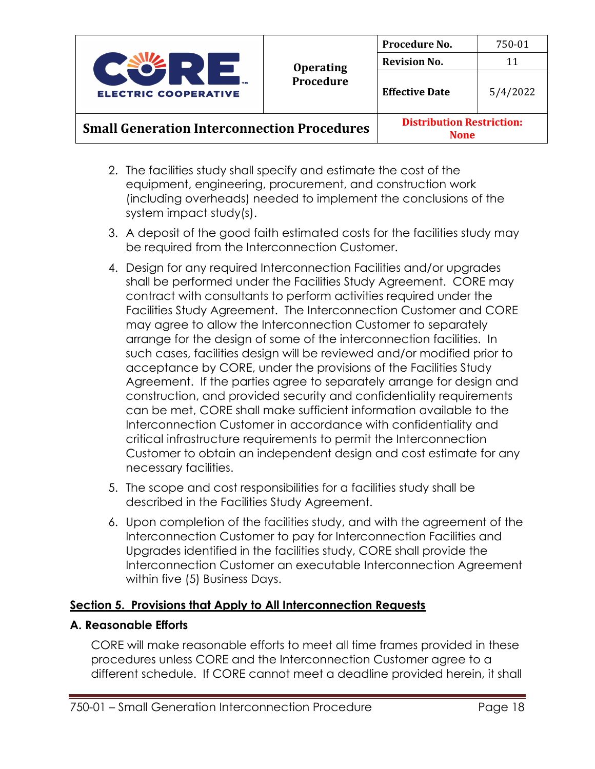

- 2. The facilities study shall specify and estimate the cost of the equipment, engineering, procurement, and construction work (including overheads) needed to implement the conclusions of the system impact study(s).
- 3. A deposit of the good faith estimated costs for the facilities study may be required from the Interconnection Customer.
- 4. Design for any required Interconnection Facilities and/or upgrades shall be performed under the Facilities Study Agreement. CORE may contract with consultants to perform activities required under the Facilities Study Agreement. The Interconnection Customer and CORE may agree to allow the Interconnection Customer to separately arrange for the design of some of the interconnection facilities. In such cases, facilities design will be reviewed and/or modified prior to acceptance by CORE, under the provisions of the Facilities Study Agreement. If the parties agree to separately arrange for design and construction, and provided security and confidentiality requirements can be met, CORE shall make sufficient information available to the Interconnection Customer in accordance with confidentiality and critical infrastructure requirements to permit the Interconnection Customer to obtain an independent design and cost estimate for any necessary facilities.
- 5. The scope and cost responsibilities for a facilities study shall be described in the Facilities Study Agreement.
- 6. Upon completion of the facilities study, and with the agreement of the Interconnection Customer to pay for Interconnection Facilities and Upgrades identified in the facilities study, CORE shall provide the Interconnection Customer an executable Interconnection Agreement within five (5) Business Days.

### **Section 5. Provisions that Apply to All Interconnection Requests**

### **A. Reasonable Efforts**

CORE will make reasonable efforts to meet all time frames provided in these procedures unless CORE and the Interconnection Customer agree to a different schedule. If CORE cannot meet a deadline provided herein, it shall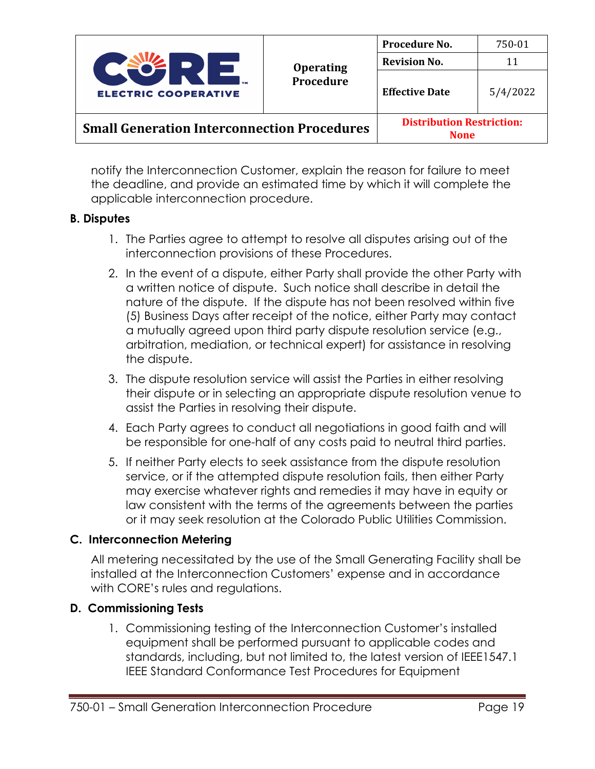

notify the Interconnection Customer, explain the reason for failure to meet the deadline, and provide an estimated time by which it will complete the applicable interconnection procedure.

### **B. Disputes**

- 1. The Parties agree to attempt to resolve all disputes arising out of the interconnection provisions of these Procedures.
- 2. In the event of a dispute, either Party shall provide the other Party with a written notice of dispute. Such notice shall describe in detail the nature of the dispute. If the dispute has not been resolved within five (5) Business Days after receipt of the notice, either Party may contact a mutually agreed upon third party dispute resolution service (e.g., arbitration, mediation, or technical expert) for assistance in resolving the dispute.
- 3. The dispute resolution service will assist the Parties in either resolving their dispute or in selecting an appropriate dispute resolution venue to assist the Parties in resolving their dispute.
- 4. Each Party agrees to conduct all negotiations in good faith and will be responsible for one-half of any costs paid to neutral third parties.
- 5. If neither Party elects to seek assistance from the dispute resolution service, or if the attempted dispute resolution fails, then either Party may exercise whatever rights and remedies it may have in equity or law consistent with the terms of the agreements between the parties or it may seek resolution at the Colorado Public Utilities Commission.

### **C. Interconnection Metering**

All metering necessitated by the use of the Small Generating Facility shall be installed at the Interconnection Customers' expense and in accordance with CORE's rules and regulations.

### **D. Commissioning Tests**

1. Commissioning testing of the Interconnection Customer's installed equipment shall be performed pursuant to applicable codes and standards, including, but not limited to, the latest version of IEEE1547.1 IEEE Standard Conformance Test Procedures for Equipment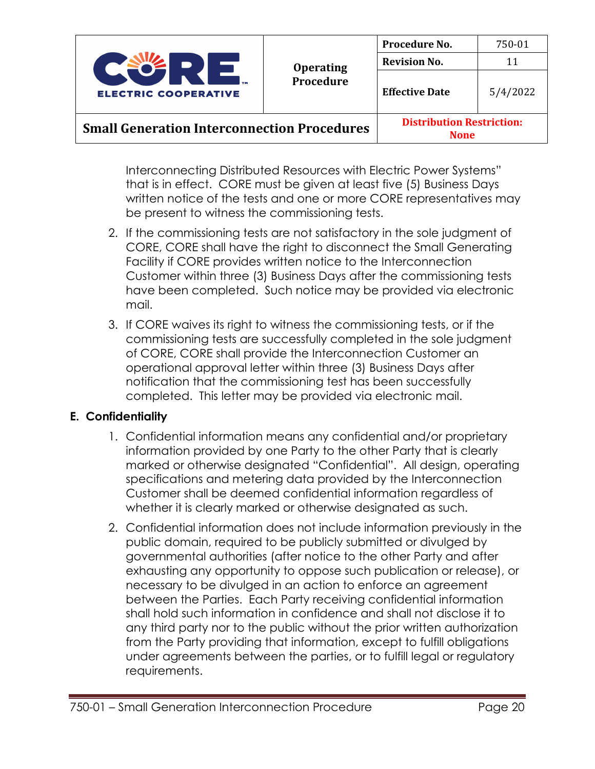

**None**

Interconnecting Distributed Resources with Electric Power Systems" that is in effect. CORE must be given at least five (5) Business Days written notice of the tests and one or more CORE representatives may be present to witness the commissioning tests.

- 2. If the commissioning tests are not satisfactory in the sole judgment of CORE, CORE shall have the right to disconnect the Small Generating Facility if CORE provides written notice to the Interconnection Customer within three (3) Business Days after the commissioning tests have been completed. Such notice may be provided via electronic mail.
- 3. If CORE waives its right to witness the commissioning tests, or if the commissioning tests are successfully completed in the sole judgment of CORE, CORE shall provide the Interconnection Customer an operational approval letter within three (3) Business Days after notification that the commissioning test has been successfully completed. This letter may be provided via electronic mail.

### **E. Confidentiality**

- 1. Confidential information means any confidential and/or proprietary information provided by one Party to the other Party that is clearly marked or otherwise designated "Confidential". All design, operating specifications and metering data provided by the Interconnection Customer shall be deemed confidential information regardless of whether it is clearly marked or otherwise designated as such.
- 2. Confidential information does not include information previously in the public domain, required to be publicly submitted or divulged by governmental authorities (after notice to the other Party and after exhausting any opportunity to oppose such publication or release), or necessary to be divulged in an action to enforce an agreement between the Parties. Each Party receiving confidential information shall hold such information in confidence and shall not disclose it to any third party nor to the public without the prior written authorization from the Party providing that information, except to fulfill obligations under agreements between the parties, or to fulfill legal or regulatory requirements.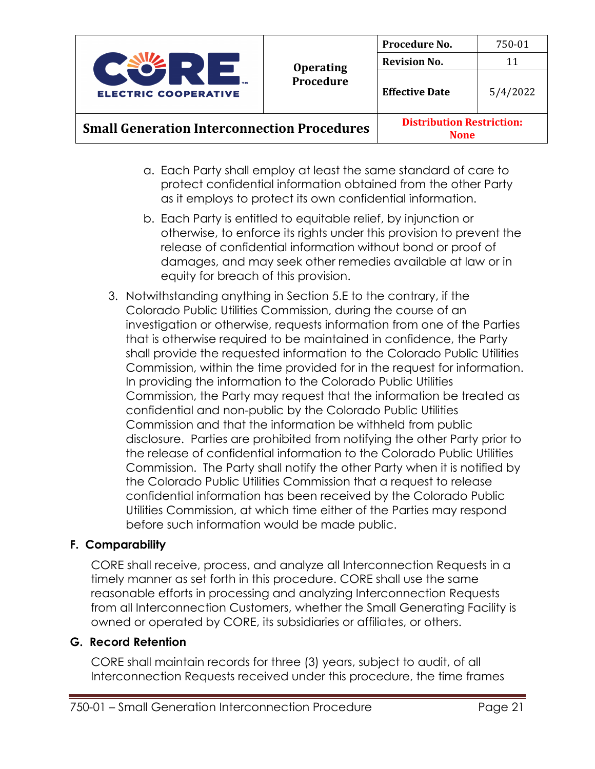

**None**

- a. Each Party shall employ at least the same standard of care to protect confidential information obtained from the other Party as it employs to protect its own confidential information.
- b. Each Party is entitled to equitable relief, by injunction or otherwise, to enforce its rights under this provision to prevent the release of confidential information without bond or proof of damages, and may seek other remedies available at law or in equity for breach of this provision.
- 3. Notwithstanding anything in Section 5.E to the contrary, if the Colorado Public Utilities Commission, during the course of an investigation or otherwise, requests information from one of the Parties that is otherwise required to be maintained in confidence, the Party shall provide the requested information to the Colorado Public Utilities Commission, within the time provided for in the request for information. In providing the information to the Colorado Public Utilities Commission, the Party may request that the information be treated as confidential and non-public by the Colorado Public Utilities Commission and that the information be withheld from public disclosure. Parties are prohibited from notifying the other Party prior to the release of confidential information to the Colorado Public Utilities Commission. The Party shall notify the other Party when it is notified by the Colorado Public Utilities Commission that a request to release confidential information has been received by the Colorado Public Utilities Commission, at which time either of the Parties may respond before such information would be made public.

## **F. Comparability**

CORE shall receive, process, and analyze all Interconnection Requests in a timely manner as set forth in this procedure. CORE shall use the same reasonable efforts in processing and analyzing Interconnection Requests from all Interconnection Customers, whether the Small Generating Facility is owned or operated by CORE, its subsidiaries or affiliates, or others.

### **G. Record Retention**

CORE shall maintain records for three (3) years, subject to audit, of all Interconnection Requests received under this procedure, the time frames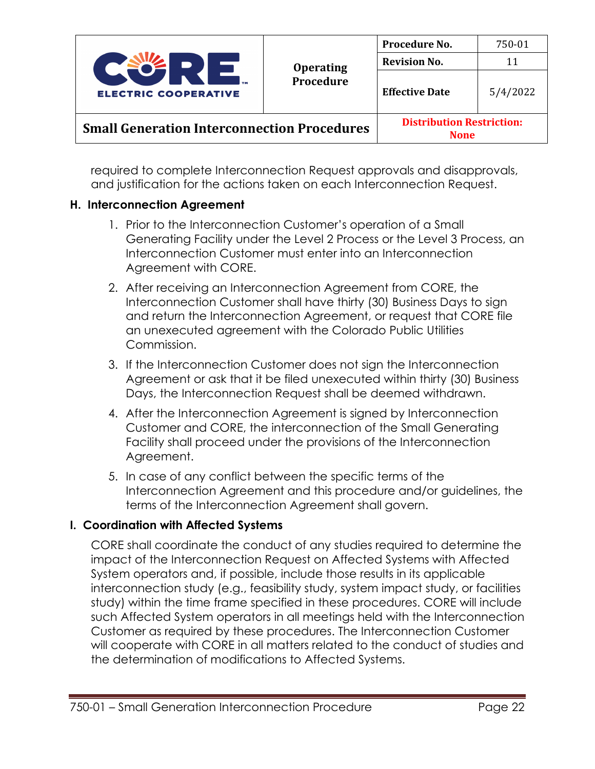

required to complete Interconnection Request approvals and disapprovals, and justification for the actions taken on each Interconnection Request.

### **H. Interconnection Agreement**

- 1. Prior to the Interconnection Customer's operation of a Small Generating Facility under the Level 2 Process or the Level 3 Process, an Interconnection Customer must enter into an Interconnection Agreement with CORE.
- 2. After receiving an Interconnection Agreement from CORE, the Interconnection Customer shall have thirty (30) Business Days to sign and return the Interconnection Agreement, or request that CORE file an unexecuted agreement with the Colorado Public Utilities Commission.
- 3. If the Interconnection Customer does not sign the Interconnection Agreement or ask that it be filed unexecuted within thirty (30) Business Days, the Interconnection Request shall be deemed withdrawn.
- 4. After the Interconnection Agreement is signed by Interconnection Customer and CORE, the interconnection of the Small Generating Facility shall proceed under the provisions of the Interconnection Agreement.
- 5. In case of any conflict between the specific terms of the Interconnection Agreement and this procedure and/or guidelines, the terms of the Interconnection Agreement shall govern.

### **I. Coordination with Affected Systems**

CORE shall coordinate the conduct of any studies required to determine the impact of the Interconnection Request on Affected Systems with Affected System operators and, if possible, include those results in its applicable interconnection study (e.g., feasibility study, system impact study, or facilities study) within the time frame specified in these procedures. CORE will include such Affected System operators in all meetings held with the Interconnection Customer as required by these procedures. The Interconnection Customer will cooperate with CORE in all matters related to the conduct of studies and the determination of modifications to Affected Systems.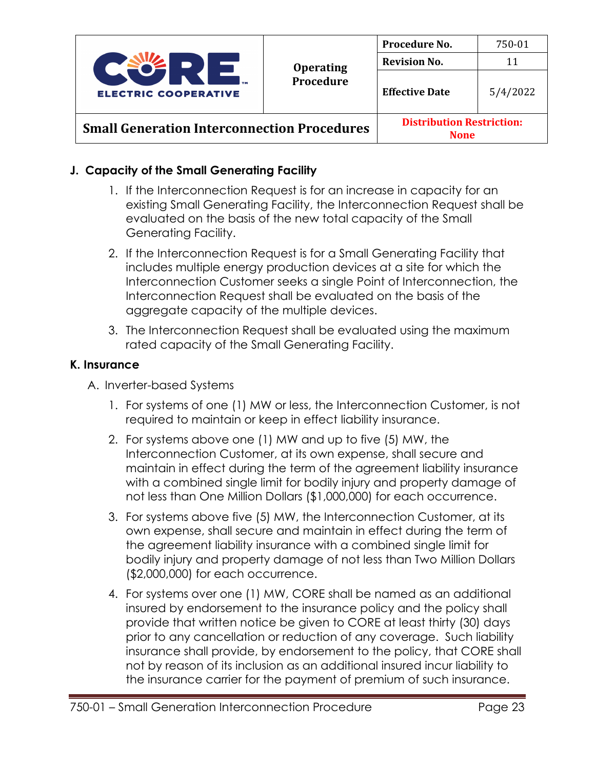

**None**

## **J. Capacity of the Small Generating Facility**

- 1. If the Interconnection Request is for an increase in capacity for an existing Small Generating Facility, the Interconnection Request shall be evaluated on the basis of the new total capacity of the Small Generating Facility.
- 2. If the Interconnection Request is for a Small Generating Facility that includes multiple energy production devices at a site for which the Interconnection Customer seeks a single Point of Interconnection, the Interconnection Request shall be evaluated on the basis of the aggregate capacity of the multiple devices.
- 3. The Interconnection Request shall be evaluated using the maximum rated capacity of the Small Generating Facility.

## **K. Insurance**

- A. Inverter-based Systems
	- 1. For systems of one (1) MW or less, the Interconnection Customer, is not required to maintain or keep in effect liability insurance.
	- 2. For systems above one (1) MW and up to five (5) MW, the Interconnection Customer, at its own expense, shall secure and maintain in effect during the term of the agreement liability insurance with a combined single limit for bodily injury and property damage of not less than One Million Dollars (\$1,000,000) for each occurrence.
	- 3. For systems above five (5) MW, the Interconnection Customer, at its own expense, shall secure and maintain in effect during the term of the agreement liability insurance with a combined single limit for bodily injury and property damage of not less than Two Million Dollars (\$2,000,000) for each occurrence.
	- 4. For systems over one (1) MW, CORE shall be named as an additional insured by endorsement to the insurance policy and the policy shall provide that written notice be given to CORE at least thirty (30) days prior to any cancellation or reduction of any coverage. Such liability insurance shall provide, by endorsement to the policy, that CORE shall not by reason of its inclusion as an additional insured incur liability to the insurance carrier for the payment of premium of such insurance.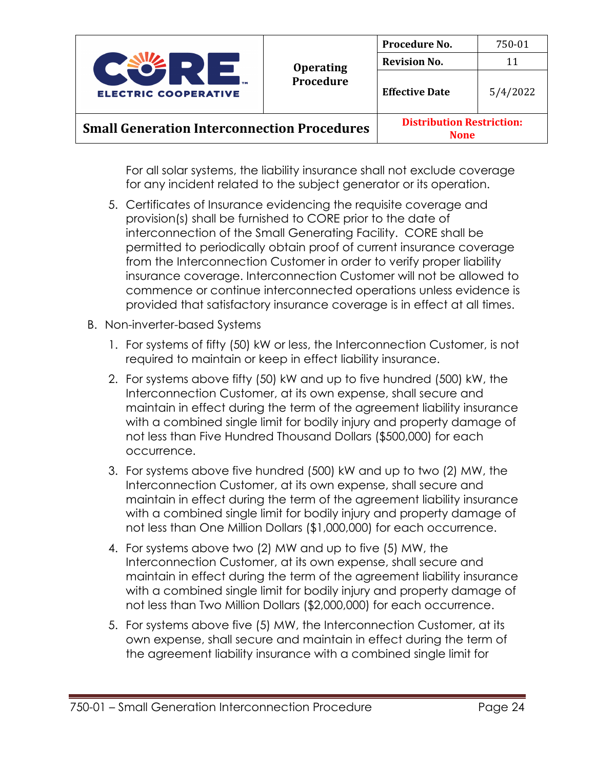

For all solar systems, the liability insurance shall not exclude coverage for any incident related to the subject generator or its operation.

- 5. Certificates of Insurance evidencing the requisite coverage and provision(s) shall be furnished to CORE prior to the date of interconnection of the Small Generating Facility. CORE shall be permitted to periodically obtain proof of current insurance coverage from the Interconnection Customer in order to verify proper liability insurance coverage. Interconnection Customer will not be allowed to commence or continue interconnected operations unless evidence is provided that satisfactory insurance coverage is in effect at all times.
- B. Non-inverter-based Systems
	- 1. For systems of fifty (50) kW or less, the Interconnection Customer, is not required to maintain or keep in effect liability insurance.
	- 2. For systems above fifty (50) kW and up to five hundred (500) kW, the Interconnection Customer, at its own expense, shall secure and maintain in effect during the term of the agreement liability insurance with a combined single limit for bodily injury and property damage of not less than Five Hundred Thousand Dollars (\$500,000) for each occurrence.
	- 3. For systems above five hundred (500) kW and up to two (2) MW, the Interconnection Customer, at its own expense, shall secure and maintain in effect during the term of the agreement liability insurance with a combined single limit for bodily injury and property damage of not less than One Million Dollars (\$1,000,000) for each occurrence.
	- 4. For systems above two (2) MW and up to five (5) MW, the Interconnection Customer, at its own expense, shall secure and maintain in effect during the term of the agreement liability insurance with a combined single limit for bodily injury and property damage of not less than Two Million Dollars (\$2,000,000) for each occurrence.
	- 5. For systems above five (5) MW, the Interconnection Customer, at its own expense, shall secure and maintain in effect during the term of the agreement liability insurance with a combined single limit for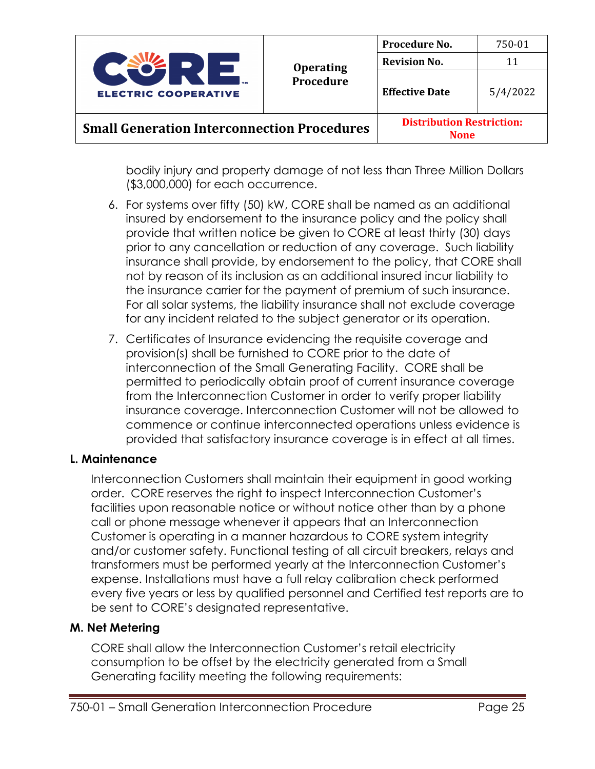

bodily injury and property damage of not less than Three Million Dollars (\$3,000,000) for each occurrence.

- 6. For systems over fifty (50) kW, CORE shall be named as an additional insured by endorsement to the insurance policy and the policy shall provide that written notice be given to CORE at least thirty (30) days prior to any cancellation or reduction of any coverage. Such liability insurance shall provide, by endorsement to the policy, that CORE shall not by reason of its inclusion as an additional insured incur liability to the insurance carrier for the payment of premium of such insurance. For all solar systems, the liability insurance shall not exclude coverage for any incident related to the subject generator or its operation.
- 7. Certificates of Insurance evidencing the requisite coverage and provision(s) shall be furnished to CORE prior to the date of interconnection of the Small Generating Facility. CORE shall be permitted to periodically obtain proof of current insurance coverage from the Interconnection Customer in order to verify proper liability insurance coverage. Interconnection Customer will not be allowed to commence or continue interconnected operations unless evidence is provided that satisfactory insurance coverage is in effect at all times.

#### **L. Maintenance**

Interconnection Customers shall maintain their equipment in good working order. CORE reserves the right to inspect Interconnection Customer's facilities upon reasonable notice or without notice other than by a phone call or phone message whenever it appears that an Interconnection Customer is operating in a manner hazardous to CORE system integrity and/or customer safety. Functional testing of all circuit breakers, relays and transformers must be performed yearly at the Interconnection Customer's expense. Installations must have a full relay calibration check performed every five years or less by qualified personnel and Certified test reports are to be sent to CORE's designated representative.

### **M. Net Metering**

CORE shall allow the Interconnection Customer's retail electricity consumption to be offset by the electricity generated from a Small Generating facility meeting the following requirements: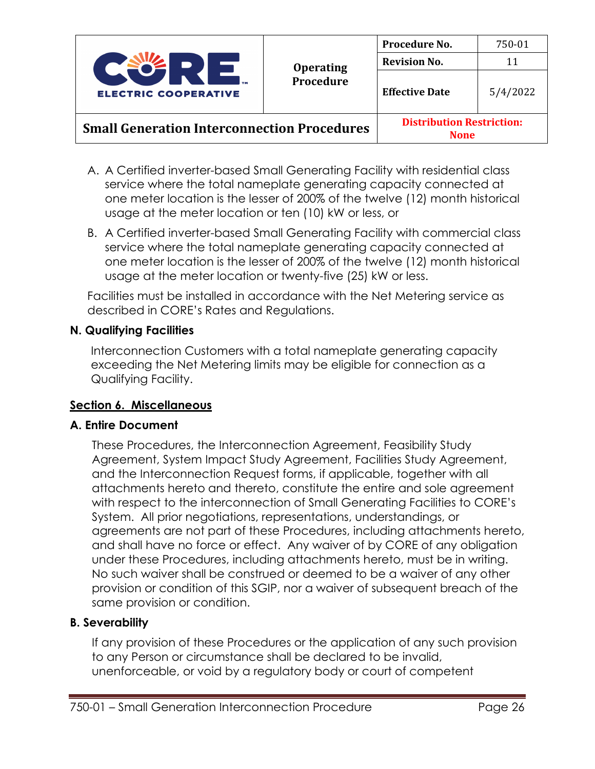

- A. A Certified inverter-based Small Generating Facility with residential class service where the total nameplate generating capacity connected at one meter location is the lesser of 200% of the twelve (12) month historical usage at the meter location or ten (10) kW or less, or
- B. A Certified inverter-based Small Generating Facility with commercial class service where the total nameplate generating capacity connected at one meter location is the lesser of 200% of the twelve (12) month historical usage at the meter location or twenty-five (25) kW or less.

Facilities must be installed in accordance with the Net Metering service as described in CORE's Rates and Regulations.

#### **N. Qualifying Facilities**

Interconnection Customers with a total nameplate generating capacity exceeding the Net Metering limits may be eligible for connection as a Qualifying Facility.

#### **Section 6. Miscellaneous**

#### **A. Entire Document**

These Procedures, the Interconnection Agreement, Feasibility Study Agreement, System Impact Study Agreement, Facilities Study Agreement, and the Interconnection Request forms, if applicable, together with all attachments hereto and thereto, constitute the entire and sole agreement with respect to the interconnection of Small Generating Facilities to CORE's System. All prior negotiations, representations, understandings, or agreements are not part of these Procedures, including attachments hereto, and shall have no force or effect. Any waiver of by CORE of any obligation under these Procedures, including attachments hereto, must be in writing. No such waiver shall be construed or deemed to be a waiver of any other provision or condition of this SGIP, nor a waiver of subsequent breach of the same provision or condition.

### **B. Severability**

If any provision of these Procedures or the application of any such provision to any Person or circumstance shall be declared to be invalid, unenforceable, or void by a regulatory body or court of competent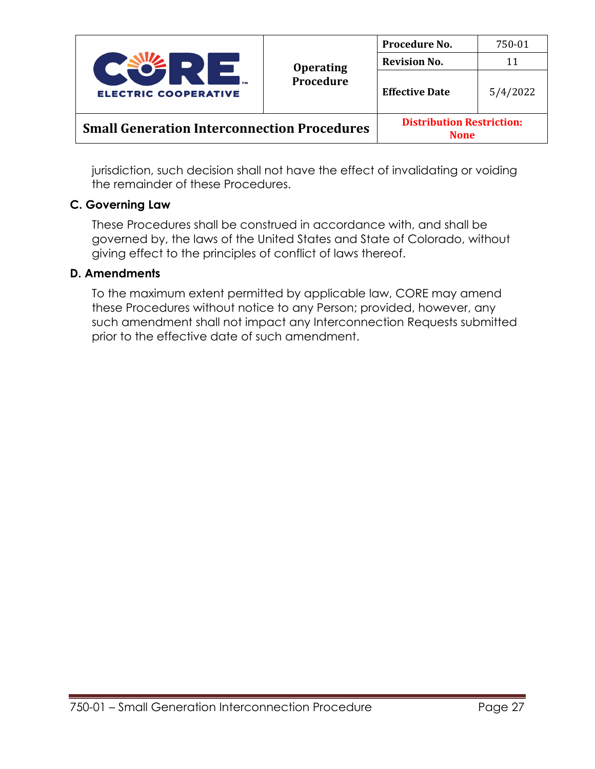

|                                                    | <b>Distribution Restriction:</b> |
|----------------------------------------------------|----------------------------------|
| <b>Small Generation Interconnection Procedures</b> | <b>None</b>                      |

jurisdiction, such decision shall not have the effect of invalidating or voiding the remainder of these Procedures.

#### **C. Governing Law**

These Procedures shall be construed in accordance with, and shall be governed by, the laws of the United States and State of Colorado, without giving effect to the principles of conflict of laws thereof.

#### **D. Amendments**

To the maximum extent permitted by applicable law, CORE may amend these Procedures without notice to any Person; provided, however, any such amendment shall not impact any Interconnection Requests submitted prior to the effective date of such amendment.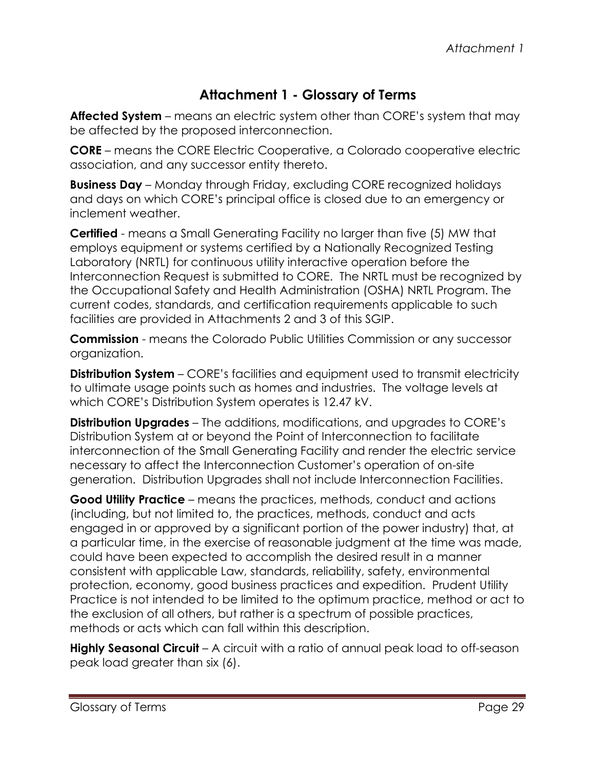## **Attachment 1 - Glossary of Terms**

**Affected System** – means an electric system other than CORE's system that may be affected by the proposed interconnection.

**CORE** – means the CORE Electric Cooperative, a Colorado cooperative electric association, and any successor entity thereto.

**Business Day** – Monday through Friday, excluding CORE recognized holidays and days on which CORE's principal office is closed due to an emergency or inclement weather.

**Certified** - means a Small Generating Facility no larger than five (5) MW that employs equipment or systems certified by a Nationally Recognized Testing Laboratory (NRTL) for continuous utility interactive operation before the Interconnection Request is submitted to CORE. The NRTL must be recognized by the Occupational Safety and Health Administration (OSHA) NRTL Program. The current codes, standards, and certification requirements applicable to such facilities are provided in Attachments 2 and 3 of this SGIP.

**Commission** - means the Colorado Public Utilities Commission or any successor organization.

**Distribution System** – CORE's facilities and equipment used to transmit electricity to ultimate usage points such as homes and industries. The voltage levels at which CORE's Distribution System operates is 12.47 kV.

**Distribution Upgrades** – The additions, modifications, and upgrades to CORE's Distribution System at or beyond the Point of Interconnection to facilitate interconnection of the Small Generating Facility and render the electric service necessary to affect the Interconnection Customer's operation of on-site generation. Distribution Upgrades shall not include Interconnection Facilities.

**Good Utility Practice** – means the practices, methods, conduct and actions (including, but not limited to, the practices, methods, conduct and acts engaged in or approved by a significant portion of the power industry) that, at a particular time, in the exercise of reasonable judgment at the time was made, could have been expected to accomplish the desired result in a manner consistent with applicable Law, standards, reliability, safety, environmental protection, economy, good business practices and expedition. Prudent Utility Practice is not intended to be limited to the optimum practice, method or act to the exclusion of all others, but rather is a spectrum of possible practices, methods or acts which can fall within this description.

**Highly Seasonal Circuit** – A circuit with a ratio of annual peak load to off-season peak load greater than six (6).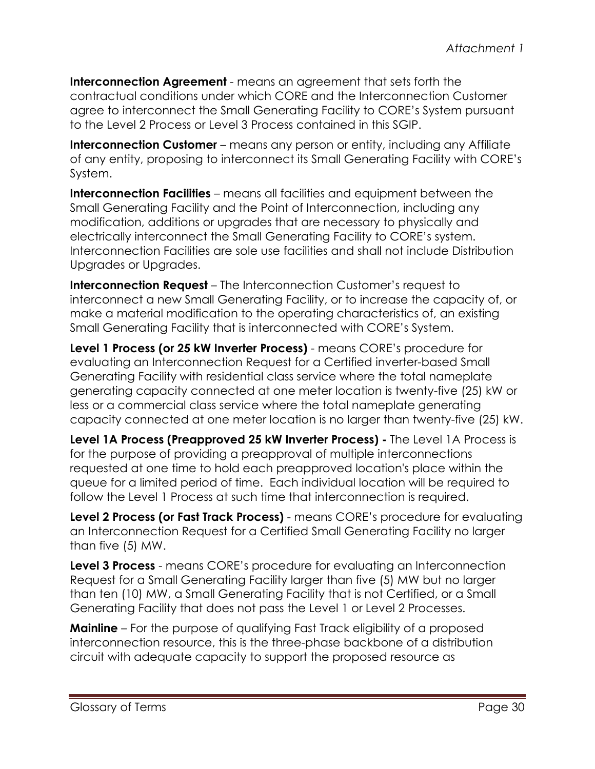**Interconnection Agreement** - means an agreement that sets forth the contractual conditions under which CORE and the Interconnection Customer agree to interconnect the Small Generating Facility to CORE's System pursuant to the Level 2 Process or Level 3 Process contained in this SGIP.

**Interconnection Customer** – means any person or entity, including any Affiliate of any entity, proposing to interconnect its Small Generating Facility with CORE's System.

**Interconnection Facilities** – means all facilities and equipment between the Small Generating Facility and the Point of Interconnection, including any modification, additions or upgrades that are necessary to physically and electrically interconnect the Small Generating Facility to CORE's system. Interconnection Facilities are sole use facilities and shall not include Distribution Upgrades or Upgrades.

**Interconnection Request** – The Interconnection Customer's request to interconnect a new Small Generating Facility, or to increase the capacity of, or make a material modification to the operating characteristics of, an existing Small Generating Facility that is interconnected with CORE's System.

**Level 1 Process (or 25 kW Inverter Process)** - means CORE's procedure for evaluating an Interconnection Request for a Certified inverter-based Small Generating Facility with residential class service where the total nameplate generating capacity connected at one meter location is twenty-five (25) kW or less or a commercial class service where the total nameplate generating capacity connected at one meter location is no larger than twenty-five (25) kW.

**Level 1A Process (Preapproved 25 kW Inverter Process) -** The Level 1A Process is for the purpose of providing a preapproval of multiple interconnections requested at one time to hold each preapproved location's place within the queue for a limited period of time. Each individual location will be required to follow the Level 1 Process at such time that interconnection is required.

**Level 2 Process (or Fast Track Process)** - means CORE's procedure for evaluating an Interconnection Request for a Certified Small Generating Facility no larger than five (5) MW.

**Level 3 Process** - means CORE's procedure for evaluating an Interconnection Request for a Small Generating Facility larger than five (5) MW but no larger than ten (10) MW, a Small Generating Facility that is not Certified, or a Small Generating Facility that does not pass the Level 1 or Level 2 Processes.

**Mainline** – For the purpose of qualifying Fast Track eligibility of a proposed interconnection resource, this is the three-phase backbone of a distribution circuit with adequate capacity to support the proposed resource as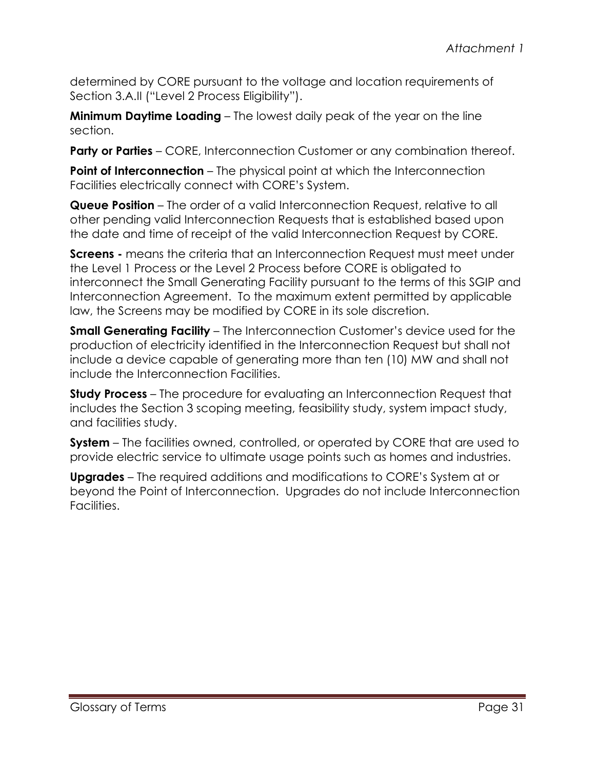determined by CORE pursuant to the voltage and location requirements of Section 3.A.II ("Level 2 Process Eligibility").

**Minimum Daytime Loading** – The lowest daily peak of the year on the line section.

**Party or Parties** – CORE, Interconnection Customer or any combination thereof.

**Point of Interconnection** – The physical point at which the Interconnection Facilities electrically connect with CORE's System.

**Queue Position** – The order of a valid Interconnection Request, relative to all other pending valid Interconnection Requests that is established based upon the date and time of receipt of the valid Interconnection Request by CORE.

**Screens** - means the criteria that an Interconnection Request must meet under the Level 1 Process or the Level 2 Process before CORE is obligated to interconnect the Small Generating Facility pursuant to the terms of this SGIP and Interconnection Agreement. To the maximum extent permitted by applicable law, the Screens may be modified by CORE in its sole discretion.

**Small Generating Facility** – The Interconnection Customer's device used for the production of electricity identified in the Interconnection Request but shall not include a device capable of generating more than ten (10) MW and shall not include the Interconnection Facilities.

**Study Process** – The procedure for evaluating an Interconnection Request that includes the Section 3 scoping meeting, feasibility study, system impact study, and facilities study.

**System** – The facilities owned, controlled, or operated by CORE that are used to provide electric service to ultimate usage points such as homes and industries.

**Upgrades** – The required additions and modifications to CORE's System at or beyond the Point of Interconnection. Upgrades do not include Interconnection Facilities.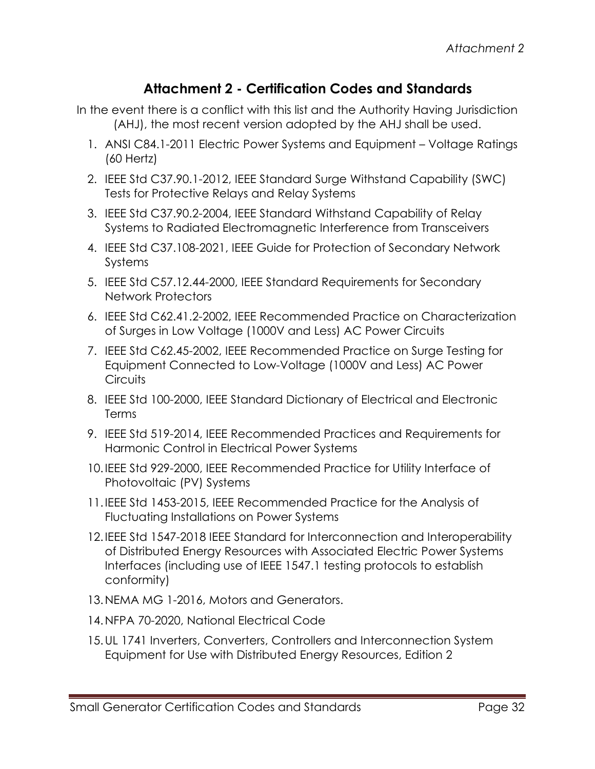## **Attachment 2 - Certification Codes and Standards**

- In the event there is a conflict with this list and the Authority Having Jurisdiction (AHJ), the most recent version adopted by the AHJ shall be used.
	- 1. ANSI C84.1-2011 Electric Power Systems and Equipment Voltage Ratings (60 Hertz)
	- 2. IEEE Std C37.90.1-2012, IEEE Standard Surge Withstand Capability (SWC) Tests for Protective Relays and Relay Systems
	- 3. IEEE Std C37.90.2-2004, IEEE Standard Withstand Capability of Relay Systems to Radiated Electromagnetic Interference from Transceivers
	- 4. IEEE Std C37.108-2021, IEEE Guide for Protection of Secondary Network Systems
	- 5. IEEE Std C57.12.44-2000, IEEE Standard Requirements for Secondary Network Protectors
	- 6. IEEE Std C62.41.2-2002, IEEE Recommended Practice on Characterization of Surges in Low Voltage (1000V and Less) AC Power Circuits
	- 7. IEEE Std C62.45-2002, IEEE Recommended Practice on Surge Testing for Equipment Connected to Low-Voltage (1000V and Less) AC Power **Circuits**
	- 8. IEEE Std 100-2000, IEEE Standard Dictionary of Electrical and Electronic Terms
	- 9. IEEE Std 519-2014, IEEE Recommended Practices and Requirements for Harmonic Control in Electrical Power Systems
	- 10.IEEE Std 929-2000, IEEE Recommended Practice for Utility Interface of Photovoltaic (PV) Systems
	- 11.IEEE Std 1453-2015, IEEE Recommended Practice for the Analysis of Fluctuating Installations on Power Systems
	- 12.IEEE Std 1547-2018 IEEE Standard for Interconnection and Interoperability of Distributed Energy Resources with Associated Electric Power Systems Interfaces (including use of IEEE 1547.1 testing protocols to establish conformity)
	- 13.NEMA MG 1-2016, Motors and Generators.
	- 14.NFPA 70-2020, National Electrical Code
	- 15.UL 1741 Inverters, Converters, Controllers and Interconnection System Equipment for Use with Distributed Energy Resources, Edition 2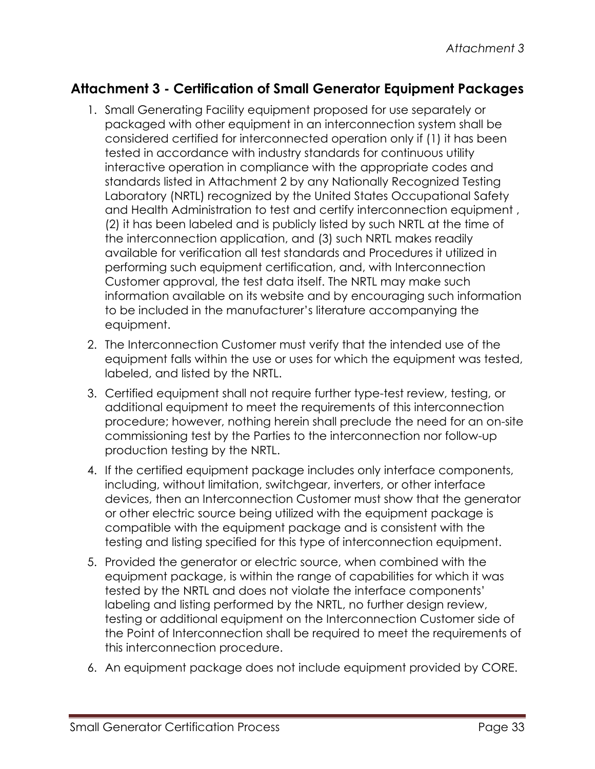## **Attachment 3 - Certification of Small Generator Equipment Packages**

- 1. Small Generating Facility equipment proposed for use separately or packaged with other equipment in an interconnection system shall be considered certified for interconnected operation only if (1) it has been tested in accordance with industry standards for continuous utility interactive operation in compliance with the appropriate codes and standards listed in Attachment 2 by any Nationally Recognized Testing Laboratory (NRTL) recognized by the United States Occupational Safety and Health Administration to test and certify interconnection equipment , (2) it has been labeled and is publicly listed by such NRTL at the time of the interconnection application, and (3) such NRTL makes readily available for verification all test standards and Procedures it utilized in performing such equipment certification, and, with Interconnection Customer approval, the test data itself. The NRTL may make such information available on its website and by encouraging such information to be included in the manufacturer's literature accompanying the equipment.
- 2. The Interconnection Customer must verify that the intended use of the equipment falls within the use or uses for which the equipment was tested, labeled, and listed by the NRTL.
- 3. Certified equipment shall not require further type-test review, testing, or additional equipment to meet the requirements of this interconnection procedure; however, nothing herein shall preclude the need for an on-site commissioning test by the Parties to the interconnection nor follow-up production testing by the NRTL.
- 4. If the certified equipment package includes only interface components, including, without limitation, switchgear, inverters, or other interface devices, then an Interconnection Customer must show that the generator or other electric source being utilized with the equipment package is compatible with the equipment package and is consistent with the testing and listing specified for this type of interconnection equipment.
- 5. Provided the generator or electric source, when combined with the equipment package, is within the range of capabilities for which it was tested by the NRTL and does not violate the interface components' labeling and listing performed by the NRTL, no further design review, testing or additional equipment on the Interconnection Customer side of the Point of Interconnection shall be required to meet the requirements of this interconnection procedure.
- 6. An equipment package does not include equipment provided by CORE.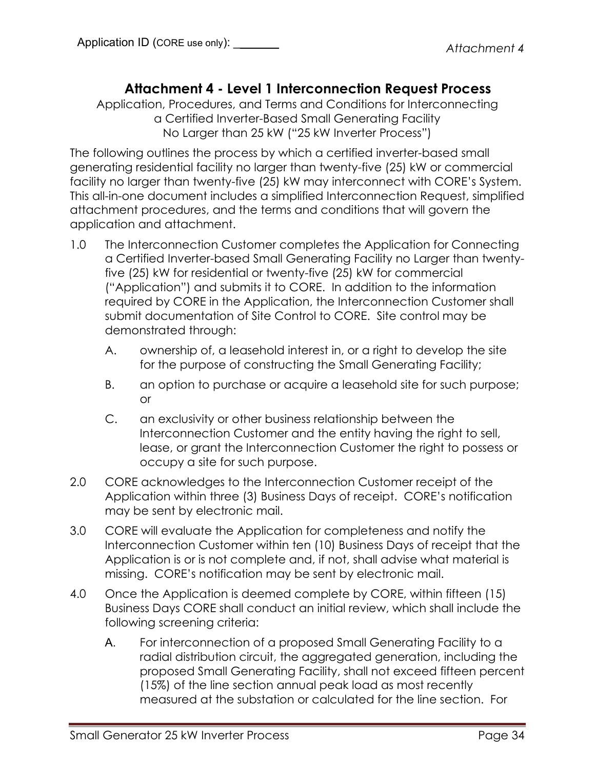## **Attachment 4 - Level 1 Interconnection Request Process**

Application, Procedures, and Terms and Conditions for Interconnecting a Certified Inverter-Based Small Generating Facility No Larger than 25 kW ("25 kW Inverter Process")

The following outlines the process by which a certified inverter-based small generating residential facility no larger than twenty-five (25) kW or commercial facility no larger than twenty-five (25) kW may interconnect with CORE's System. This all-in-one document includes a simplified Interconnection Request, simplified attachment procedures, and the terms and conditions that will govern the application and attachment.

- 1.0 The Interconnection Customer completes the Application for Connecting a Certified Inverter-based Small Generating Facility no Larger than twentyfive (25) kW for residential or twenty-five (25) kW for commercial ("Application") and submits it to CORE. In addition to the information required by CORE in the Application, the Interconnection Customer shall submit documentation of Site Control to CORE. Site control may be demonstrated through:
	- A. ownership of, a leasehold interest in, or a right to develop the site for the purpose of constructing the Small Generating Facility;
	- B. an option to purchase or acquire a leasehold site for such purpose; or
	- C. an exclusivity or other business relationship between the Interconnection Customer and the entity having the right to sell, lease, or grant the Interconnection Customer the right to possess or occupy a site for such purpose.
- 2.0 CORE acknowledges to the Interconnection Customer receipt of the Application within three (3) Business Days of receipt. CORE's notification may be sent by electronic mail.
- 3.0 CORE will evaluate the Application for completeness and notify the Interconnection Customer within ten (10) Business Days of receipt that the Application is or is not complete and, if not, shall advise what material is missing. CORE's notification may be sent by electronic mail.
- 4.0 Once the Application is deemed complete by CORE, within fifteen (15) Business Days CORE shall conduct an initial review, which shall include the following screening criteria:
	- A. For interconnection of a proposed Small Generating Facility to a radial distribution circuit, the aggregated generation, including the proposed Small Generating Facility, shall not exceed fifteen percent (15%) of the line section annual peak load as most recently measured at the substation or calculated for the line section. For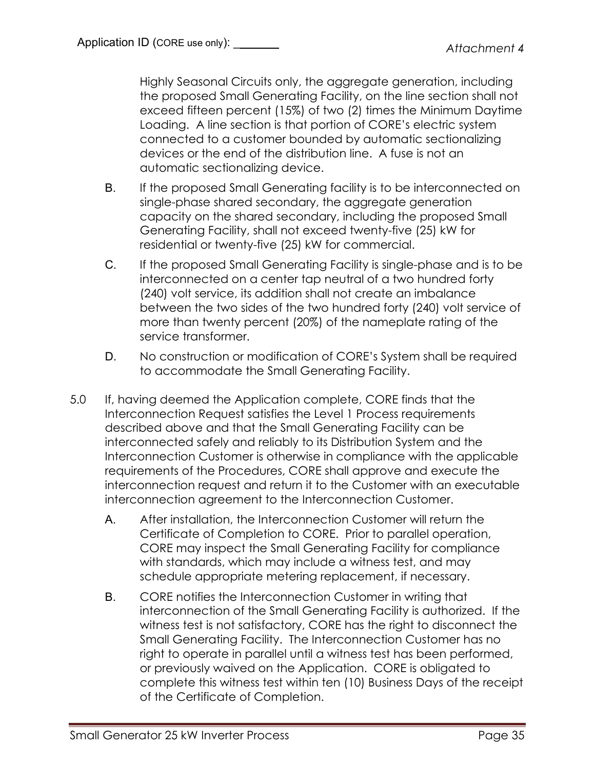Highly Seasonal Circuits only, the aggregate generation, including the proposed Small Generating Facility, on the line section shall not exceed fifteen percent (15%) of two (2) times the Minimum Daytime Loading. A line section is that portion of CORE's electric system connected to a customer bounded by automatic sectionalizing devices or the end of the distribution line. A fuse is not an automatic sectionalizing device.

- B. If the proposed Small Generating facility is to be interconnected on single-phase shared secondary, the aggregate generation capacity on the shared secondary, including the proposed Small Generating Facility, shall not exceed twenty-five (25) kW for residential or twenty-five (25) kW for commercial.
- C. If the proposed Small Generating Facility is single-phase and is to be interconnected on a center tap neutral of a two hundred forty (240) volt service, its addition shall not create an imbalance between the two sides of the two hundred forty (240) volt service of more than twenty percent (20%) of the nameplate rating of the service transformer.
- D. No construction or modification of CORE's System shall be required to accommodate the Small Generating Facility.
- 5.0 If, having deemed the Application complete, CORE finds that the Interconnection Request satisfies the Level 1 Process requirements described above and that the Small Generating Facility can be interconnected safely and reliably to its Distribution System and the Interconnection Customer is otherwise in compliance with the applicable requirements of the Procedures, CORE shall approve and execute the interconnection request and return it to the Customer with an executable interconnection agreement to the Interconnection Customer.
	- A. After installation, the Interconnection Customer will return the Certificate of Completion to CORE. Prior to parallel operation, CORE may inspect the Small Generating Facility for compliance with standards, which may include a witness test, and may schedule appropriate metering replacement, if necessary.
	- B. CORE notifies the Interconnection Customer in writing that interconnection of the Small Generating Facility is authorized. If the witness test is not satisfactory, CORE has the right to disconnect the Small Generating Facility. The Interconnection Customer has no right to operate in parallel until a witness test has been performed, or previously waived on the Application. CORE is obligated to complete this witness test within ten (10) Business Days of the receipt of the Certificate of Completion.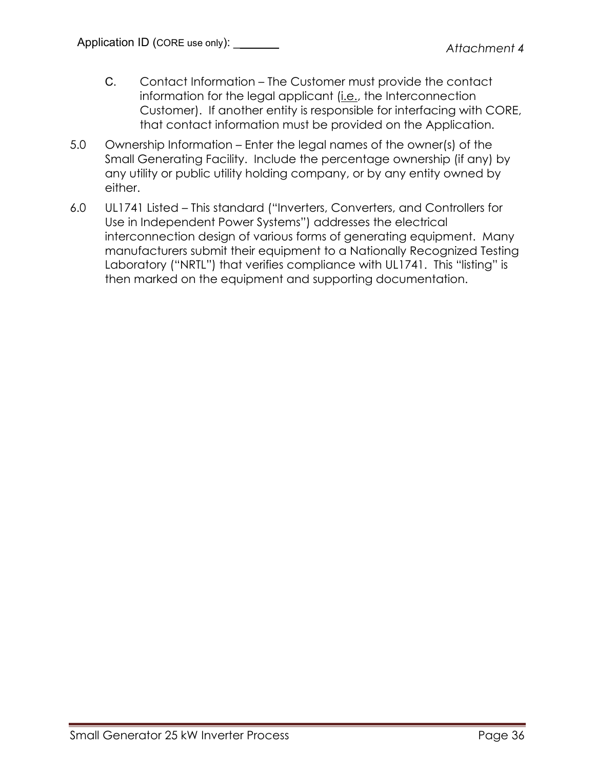- C. Contact Information The Customer must provide the contact information for the legal applicant (i.e., the Interconnection Customer). If another entity is responsible for interfacing with CORE, that contact information must be provided on the Application.
- 5.0 Ownership Information Enter the legal names of the owner(s) of the Small Generating Facility. Include the percentage ownership (if any) by any utility or public utility holding company, or by any entity owned by either.
- 6.0 UL1741 Listed This standard ("Inverters, Converters, and Controllers for Use in Independent Power Systems") addresses the electrical interconnection design of various forms of generating equipment. Many manufacturers submit their equipment to a Nationally Recognized Testing Laboratory ("NRTL") that verifies compliance with UL1741. This "listing" is then marked on the equipment and supporting documentation.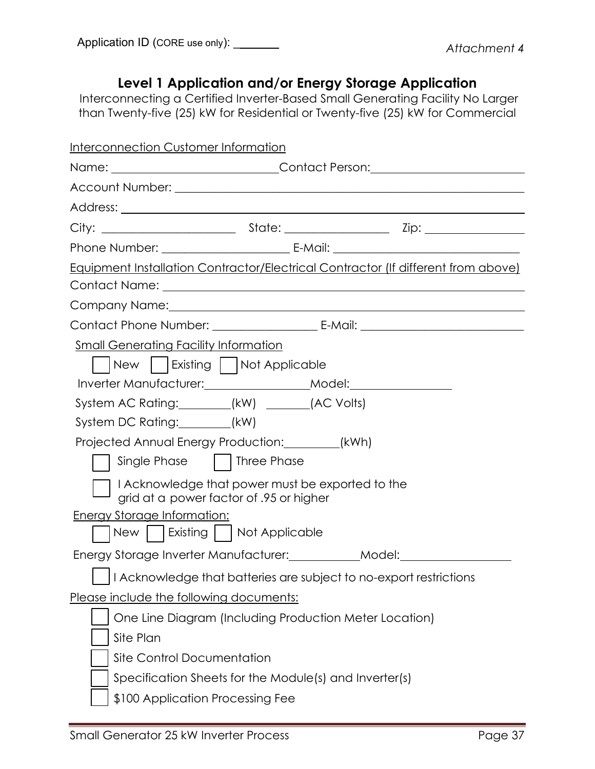# **Level 1 Application and/or Energy Storage Application**

Interconnecting a Certified Inverter-Based Small Generating Facility No Larger than Twenty-five (25) kW for Residential or Twenty-five (25) kW for Commercial

| <b>Interconnection Customer Information</b>                                                 |  |
|---------------------------------------------------------------------------------------------|--|
| Name: _____________________________Contact Person:______________________________            |  |
|                                                                                             |  |
|                                                                                             |  |
|                                                                                             |  |
|                                                                                             |  |
| Equipment Installation Contractor/Electrical Contractor (If different from above)           |  |
|                                                                                             |  |
|                                                                                             |  |
|                                                                                             |  |
| Small Generating Facility Information                                                       |  |
| New     Existing     Not Applicable                                                         |  |
| Inverter Manufacturer: ___________________Model: _______________________________            |  |
| System AC Rating: _______(kW) ______(AC Volts)                                              |  |
| System DC Rating: _______(kW)                                                               |  |
| Projected Annual Energy Production: ________(kWh)                                           |  |
| Single Phase     Three Phase                                                                |  |
| I Acknowledge that power must be exported to the<br>grid at a power factor of .95 or higher |  |
| <b>Energy Storage Information:</b>                                                          |  |
| New     Existing     Not Applicable                                                         |  |
| Energy Storage Inverter Manufacturer: ____________Model: _______________________            |  |
| Acknowledge that batteries are subject to no-export restrictions                            |  |
| Please include the following documents:                                                     |  |
| One Line Diagram (Including Production Meter Location)                                      |  |
| Site Plan                                                                                   |  |
| Site Control Documentation                                                                  |  |
| Specification Sheets for the Module(s) and Inverter(s)                                      |  |
| \$100 Application Processing Fee                                                            |  |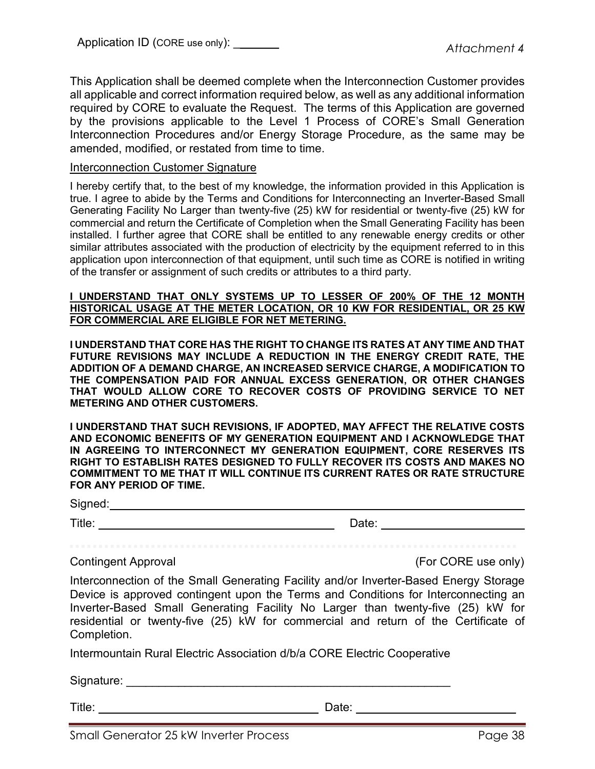This Application shall be deemed complete when the Interconnection Customer provides all applicable and correct information required below, as well as any additional information required by CORE to evaluate the Request. The terms of this Application are governed by the provisions applicable to the Level 1 Process of CORE's Small Generation Interconnection Procedures and/or Energy Storage Procedure, as the same may be amended, modified, or restated from time to time.

#### Interconnection Customer Signature

I hereby certify that, to the best of my knowledge, the information provided in this Application is true. I agree to abide by the Terms and Conditions for Interconnecting an Inverter-Based Small Generating Facility No Larger than twenty-five (25) kW for residential or twenty-five (25) kW for commercial and return the Certificate of Completion when the Small Generating Facility has been installed. I further agree that CORE shall be entitled to any renewable energy credits or other similar attributes associated with the production of electricity by the equipment referred to in this application upon interconnection of that equipment, until such time as CORE is notified in writing of the transfer or assignment of such credits or attributes to a third party.

#### **I UNDERSTAND THAT ONLY SYSTEMS UP TO LESSER OF 200% OF THE 12 MONTH HISTORICAL USAGE AT THE METER LOCATION, OR 10 KW FOR RESIDENTIAL, OR 25 KW FOR COMMERCIAL ARE ELIGIBLE FOR NET METERING.**

**I UNDERSTAND THAT CORE HAS THE RIGHT TO CHANGE ITS RATES AT ANY TIME AND THAT FUTURE REVISIONS MAY INCLUDE A REDUCTION IN THE ENERGY CREDIT RATE, THE ADDITION OF A DEMAND CHARGE, AN INCREASED SERVICE CHARGE, A MODIFICATION TO THE COMPENSATION PAID FOR ANNUAL EXCESS GENERATION, OR OTHER CHANGES THAT WOULD ALLOW CORE TO RECOVER COSTS OF PROVIDING SERVICE TO NET METERING AND OTHER CUSTOMERS.** 

**I UNDERSTAND THAT SUCH REVISIONS, IF ADOPTED, MAY AFFECT THE RELATIVE COSTS AND ECONOMIC BENEFITS OF MY GENERATION EQUIPMENT AND I ACKNOWLEDGE THAT IN AGREEING TO INTERCONNECT MY GENERATION EQUIPMENT, CORE RESERVES ITS RIGHT TO ESTABLISH RATES DESIGNED TO FULLY RECOVER ITS COSTS AND MAKES NO COMMITMENT TO ME THAT IT WILL CONTINUE ITS CURRENT RATES OR RATE STRUCTURE FOR ANY PERIOD OF TIME.**

Signed:

### Title: Date: Date: Date: Date: Date: Date: Date: Date: Date: Date: Date: Date: Date: Date: Date: Date: Date: Date: Date: Date: Date: Date: Date: Date: Date: Date: Date: Date: Date: Date: Date: Date: Date: Date: Date: Date:

Contingent Approval (For CORE use only)

Interconnection of the Small Generating Facility and/or Inverter-Based Energy Storage Device is approved contingent upon the Terms and Conditions for Interconnecting an Inverter-Based Small Generating Facility No Larger than twenty-five (25) kW for residential or twenty-five (25) kW for commercial and return of the Certificate of Completion.

Intermountain Rural Electric Association d/b/a CORE Electric Cooperative

Signature: \_\_\_\_\_\_\_\_\_\_\_\_\_\_\_\_\_\_\_\_\_\_\_\_\_\_\_\_\_\_\_\_\_\_\_\_\_\_\_\_\_\_\_\_\_\_\_\_\_\_

Title: Date: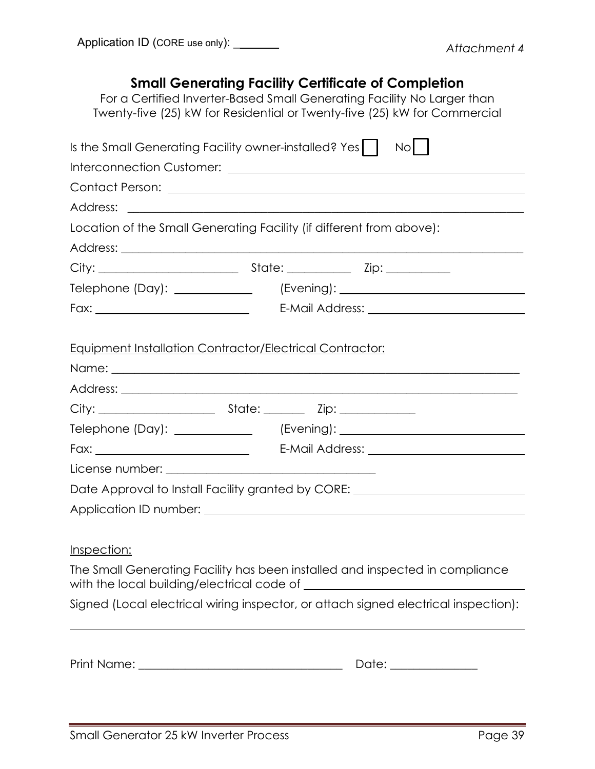## **Small Generating Facility Certificate of Completion**

For a Certified Inverter-Based Small Generating Facility No Larger than Twenty-five (25) kW for Residential or Twenty-five (25) kW for Commercial

| Is the Small Generating Facility owner-installed? Yes     No                                                                                                                                                                         |                      |
|--------------------------------------------------------------------------------------------------------------------------------------------------------------------------------------------------------------------------------------|----------------------|
|                                                                                                                                                                                                                                      |                      |
|                                                                                                                                                                                                                                      |                      |
|                                                                                                                                                                                                                                      |                      |
| Location of the Small Generating Facility (if different from above):                                                                                                                                                                 |                      |
|                                                                                                                                                                                                                                      |                      |
|                                                                                                                                                                                                                                      |                      |
|                                                                                                                                                                                                                                      |                      |
|                                                                                                                                                                                                                                      |                      |
| <b>Equipment Installation Contractor/Electrical Contractor:</b>                                                                                                                                                                      |                      |
|                                                                                                                                                                                                                                      |                      |
|                                                                                                                                                                                                                                      |                      |
|                                                                                                                                                                                                                                      |                      |
|                                                                                                                                                                                                                                      |                      |
|                                                                                                                                                                                                                                      |                      |
| Date Approval to Install Facility granted by CORE: _____________________________                                                                                                                                                     |                      |
| Application ID number: <u>contract to the contract of the contract of the contract of the contract of the contract of the contract of the contract of the contract of the contract of the contract of the contract of the contra</u> |                      |
| Inspection:<br>The Small Generating Facility has been installed and inspected in compliance                                                                                                                                          |                      |
| Signed (Local electrical wiring inspector, or attach signed electrical inspection):                                                                                                                                                  |                      |
|                                                                                                                                                                                                                                      | Date: ______________ |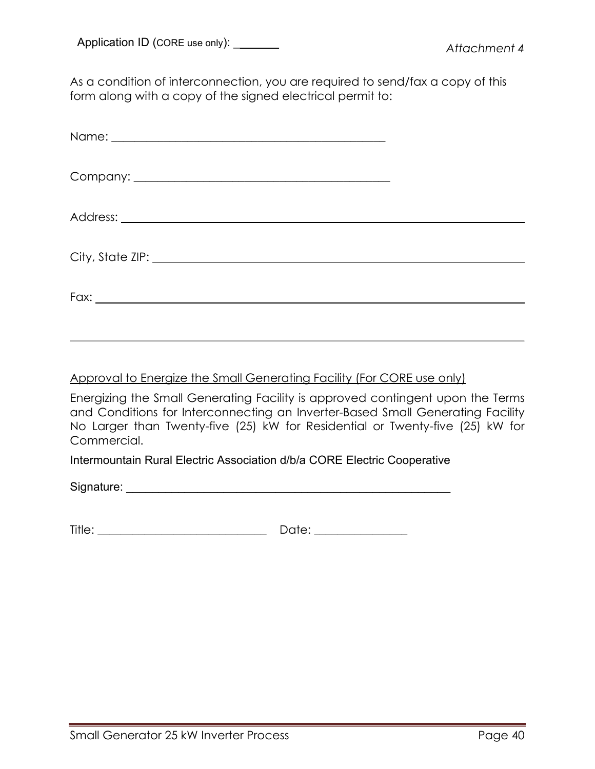As a condition of interconnection, you are required to send/fax a copy of this form along with a copy of the signed electrical permit to:

### Approval to Energize the Small Generating Facility (For CORE use only)

Energizing the Small Generating Facility is approved contingent upon the Terms and Conditions for Interconnecting an Inverter-Based Small Generating Facility No Larger than Twenty-five (25) kW for Residential or Twenty-five (25) kW for Commercial.

Intermountain Rural Electric Association d/b/a CORE Electric Cooperative

Signature: \_\_\_\_\_\_\_\_\_\_\_\_\_\_\_\_\_\_\_\_\_\_\_\_\_\_\_\_\_\_\_\_\_\_\_\_\_\_\_\_\_\_\_\_\_\_\_\_\_\_

| Title: | 7+∽.<br>$\tilde{}$<br>$\ddotsc$ |
|--------|---------------------------------|
|        |                                 |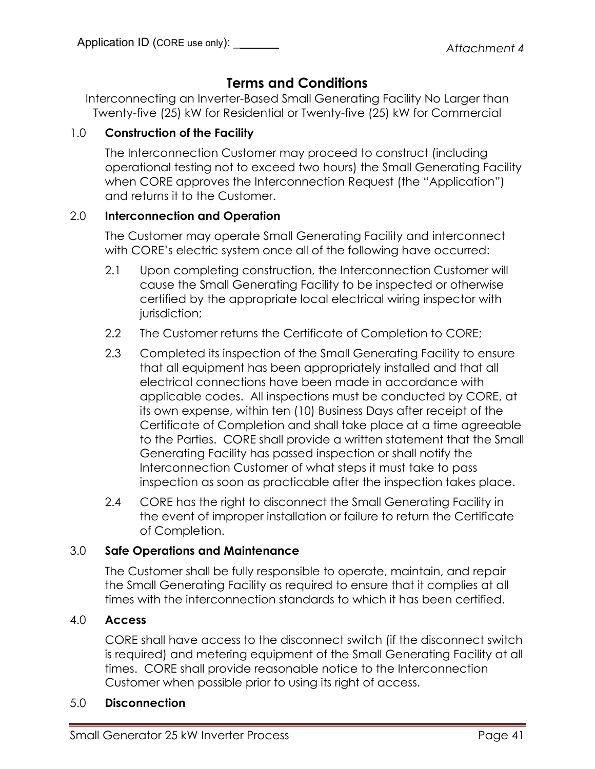# **Terms and Conditions**

Interconnecting an Inverter-Based Small Generating Facility No Larger than Twenty-five (25) kW for Residential or Twenty-five (25) kW for Commercial

### 1.0 **Construction of the Facility**

The Interconnection Customer may proceed to construct (including operational testing not to exceed two hours) the Small Generating Facility when CORE approves the Interconnection Request (the "Application") and returns it to the Customer.

### 2.0 **Interconnection and Operation**

The Customer may operate Small Generating Facility and interconnect with CORE's electric system once all of the following have occurred:

- 2.1 Upon completing construction, the Interconnection Customer will cause the Small Generating Facility to be inspected or otherwise certified by the appropriate local electrical wiring inspector with jurisdiction;
- 2.2 The Customer returns the Certificate of Completion to CORE;
- 2.3 Completed its inspection of the Small Generating Facility to ensure that all equipment has been appropriately installed and that all electrical connections have been made in accordance with applicable codes. All inspections must be conducted by CORE, at its own expense, within ten (10) Business Days after receipt of the Certificate of Completion and shall take place at a time agreeable to the Parties. CORE shall provide a written statement that the Small Generating Facility has passed inspection or shall notify the Interconnection Customer of what steps it must take to pass inspection as soon as practicable after the inspection takes place.
- 2.4 CORE has the right to disconnect the Small Generating Facility in the event of improper installation or failure to return the Certificate of Completion.

### 3.0 **Safe Operations and Maintenance**

The Customer shall be fully responsible to operate, maintain, and repair the Small Generating Facility as required to ensure that it complies at all times with the interconnection standards to which it has been certified.

### 4.0 **Access**

CORE shall have access to the disconnect switch (if the disconnect switch is required) and metering equipment of the Small Generating Facility at all times. CORE shall provide reasonable notice to the Interconnection Customer when possible prior to using its right of access.

### 5.0 **Disconnection**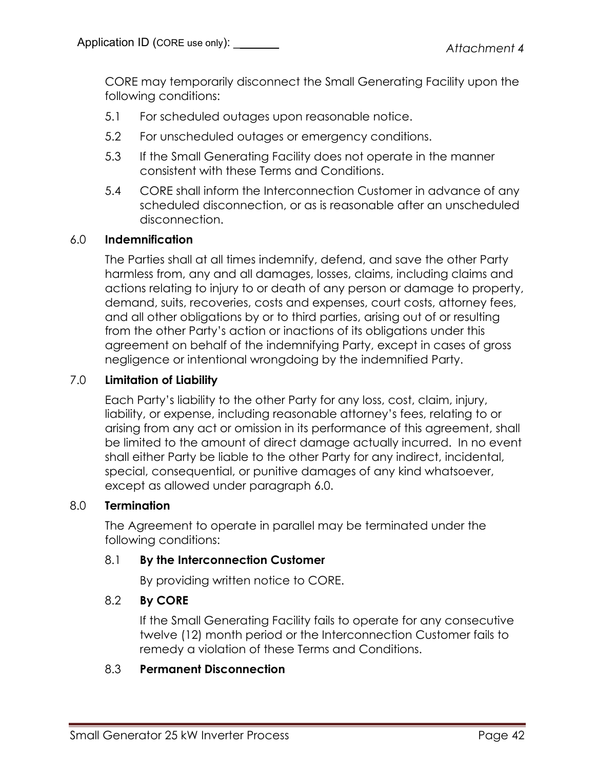CORE may temporarily disconnect the Small Generating Facility upon the following conditions:

- 5.1 For scheduled outages upon reasonable notice.
- 5.2 For unscheduled outages or emergency conditions.
- 5.3 If the Small Generating Facility does not operate in the manner consistent with these Terms and Conditions.
- 5.4 CORE shall inform the Interconnection Customer in advance of any scheduled disconnection, or as is reasonable after an unscheduled disconnection.

### 6.0 **Indemnification**

The Parties shall at all times indemnify, defend, and save the other Party harmless from, any and all damages, losses, claims, including claims and actions relating to injury to or death of any person or damage to property, demand, suits, recoveries, costs and expenses, court costs, attorney fees, and all other obligations by or to third parties, arising out of or resulting from the other Party's action or inactions of its obligations under this agreement on behalf of the indemnifying Party, except in cases of gross negligence or intentional wrongdoing by the indemnified Party.

### 7.0 **Limitation of Liability**

Each Party's liability to the other Party for any loss, cost, claim, injury, liability, or expense, including reasonable attorney's fees, relating to or arising from any act or omission in its performance of this agreement, shall be limited to the amount of direct damage actually incurred. In no event shall either Party be liable to the other Party for any indirect, incidental, special, consequential, or punitive damages of any kind whatsoever, except as allowed under paragraph 6.0.

### 8.0 **Termination**

The Agreement to operate in parallel may be terminated under the following conditions:

### 8.1 **By the Interconnection Customer**

By providing written notice to CORE.

### 8.2 **By CORE**

If the Small Generating Facility fails to operate for any consecutive twelve (12) month period or the Interconnection Customer fails to remedy a violation of these Terms and Conditions.

### 8.3 **Permanent Disconnection**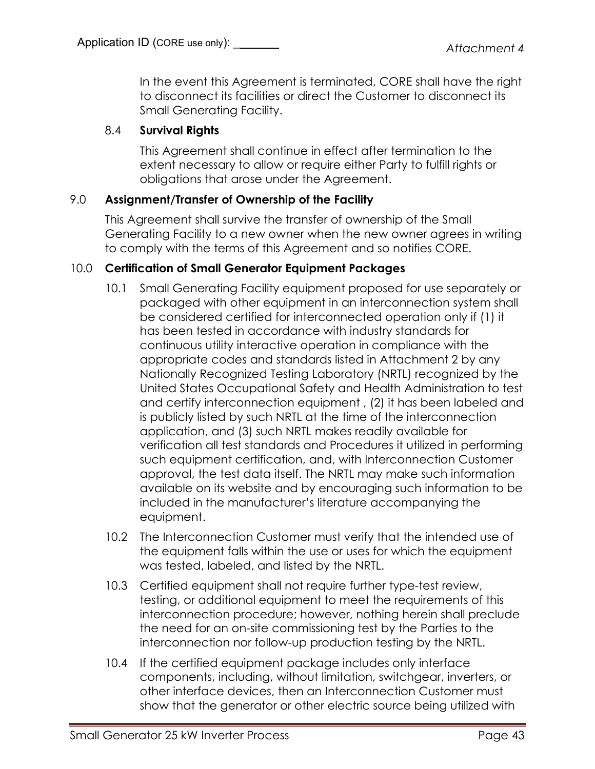In the event this Agreement is terminated, CORE shall have the right to disconnect its facilities or direct the Customer to disconnect its Small Generating Facility.

### 8.4 **Survival Rights**

This Agreement shall continue in effect after termination to the extent necessary to allow or require either Party to fulfill rights or obligations that arose under the Agreement.

### 9.0 **Assignment/Transfer of Ownership of the Facility**

This Agreement shall survive the transfer of ownership of the Small Generating Facility to a new owner when the new owner agrees in writing to comply with the terms of this Agreement and so notifies CORE.

### 10.0 **Certification of Small Generator Equipment Packages**

- 10.1 Small Generating Facility equipment proposed for use separately or packaged with other equipment in an interconnection system shall be considered certified for interconnected operation only if (1) it has been tested in accordance with industry standards for continuous utility interactive operation in compliance with the appropriate codes and standards listed in Attachment 2 by any Nationally Recognized Testing Laboratory (NRTL) recognized by the United States Occupational Safety and Health Administration to test and certify interconnection equipment , (2) it has been labeled and is publicly listed by such NRTL at the time of the interconnection application, and (3) such NRTL makes readily available for verification all test standards and Procedures it utilized in performing such equipment certification, and, with Interconnection Customer approval, the test data itself. The NRTL may make such information available on its website and by encouraging such information to be included in the manufacturer's literature accompanying the equipment.
- 10.2 The Interconnection Customer must verify that the intended use of the equipment falls within the use or uses for which the equipment was tested, labeled, and listed by the NRTL.
- 10.3 Certified equipment shall not require further type-test review, testing, or additional equipment to meet the requirements of this interconnection procedure; however, nothing herein shall preclude the need for an on-site commissioning test by the Parties to the interconnection nor follow-up production testing by the NRTL.
- 10.4 If the certified equipment package includes only interface components, including, without limitation, switchgear, inverters, or other interface devices, then an Interconnection Customer must show that the generator or other electric source being utilized with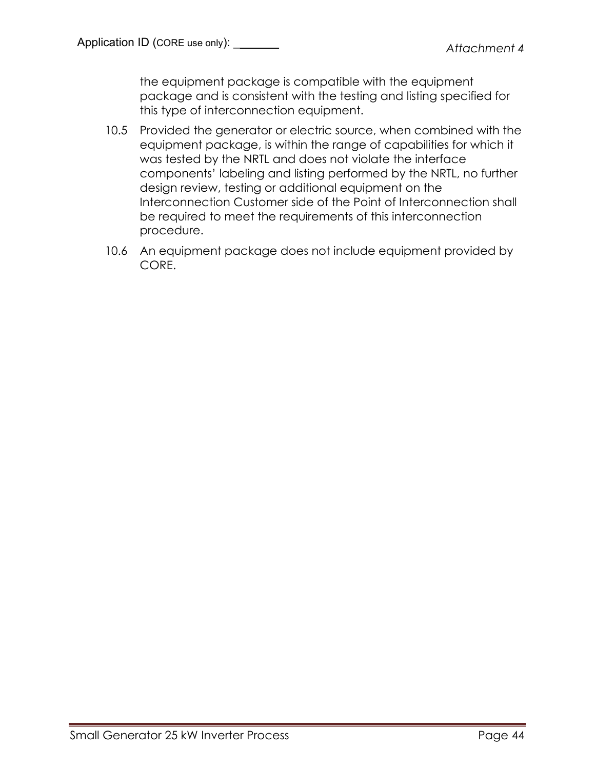the equipment package is compatible with the equipment package and is consistent with the testing and listing specified for this type of interconnection equipment.

- 10.5 Provided the generator or electric source, when combined with the equipment package, is within the range of capabilities for which it was tested by the NRTL and does not violate the interface components' labeling and listing performed by the NRTL, no further design review, testing or additional equipment on the Interconnection Customer side of the Point of Interconnection shall be required to meet the requirements of this interconnection procedure.
- 10.6 An equipment package does not include equipment provided by CORE.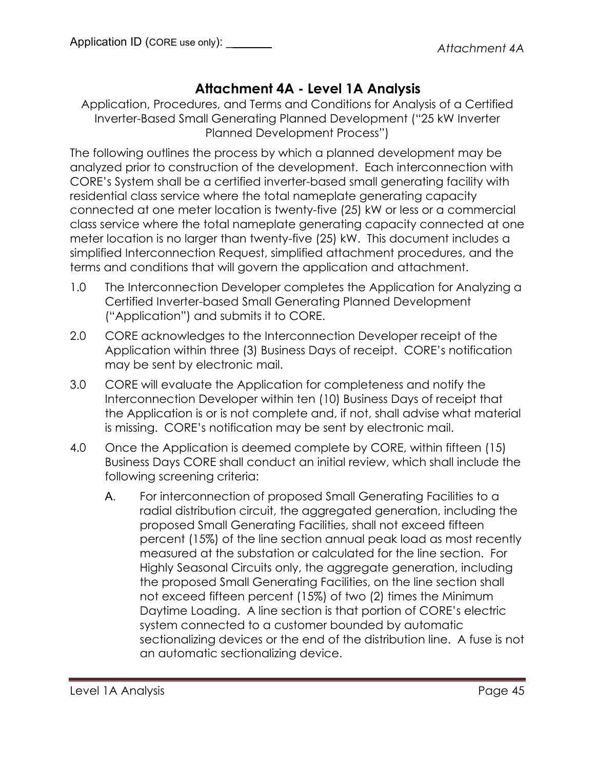# **Attachment 4A - Level 1A Analysis**

Application, Procedures, and Terms and Conditions for Analysis of a Certified Inverter-Based Small Generating Planned Development ("25 kW Inverter Planned Development Process")

The following outlines the process by which a planned development may be analyzed prior to construction of the development. Each interconnection with CORE's System shall be a certified inverter-based small generating facility with residential class service where the total nameplate generating capacity connected at one meter location is twenty-five (25) kW or less or a commercial class service where the total nameplate generating capacity connected at one meter location is no larger than twenty-five (25) kW. This document includes a simplified Interconnection Request, simplified attachment procedures, and the terms and conditions that will govern the application and attachment.

- 1.0 The Interconnection Developer completes the Application for Analyzing a Certified Inverter-based Small Generating Planned Development ("Application") and submits it to CORE.
- 2.0 CORE acknowledges to the Interconnection Developer receipt of the Application within three (3) Business Days of receipt. CORE's notification may be sent by electronic mail.
- 3.0 CORE will evaluate the Application for completeness and notify the Interconnection Developer within ten (10) Business Days of receipt that the Application is or is not complete and, if not, shall advise what material is missing. CORE's notification may be sent by electronic mail.
- 4.0 Once the Application is deemed complete by CORE, within fifteen (15) Business Days CORE shall conduct an initial review, which shall include the following screening criteria:
	- A. For interconnection of proposed Small Generating Facilities to a radial distribution circuit, the aggregated generation, including the proposed Small Generating Facilities, shall not exceed fifteen percent (15%) of the line section annual peak load as most recently measured at the substation or calculated for the line section. For Highly Seasonal Circuits only, the aggregate generation, including the proposed Small Generating Facilities, on the line section shall not exceed fifteen percent (15%) of two (2) times the Minimum Daytime Loading. A line section is that portion of CORE's electric system connected to a customer bounded by automatic sectionalizing devices or the end of the distribution line. A fuse is not an automatic sectionalizing device.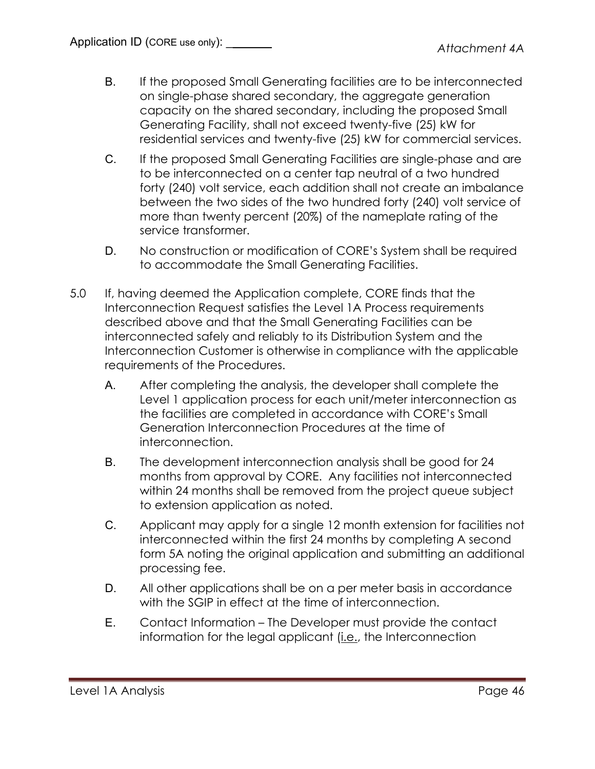- B. If the proposed Small Generating facilities are to be interconnected on single-phase shared secondary, the aggregate generation capacity on the shared secondary, including the proposed Small Generating Facility, shall not exceed twenty-five (25) kW for residential services and twenty-five (25) kW for commercial services.
- C. If the proposed Small Generating Facilities are single-phase and are to be interconnected on a center tap neutral of a two hundred forty (240) volt service, each addition shall not create an imbalance between the two sides of the two hundred forty (240) volt service of more than twenty percent (20%) of the nameplate rating of the service transformer.
- D. No construction or modification of CORE's System shall be required to accommodate the Small Generating Facilities.
- 5.0 If, having deemed the Application complete, CORE finds that the Interconnection Request satisfies the Level 1A Process requirements described above and that the Small Generating Facilities can be interconnected safely and reliably to its Distribution System and the Interconnection Customer is otherwise in compliance with the applicable requirements of the Procedures.
	- A. After completing the analysis, the developer shall complete the Level 1 application process for each unit/meter interconnection as the facilities are completed in accordance with CORE's Small Generation Interconnection Procedures at the time of interconnection.
	- B. The development interconnection analysis shall be good for 24 months from approval by CORE. Any facilities not interconnected within 24 months shall be removed from the project queue subject to extension application as noted.
	- C. Applicant may apply for a single 12 month extension for facilities not interconnected within the first 24 months by completing A second form 5A noting the original application and submitting an additional processing fee.
	- D. All other applications shall be on a per meter basis in accordance with the SGIP in effect at the time of interconnection.
	- E. Contact Information The Developer must provide the contact information for the legal applicant (i.e., the Interconnection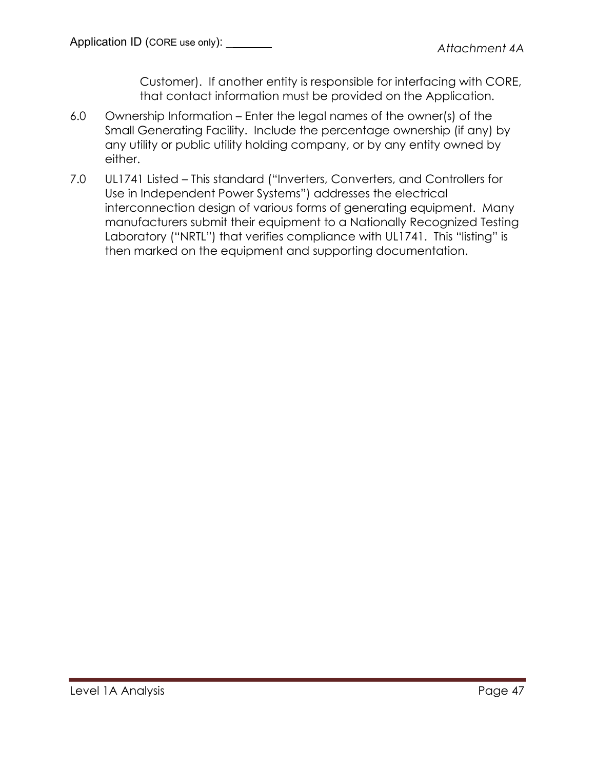Customer). If another entity is responsible for interfacing with CORE, that contact information must be provided on the Application.

- 6.0 Ownership Information Enter the legal names of the owner(s) of the Small Generating Facility. Include the percentage ownership (if any) by any utility or public utility holding company, or by any entity owned by either.
- 7.0 UL1741 Listed This standard ("Inverters, Converters, and Controllers for Use in Independent Power Systems") addresses the electrical interconnection design of various forms of generating equipment. Many manufacturers submit their equipment to a Nationally Recognized Testing Laboratory ("NRTL") that verifies compliance with UL1741. This "listing" is then marked on the equipment and supporting documentation.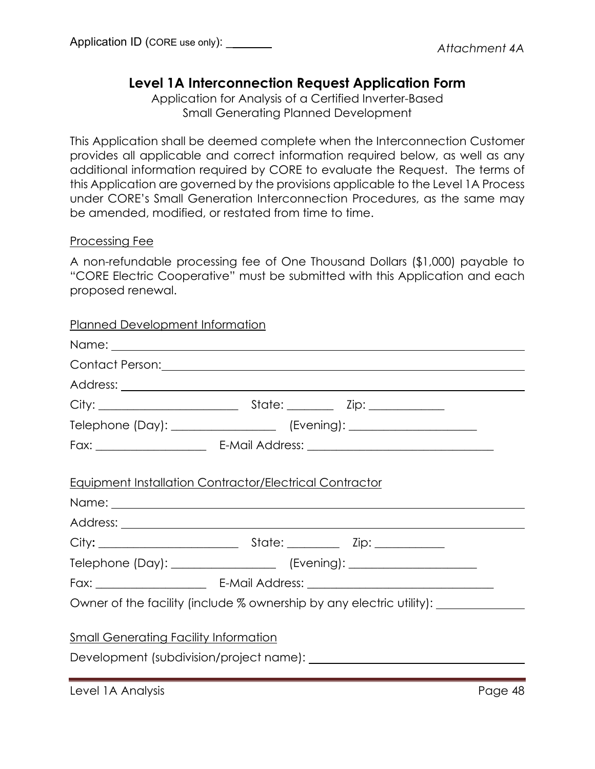# **Level 1A Interconnection Request Application Form**

Application for Analysis of a Certified Inverter-Based Small Generating Planned Development

This Application shall be deemed complete when the Interconnection Customer provides all applicable and correct information required below, as well as any additional information required by CORE to evaluate the Request. The terms of this Application are governed by the provisions applicable to the Level 1A Process under CORE's Small Generation Interconnection Procedures, as the same may be amended, modified, or restated from time to time.

### Processing Fee

A non-refundable processing fee of One Thousand Dollars (\$1,000) payable to "CORE Electric Cooperative" must be submitted with this Application and each proposed renewal.

### Planned Development Information

|                                                                | Telephone (Day): _____________________ (Evening): ______________________________                                                                      |  |
|----------------------------------------------------------------|-------------------------------------------------------------------------------------------------------------------------------------------------------|--|
|                                                                |                                                                                                                                                       |  |
| <b>Equipment Installation Contractor/Electrical Contractor</b> |                                                                                                                                                       |  |
|                                                                |                                                                                                                                                       |  |
|                                                                |                                                                                                                                                       |  |
|                                                                |                                                                                                                                                       |  |
|                                                                | Telephone (Day): _____________________ (Evening): ______________________________                                                                      |  |
|                                                                |                                                                                                                                                       |  |
|                                                                | Owner of the facility (include % ownership by any electric utility):                                                                                  |  |
| <b>Small Generating Facility Information</b>                   |                                                                                                                                                       |  |
|                                                                |                                                                                                                                                       |  |
|                                                                | <u> La componenta de la componenta de la componenta de la componenta de la componenta de la componenta de la compo</u><br>$\sim$ $\sim$ $\sim$ $\sim$ |  |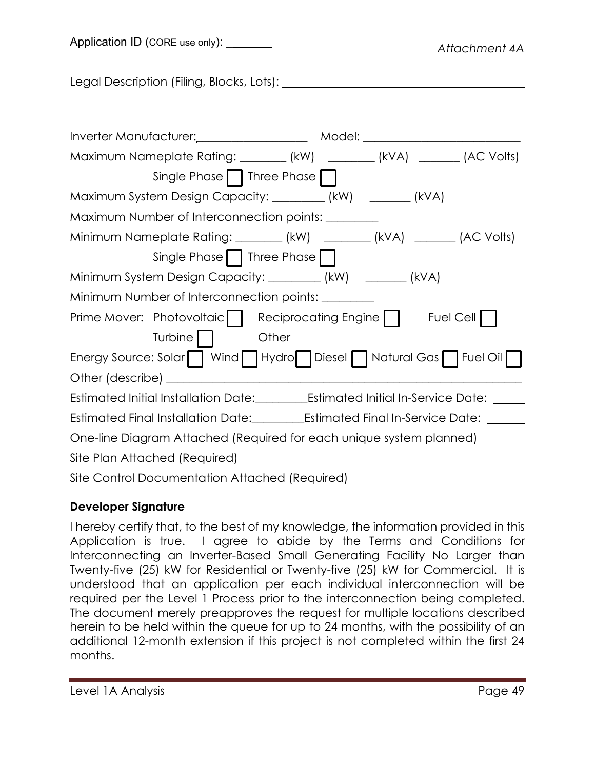Application ID (CORE use only): \_\_\_\_\_\_\_

Legal Description (Filing, Blocks, Lots): \\connection \\connection \\connection \\connection \\connection \\co

| Inverter Manufacturer: Manufacturer: Model: Model: Model: Manufacturer: Manufacturer: Manufacturer: Model: Man |
|----------------------------------------------------------------------------------------------------------------|
| Maximum Nameplate Rating: ________ (kW) ________ (kVA) _______ (AC Volts)                                      |
| Single Phase     Three Phase                                                                                   |
| Maximum System Design Capacity: _________ (kW) _______ (kVA)                                                   |
| Maximum Number of Interconnection points: _______                                                              |
| Minimum Nameplate Rating: ________ (kW) ________ (kVA) _______ (AC Volts)                                      |
| Single Phase     Three Phase                                                                                   |
| Minimum System Design Capacity: _________ (kW) ________ (kVA)                                                  |
| Minimum Number of Interconnection points: _______                                                              |
| Prime Mover: Photovoltaic   Reciprocating Engine     Fuel Cell                                                 |
| Other ______________                                                                                           |
| Energy Source: Solar   Wind   Hydro   Diesel   Natural Gas   Fuel Oil                                          |
| Other (describe) ________                                                                                      |
| Estimated Initial Installation Date:__________Estimated Initial In-Service Date:                               |
| Estimated Final Installation Date:_____________Estimated Final In-Service Date: __                             |
| One-line Diagram Attached (Required for each unique system planned)                                            |
| Site Plan Attached (Required)                                                                                  |
|                                                                                                                |

Site Control Documentation Attached (Required)

# **Developer Signature**

I hereby certify that, to the best of my knowledge, the information provided in this Application is true. I agree to abide by the Terms and Conditions for Interconnecting an Inverter-Based Small Generating Facility No Larger than Twenty-five (25) kW for Residential or Twenty-five (25) kW for Commercial. It is understood that an application per each individual interconnection will be required per the Level 1 Process prior to the interconnection being completed. The document merely preapproves the request for multiple locations described herein to be held within the queue for up to 24 months, with the possibility of an additional 12-month extension if this project is not completed within the first 24 months.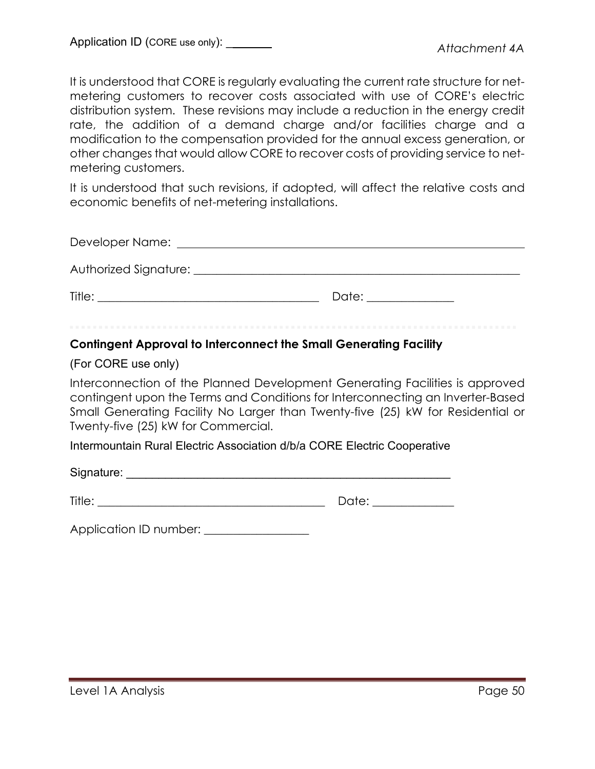It is understood that CORE is regularly evaluating the current rate structure for netmetering customers to recover costs associated with use of CORE's electric distribution system. These revisions may include a reduction in the energy credit rate, the addition of a demand charge and/or facilities charge and a modification to the compensation provided for the annual excess generation, or other changes that would allow CORE to recover costs of providing service to netmetering customers.

It is understood that such revisions, if adopted, will affect the relative costs and economic benefits of net-metering installations.

| Developer Name: when the control of the control of the control of the control of the control of the control of                   |                      |
|----------------------------------------------------------------------------------------------------------------------------------|----------------------|
|                                                                                                                                  |                      |
| Title:<br><u> 1980 - Jan Stein Harry Harry Harry Harry Harry Harry Harry Harry Harry Harry Harry Harry Harry Harry Harry Har</u> | Date: ______________ |

### **Contingent Approval to Interconnect the Small Generating Facility**

### (For CORE use only)

Interconnection of the Planned Development Generating Facilities is approved contingent upon the Terms and Conditions for Interconnecting an Inverter-Based Small Generating Facility No Larger than Twenty-five (25) kW for Residential or Twenty-five (25) kW for Commercial.

Intermountain Rural Electric Association d/b/a CORE Electric Cooperative

Signature: \_\_\_\_\_\_\_\_\_\_\_\_\_\_\_\_\_\_\_\_\_\_\_\_\_\_\_\_\_\_\_\_\_\_\_\_\_\_\_\_\_\_\_\_\_\_\_\_\_\_

| Title: |         |
|--------|---------|
|        | --<br>- |

Application ID number: \_\_\_\_\_\_\_\_\_\_\_\_\_\_\_\_\_\_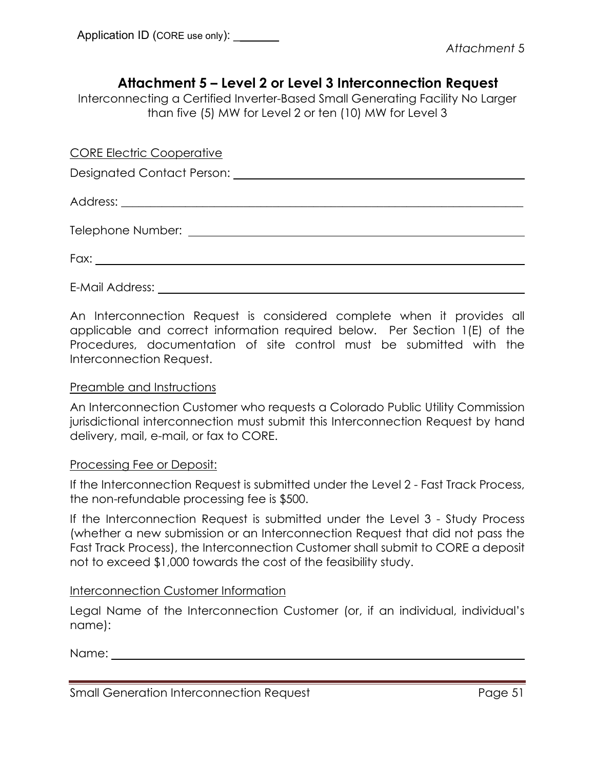## **Attachment 5 – Level 2 or Level 3 Interconnection Request**

Interconnecting a Certified Inverter-Based Small Generating Facility No Larger than five (5) MW for Level 2 or ten (10) MW for Level 3

CORE Electric Cooperative

Designated Contact Person: University of the Contact Person:

Address: \_\_\_\_\_\_\_\_\_\_\_\_\_\_\_\_\_\_\_\_\_\_\_\_\_\_\_\_\_\_\_\_\_\_\_\_\_\_\_\_\_\_\_\_\_\_\_\_\_\_\_\_\_\_\_\_\_\_\_\_\_\_\_\_\_\_\_\_\_

Telephone Number: <u>contract the contract of the contract of the contract of the contract of the contract of the contract of the contract of the contract of the contract of the contract of the contract of the contract of th</u>

Fax:

E-Mail Address:

An Interconnection Request is considered complete when it provides all applicable and correct information required below. Per Section 1(E) of the Procedures, documentation of site control must be submitted with the Interconnection Request.

### Preamble and Instructions

An Interconnection Customer who requests a Colorado Public Utility Commission jurisdictional interconnection must submit this Interconnection Request by hand delivery, mail, e-mail, or fax to CORE.

### Processing Fee or Deposit:

If the Interconnection Request is submitted under the Level 2 - Fast Track Process, the non-refundable processing fee is \$500.

If the Interconnection Request is submitted under the Level 3 - Study Process (whether a new submission or an Interconnection Request that did not pass the Fast Track Process), the Interconnection Customer shall submit to CORE a deposit not to exceed \$1,000 towards the cost of the feasibility study.

### Interconnection Customer Information

Legal Name of the Interconnection Customer (or, if an individual, individual's name):

Name:

| Small Generation Interconnection Request | Page 51 |
|------------------------------------------|---------|
|                                          |         |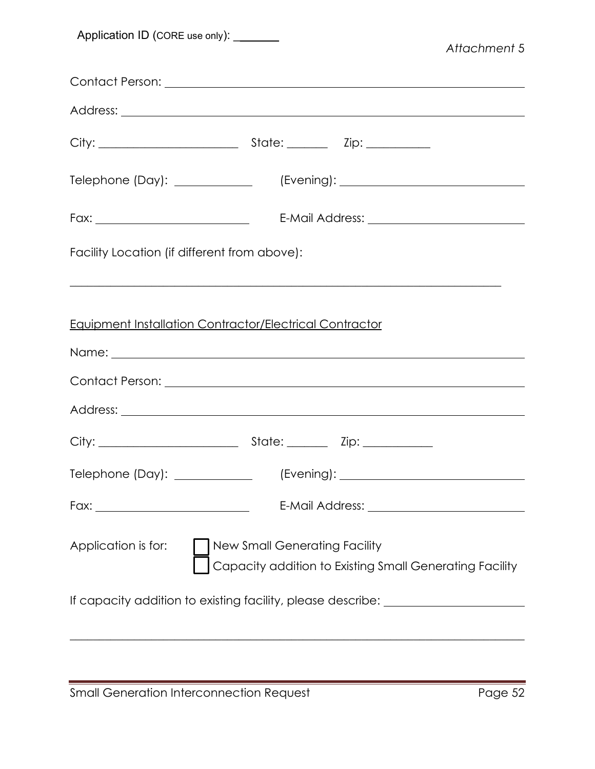| Application ID (CORE use only): _______                                                                                                                                                                                             | Attachment 5 |
|-------------------------------------------------------------------------------------------------------------------------------------------------------------------------------------------------------------------------------------|--------------|
|                                                                                                                                                                                                                                     |              |
|                                                                                                                                                                                                                                     |              |
|                                                                                                                                                                                                                                     |              |
| Telephone (Day): _____________                                                                                                                                                                                                      |              |
|                                                                                                                                                                                                                                     |              |
| Facility Location (if different from above):                                                                                                                                                                                        |              |
| <b>Equipment Installation Contractor/Electrical Contractor</b>                                                                                                                                                                      |              |
|                                                                                                                                                                                                                                     |              |
| Address: <u>Quarterior and Communications</u> and Communications and Communications and Communications and Communications and Communications and Communications and Communications and Communications and Communications and Commun |              |
|                                                                                                                                                                                                                                     |              |
| Telephone (Day): ____________                                                                                                                                                                                                       |              |
|                                                                                                                                                                                                                                     |              |
| New Small Generating Facility<br>Application is for:<br>Capacity addition to Existing Small Generating Facility                                                                                                                     |              |
| If capacity addition to existing facility, please describe: ____________________                                                                                                                                                    |              |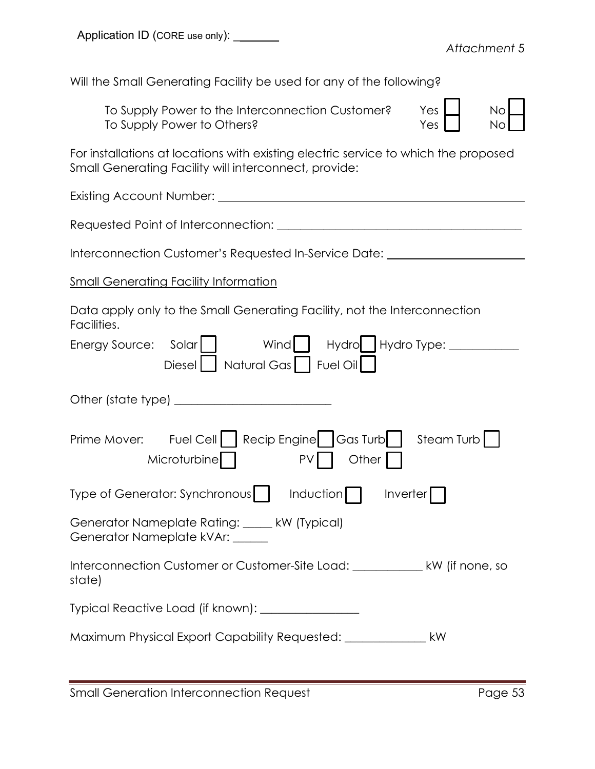Will the Small Generating Facility be used for any of the following?

To Supply Power to the Interconnection Customer? Yes To Supply Power to Others?

| No      |  |
|---------|--|
|         |  |
| No<br>ı |  |

For installations at locations with existing electric service to which the proposed Small Generating Facility will interconnect, provide:

Existing Account Number:

Requested Point of Interconnection: \_\_\_\_\_\_\_\_\_\_\_\_\_\_\_\_\_\_\_\_\_\_\_\_\_\_\_\_\_\_\_\_\_\_\_\_\_\_\_\_\_\_

Interconnection Customer's Requested In-Service Date:

**Small Generating Facility Information** 

Data apply only to the Small Generating Facility, not the Interconnection Facilities.

| Wind<br>Hydro Hydro Type:<br>Energy Source: Solar                                             |
|-----------------------------------------------------------------------------------------------|
| Natural Gas   Fuel Oil<br><b>Diesel</b>                                                       |
|                                                                                               |
| Prime Mover: Fuel Cell   Recip Engine   Gas Turb   Steam Turb  <br>Microturbine   PV<br>Other |
| Type of Generator: Synchronous     Induction     Inverter                                     |
| Generator Nameplate Rating: ____ kW (Typical)<br>Generator Nameplate kVAr: _____              |
| Interconnection Customer or Customer-Site Load: ________________ kW (if none, so<br>state)    |
| Typical Reactive Load (if known): _________________                                           |
| Maximum Physical Export Capability Requested: __________________________________<br>kW        |
|                                                                                               |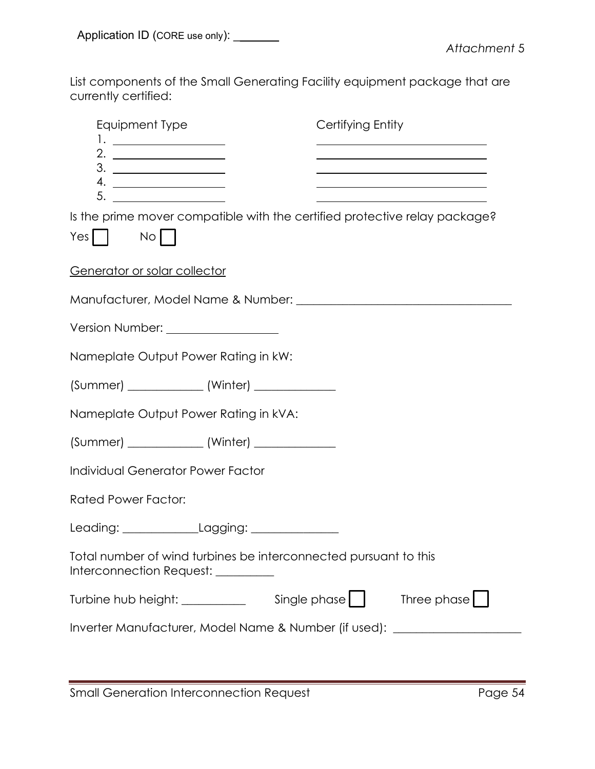List components of the Small Generating Facility equipment package that are currently certified:

| Equipment Type                                                                                         | Certifying Entity                                                                         |
|--------------------------------------------------------------------------------------------------------|-------------------------------------------------------------------------------------------|
| 1. _____________________                                                                               | the control of the control of the control of the control of the control of the control of |
|                                                                                                        | <u> 1980 - Johann Barn, amerikansk politiker (d. 1980)</u>                                |
| 5. ________________                                                                                    |                                                                                           |
| Is the prime mover compatible with the certified protective relay package?                             |                                                                                           |
| $Yes$    <br>$No$                                                                                      |                                                                                           |
| Generator or solar collector                                                                           |                                                                                           |
|                                                                                                        |                                                                                           |
| Version Number: _____________________                                                                  |                                                                                           |
| Nameplate Output Power Rating in kW:                                                                   |                                                                                           |
| (Summer) ________________ (Winter) ______________                                                      |                                                                                           |
| Nameplate Output Power Rating in kVA:                                                                  |                                                                                           |
| (Summer) ________________ (Winter) ______________                                                      |                                                                                           |
| <b>Individual Generator Power Factor</b>                                                               |                                                                                           |
| <b>Rated Power Factor:</b>                                                                             |                                                                                           |
| Leading: _______________Lagging: _______________                                                       |                                                                                           |
| Total number of wind turbines be interconnected pursuant to this<br>Interconnection Request: _________ |                                                                                           |
| Turbine hub height: __________                                                                         | Three phase<br>Single phase                                                               |
| Inverter Manufacturer, Model Name & Number (if used): __________________________                       |                                                                                           |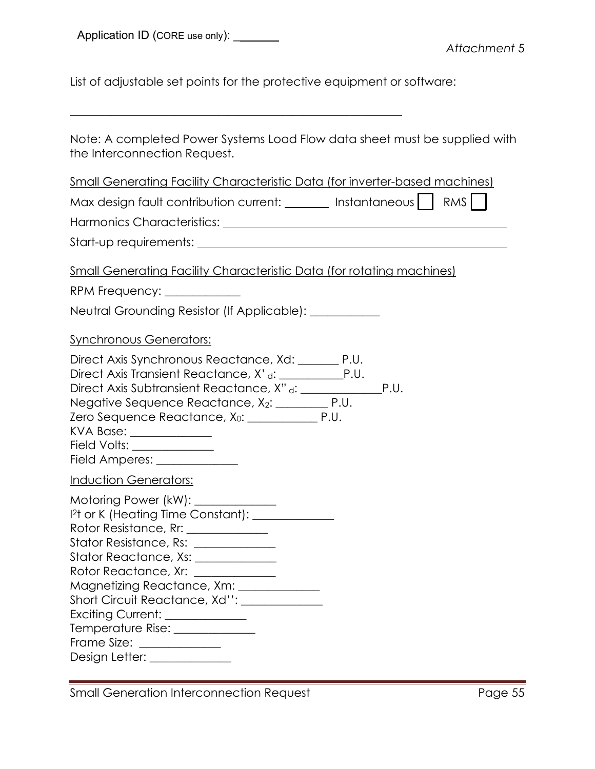List of adjustable set points for the protective equipment or software:

| Note: A completed Power Systems Load Flow data sheet must be supplied with<br>the Interconnection Request.                                                                                                                                                                                                                                                                                                                                                        |
|-------------------------------------------------------------------------------------------------------------------------------------------------------------------------------------------------------------------------------------------------------------------------------------------------------------------------------------------------------------------------------------------------------------------------------------------------------------------|
| <u>Small Generating Facility Characteristic Data (for inverter-based machines)</u>                                                                                                                                                                                                                                                                                                                                                                                |
| Max design fault contribution current: _______ Instantaneous     RMS                                                                                                                                                                                                                                                                                                                                                                                              |
|                                                                                                                                                                                                                                                                                                                                                                                                                                                                   |
|                                                                                                                                                                                                                                                                                                                                                                                                                                                                   |
| <u>Small Generating Facility Characteristic Data (for rotating machines)</u>                                                                                                                                                                                                                                                                                                                                                                                      |
| RPM Frequency: _____________                                                                                                                                                                                                                                                                                                                                                                                                                                      |
| Neutral Grounding Resistor (If Applicable): __________                                                                                                                                                                                                                                                                                                                                                                                                            |
| <b>Synchronous Generators:</b>                                                                                                                                                                                                                                                                                                                                                                                                                                    |
| Direct Axis Synchronous Reactance, Xd: _______ P.U.<br>Negative Sequence Reactance, X <sub>2</sub> : __________ P.U.<br>KVA Base: _____________<br>Field Volts: ______________<br>Field Amperes: ______________                                                                                                                                                                                                                                                   |
| <b>Induction Generators:</b>                                                                                                                                                                                                                                                                                                                                                                                                                                      |
| Motoring Power (kW): ____________<br>12t or K (Heating Time Constant): 12t or K (Heating Time Constant):<br>Rotor Resistance, Rr: _____________<br>Stator Resistance, Rs: _____________<br>Stator Reactance, Xs: _____________<br>Rotor Reactance, Xr: _____________<br>Magnetizing Reactance, Xm: _____________<br>Short Circuit Reactance, Xd'': _____________<br>Exciting Current: _____________<br>Frame Size: ______________<br>Design Letter: _____________ |

Small Generation Interconnection Request Page 55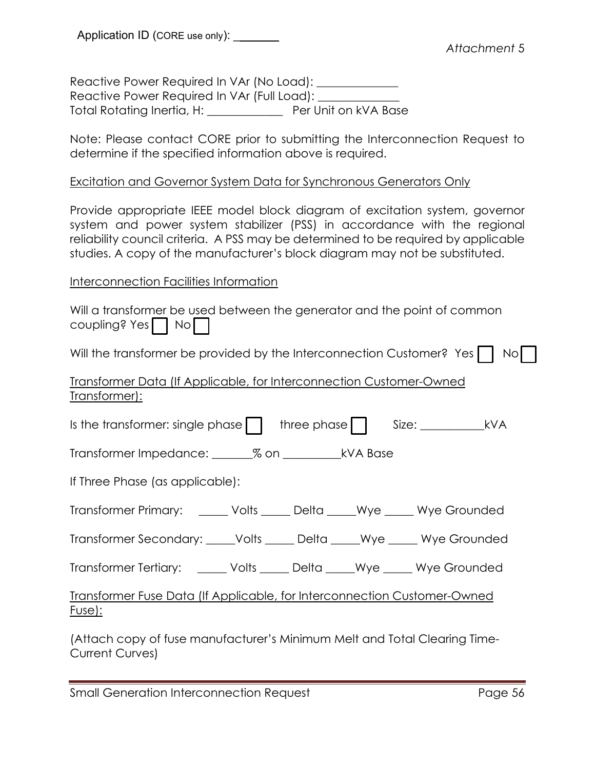Reactive Power Required In VAr (No Load): \_\_\_\_\_\_\_\_\_\_\_\_\_ Reactive Power Required In VAr (Full Load): Total Rotating Inertia, H: \_\_\_\_\_\_\_\_\_\_\_\_\_ Per Unit on kVA Base

Note: Please contact CORE prior to submitting the Interconnection Request to determine if the specified information above is required.

### Excitation and Governor System Data for Synchronous Generators Only

Provide appropriate IEEE model block diagram of excitation system, governor system and power system stabilizer (PSS) in accordance with the regional reliability council criteria. A PSS may be determined to be required by applicable studies. A copy of the manufacturer's block diagram may not be substituted.

### Interconnection Facilities Information

|                                              |  |  | Will a transformer be used between the generator and the point of common |  |
|----------------------------------------------|--|--|--------------------------------------------------------------------------|--|
| $\overline{\text{coupling}}$ ? Yes $\Box$ No |  |  |                                                                          |  |

Will the transformer be provided by the Interconnection Customer? Yes  $\Box$  No $\Box$ 

### Transformer Data (If Applicable, for Interconnection Customer-Owned Transformer):

| Is the transformer: single phase     three phase     Size: ______________________ kVA     |  |  |
|-------------------------------------------------------------------------------------------|--|--|
|                                                                                           |  |  |
| If Three Phase (as applicable):                                                           |  |  |
| Transformer Primary: ______ Volts _____ Delta _____Wye _____ Wye Grounded                 |  |  |
| Transformer Secondary: _____Volts _____ Delta _____Wye _____ Wye Grounded                 |  |  |
| Transformer Tertiary: ______ Volts _____ Delta _____Wye _____ Wye Grounded                |  |  |
| Transformer Fuse Data (If Applicable, for Interconnection Customer-Owned<br><u>Fuse):</u> |  |  |

(Attach copy of fuse manufacturer's Minimum Melt and Total Clearing Time-Current Curves)

Small Generation Interconnection Request **Page 56** Page 56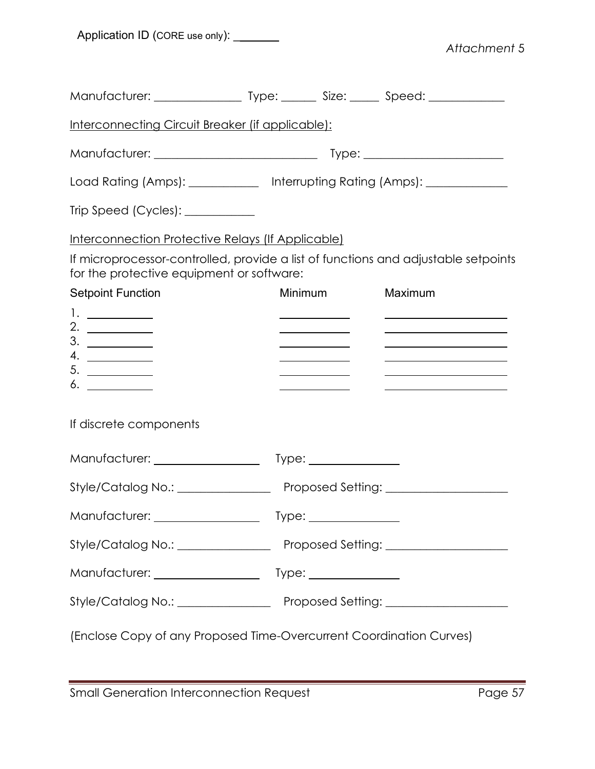Application ID (CORE use only): \_\_\_\_\_\_\_

*Attachment* 5

| Interconnecting Circuit Breaker (if applicable):                                                                                |                                                                                     |                                                                                                                                                                                                                                              |
|---------------------------------------------------------------------------------------------------------------------------------|-------------------------------------------------------------------------------------|----------------------------------------------------------------------------------------------------------------------------------------------------------------------------------------------------------------------------------------------|
|                                                                                                                                 |                                                                                     |                                                                                                                                                                                                                                              |
| Load Rating (Amps): _____________ Interrupting Rating (Amps): __________________                                                |                                                                                     |                                                                                                                                                                                                                                              |
|                                                                                                                                 |                                                                                     |                                                                                                                                                                                                                                              |
| Interconnection Protective Relays (If Applicable)                                                                               |                                                                                     |                                                                                                                                                                                                                                              |
| If microprocessor-controlled, provide a list of functions and adjustable setpoints<br>for the protective equipment or software: |                                                                                     |                                                                                                                                                                                                                                              |
| <b>Setpoint Function</b>                                                                                                        | Minimum                                                                             | Maximum                                                                                                                                                                                                                                      |
|                                                                                                                                 | <u> 1989 - Johann Barbara, martin a</u>                                             | <u> 2008 - Andrea Andrew Maria (h. 18</u>                                                                                                                                                                                                    |
| 2. $\qquad \qquad$<br>3.                                                                                                        | <u> 1989 - Johann Barbara, martxa al</u><br><u> 1980 - Johann Barbara, martin a</u> | <u> 2000 - 2000 - 2000 - 2000 - 2000 - 2000 - 2000 - 2000 - 2000 - 2000 - 2000 - 2000 - 2000 - 2000 - 2000 - 200</u><br><u> Alexandria de la contrada de la contrada de la contrada de la contrada de la contrada de la contrada de la c</u> |
| 4.                                                                                                                              | <u> 1980 - Johann Barnett, fransk politiker (</u>                                   |                                                                                                                                                                                                                                              |
| 5.<br>6.                                                                                                                        | <u> Alexandro de la conte</u>                                                       | <u> The Communication of the Communication of the Communication of the Communication of the Communication of</u>                                                                                                                             |
| If discrete components                                                                                                          |                                                                                     |                                                                                                                                                                                                                                              |
| Style/Catalog No.: ___________________ Proposed Setting: _______________________                                                |                                                                                     |                                                                                                                                                                                                                                              |
|                                                                                                                                 |                                                                                     |                                                                                                                                                                                                                                              |
|                                                                                                                                 |                                                                                     |                                                                                                                                                                                                                                              |
|                                                                                                                                 |                                                                                     |                                                                                                                                                                                                                                              |
|                                                                                                                                 |                                                                                     |                                                                                                                                                                                                                                              |
| (Enclose Copy of any Proposed Time-Overcurrent Coordination Curves)                                                             |                                                                                     |                                                                                                                                                                                                                                              |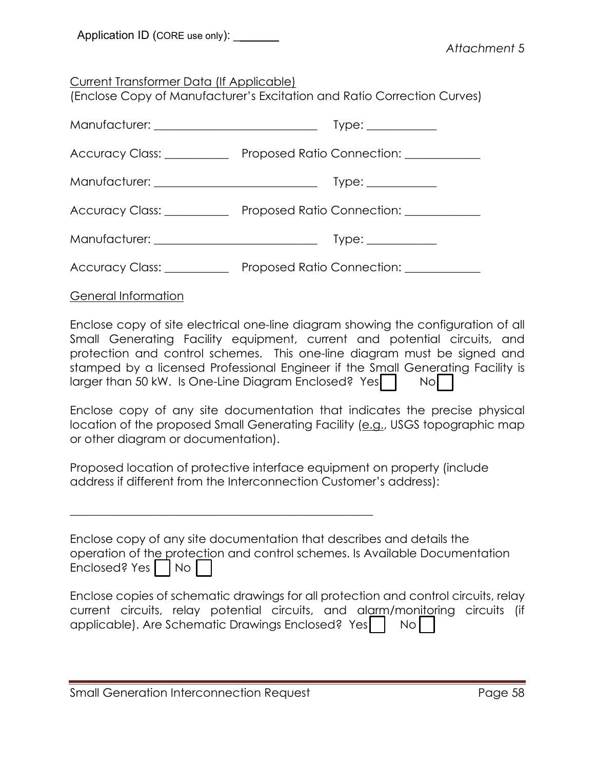| Application ID (CORE use only): |  |
|---------------------------------|--|
|---------------------------------|--|

Current Transformer Data (If Applicable)

(Enclose Copy of Manufacturer's Excitation and Ratio Correction Curves)

|                            | $Type: \_\_\_\_\_\_\_\_\_\_\_\_\_\_\_\_\_\_\_\_\_\_\_\_\_\_\_\_\_\_\_\_$          |
|----------------------------|-----------------------------------------------------------------------------------|
| Accuracy Class: __________ | Proposed Ratio Connection: 2008. 2012. 2014. 2015. [1] Proposed Ratio Connection: |
|                            | $Type: \_\_\_\_\_\_\_\_\_\_\_\_\_\_\_\_\_\_\_\_\_\_\_\_\_\_\_\_\_\_\_$            |
|                            | Accuracy Class: Proposed Ratio Connection: Cassimian Connection:                  |
|                            | Type: ____________                                                                |
| Accuracy Class: __________ | Proposed Ratio Connection: 2000                                                   |

General Information

Enclose copy of site electrical one-line diagram showing the configuration of all Small Generating Facility equipment, current and potential circuits, and protection and control schemes. This one-line diagram must be signed and stamped by a licensed Professional Engineer if the Small Generating Facility is larger than 50 kW. Is One-Line Diagram Enclosed? Yes | No

Enclose copy of any site documentation that indicates the precise physical location of the proposed Small Generating Facility (e.g., USGS topographic map or other diagram or documentation).

Proposed location of protective interface equipment on property (include address if different from the Interconnection Customer's address):

| Enclose copy of any site documentation that describes and details the       |
|-----------------------------------------------------------------------------|
| operation of the protection and control schemes. Is Available Documentation |
| Enclosed? Yes $\Box$ No $\Box$                                              |

|  |                                                      |  | Enclose copies of schematic drawings for all protection and control circuits, relay |  |
|--|------------------------------------------------------|--|-------------------------------------------------------------------------------------|--|
|  |                                                      |  | current circuits, relay potential circuits, and alarm/monitoring circuits (if       |  |
|  | applicable). Are Schematic Drawings Enclosed? Yes No |  |                                                                                     |  |

\_\_\_\_\_\_\_\_\_\_\_\_\_\_\_\_\_\_\_\_\_\_\_\_\_\_\_\_\_\_\_\_\_\_\_\_\_\_\_\_\_\_\_\_\_\_\_\_\_\_\_\_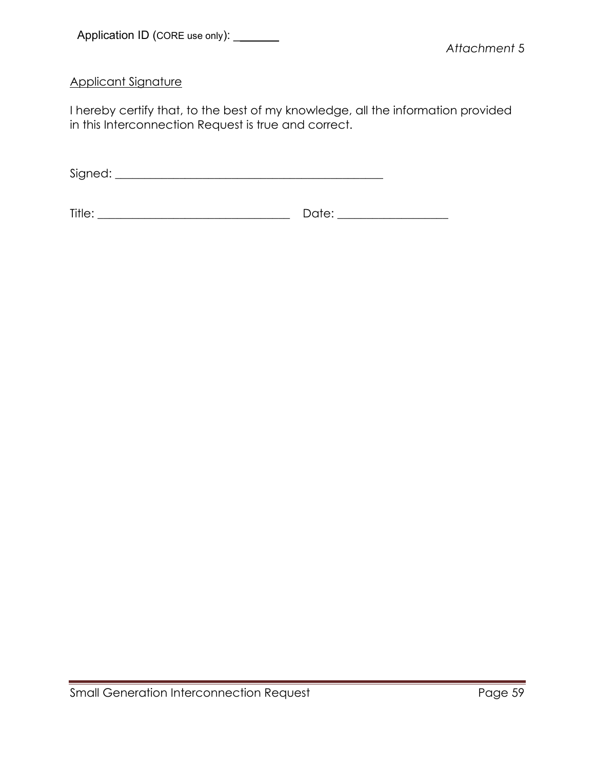Applicant Signature

I hereby certify that, to the best of my knowledge, all the information provided in this Interconnection Request is true and correct.

Signed: \_\_\_\_\_\_\_\_\_\_\_\_\_\_\_\_\_\_\_\_\_\_\_\_\_\_\_\_\_\_\_\_\_\_\_\_\_\_\_\_\_\_\_\_\_\_

Title: \_\_\_\_\_\_\_\_\_\_\_\_\_\_\_\_\_\_\_\_\_\_\_\_\_\_\_\_\_\_\_\_\_ Date: \_\_\_\_\_\_\_\_\_\_\_\_\_\_\_\_\_\_\_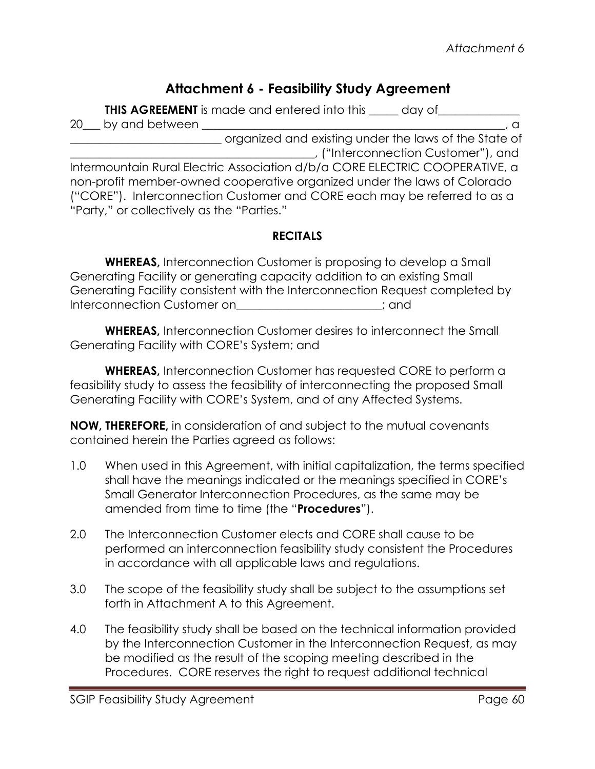# **Attachment 6 - Feasibility Study Agreement**

**THIS AGREEMENT** is made and entered into this \_\_\_\_\_ day of\_\_\_\_\_\_\_\_\_\_\_\_\_\_\_\_\_\_\_\_\_\_

20\_\_\_ by and between \_\_\_\_\_\_\_\_\_\_\_\_\_\_\_\_\_\_\_\_\_\_\_\_\_\_\_\_\_\_\_\_\_\_\_\_\_\_\_\_\_\_\_\_\_\_\_\_\_\_\_\_, a \_\_\_\_\_\_\_\_\_\_\_\_\_\_\_\_\_\_\_\_\_\_\_\_\_\_ organized and existing under the laws of the State of \_\_\_\_\_\_\_\_\_\_\_\_\_\_\_\_\_\_\_\_\_\_\_\_\_\_\_\_\_\_\_\_\_\_\_\_\_\_\_\_\_\_, ("Interconnection Customer"), and Intermountain Rural Electric Association d/b/a CORE ELECTRIC COOPERATIVE, a non-profit member-owned cooperative organized under the laws of Colorado ("CORE"). Interconnection Customer and CORE each may be referred to as a "Party," or collectively as the "Parties."

# **RECITALS**

**WHEREAS,** Interconnection Customer is proposing to develop a Small Generating Facility or generating capacity addition to an existing Small Generating Facility consistent with the Interconnection Request completed by Interconnection Customer on  $\Box$ 

**WHEREAS,** Interconnection Customer desires to interconnect the Small Generating Facility with CORE's System; and

**WHEREAS,** Interconnection Customer has requested CORE to perform a feasibility study to assess the feasibility of interconnecting the proposed Small Generating Facility with CORE's System, and of any Affected Systems.

**NOW, THEREFORE,** in consideration of and subject to the mutual covenants contained herein the Parties agreed as follows:

- 1.0 When used in this Agreement, with initial capitalization, the terms specified shall have the meanings indicated or the meanings specified in CORE's Small Generator Interconnection Procedures, as the same may be amended from time to time (the "**Procedures**").
- 2.0 The Interconnection Customer elects and CORE shall cause to be performed an interconnection feasibility study consistent the Procedures in accordance with all applicable laws and regulations.
- 3.0 The scope of the feasibility study shall be subject to the assumptions set forth in Attachment A to this Agreement.
- 4.0 The feasibility study shall be based on the technical information provided by the Interconnection Customer in the Interconnection Request, as may be modified as the result of the scoping meeting described in the Procedures. CORE reserves the right to request additional technical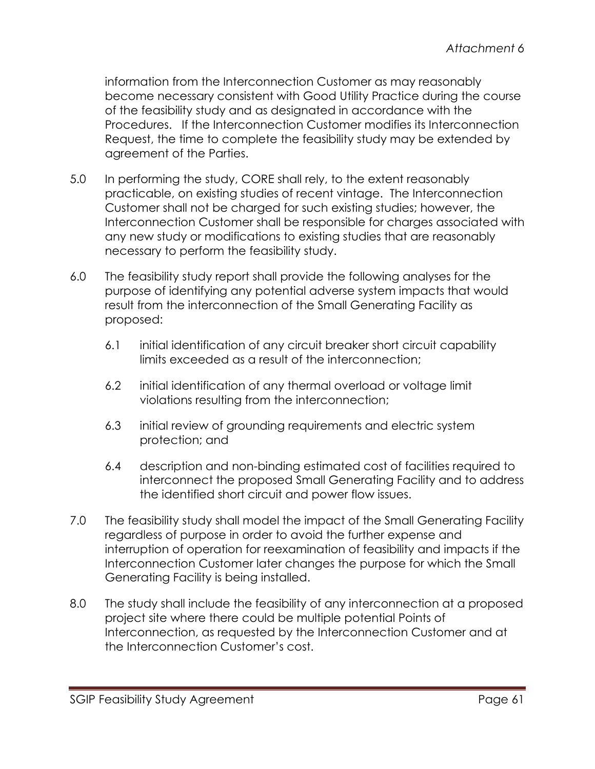information from the Interconnection Customer as may reasonably become necessary consistent with Good Utility Practice during the course of the feasibility study and as designated in accordance with the Procedures. If the Interconnection Customer modifies its Interconnection Request, the time to complete the feasibility study may be extended by agreement of the Parties.

- 5.0 In performing the study, CORE shall rely, to the extent reasonably practicable, on existing studies of recent vintage. The Interconnection Customer shall not be charged for such existing studies; however, the Interconnection Customer shall be responsible for charges associated with any new study or modifications to existing studies that are reasonably necessary to perform the feasibility study.
- 6.0 The feasibility study report shall provide the following analyses for the purpose of identifying any potential adverse system impacts that would result from the interconnection of the Small Generating Facility as proposed:
	- 6.1 initial identification of any circuit breaker short circuit capability limits exceeded as a result of the interconnection;
	- 6.2 initial identification of any thermal overload or voltage limit violations resulting from the interconnection;
	- 6.3 initial review of grounding requirements and electric system protection; and
	- 6.4 description and non-binding estimated cost of facilities required to interconnect the proposed Small Generating Facility and to address the identified short circuit and power flow issues.
- 7.0 The feasibility study shall model the impact of the Small Generating Facility regardless of purpose in order to avoid the further expense and interruption of operation for reexamination of feasibility and impacts if the Interconnection Customer later changes the purpose for which the Small Generating Facility is being installed.
- 8.0 The study shall include the feasibility of any interconnection at a proposed project site where there could be multiple potential Points of Interconnection, as requested by the Interconnection Customer and at the Interconnection Customer's cost.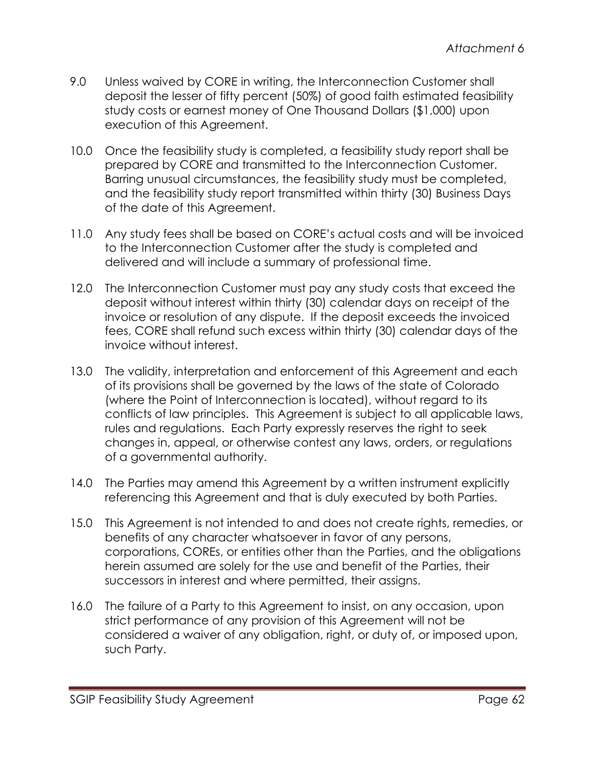- 9.0 Unless waived by CORE in writing, the Interconnection Customer shall deposit the lesser of fifty percent (50%) of good faith estimated feasibility study costs or earnest money of One Thousand Dollars (\$1,000) upon execution of this Agreement.
- 10.0 Once the feasibility study is completed, a feasibility study report shall be prepared by CORE and transmitted to the Interconnection Customer. Barring unusual circumstances, the feasibility study must be completed, and the feasibility study report transmitted within thirty (30) Business Days of the date of this Agreement.
- 11.0 Any study fees shall be based on CORE's actual costs and will be invoiced to the Interconnection Customer after the study is completed and delivered and will include a summary of professional time.
- 12.0 The Interconnection Customer must pay any study costs that exceed the deposit without interest within thirty (30) calendar days on receipt of the invoice or resolution of any dispute. If the deposit exceeds the invoiced fees, CORE shall refund such excess within thirty (30) calendar days of the invoice without interest.
- 13.0 The validity, interpretation and enforcement of this Agreement and each of its provisions shall be governed by the laws of the state of Colorado (where the Point of Interconnection is located), without regard to its conflicts of law principles. This Agreement is subject to all applicable laws, rules and regulations. Each Party expressly reserves the right to seek changes in, appeal, or otherwise contest any laws, orders, or regulations of a governmental authority.
- 14.0 The Parties may amend this Agreement by a written instrument explicitly referencing this Agreement and that is duly executed by both Parties.
- 15.0 This Agreement is not intended to and does not create rights, remedies, or benefits of any character whatsoever in favor of any persons, corporations, COREs, or entities other than the Parties, and the obligations herein assumed are solely for the use and benefit of the Parties, their successors in interest and where permitted, their assigns.
- 16.0 The failure of a Party to this Agreement to insist, on any occasion, upon strict performance of any provision of this Agreement will not be considered a waiver of any obligation, right, or duty of, or imposed upon, such Party.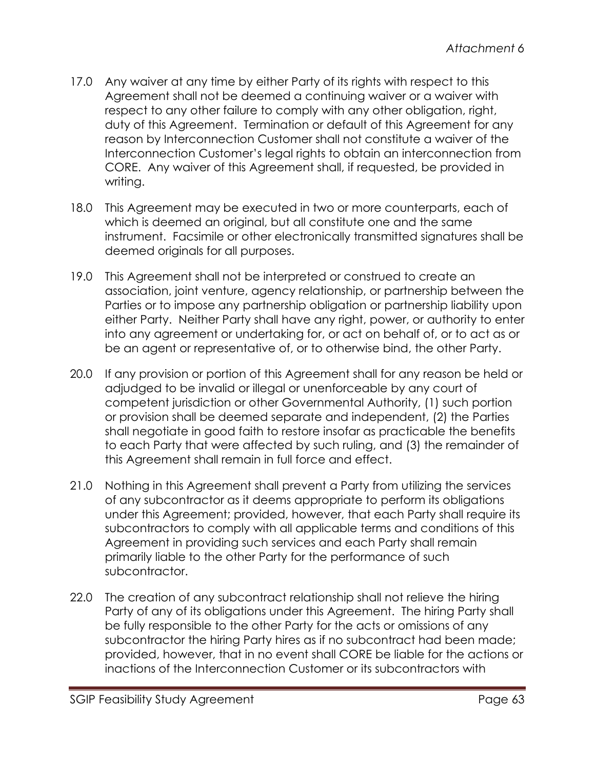- 17.0 Any waiver at any time by either Party of its rights with respect to this Agreement shall not be deemed a continuing waiver or a waiver with respect to any other failure to comply with any other obligation, right, duty of this Agreement. Termination or default of this Agreement for any reason by Interconnection Customer shall not constitute a waiver of the Interconnection Customer's legal rights to obtain an interconnection from CORE. Any waiver of this Agreement shall, if requested, be provided in writing.
- 18.0 This Agreement may be executed in two or more counterparts, each of which is deemed an original, but all constitute one and the same instrument. Facsimile or other electronically transmitted signatures shall be deemed originals for all purposes.
- 19.0 This Agreement shall not be interpreted or construed to create an association, joint venture, agency relationship, or partnership between the Parties or to impose any partnership obligation or partnership liability upon either Party. Neither Party shall have any right, power, or authority to enter into any agreement or undertaking for, or act on behalf of, or to act as or be an agent or representative of, or to otherwise bind, the other Party.
- 20.0 If any provision or portion of this Agreement shall for any reason be held or adjudged to be invalid or illegal or unenforceable by any court of competent jurisdiction or other Governmental Authority, (1) such portion or provision shall be deemed separate and independent, (2) the Parties shall negotiate in good faith to restore insofar as practicable the benefits to each Party that were affected by such ruling, and (3) the remainder of this Agreement shall remain in full force and effect.
- 21.0 Nothing in this Agreement shall prevent a Party from utilizing the services of any subcontractor as it deems appropriate to perform its obligations under this Agreement; provided, however, that each Party shall require its subcontractors to comply with all applicable terms and conditions of this Agreement in providing such services and each Party shall remain primarily liable to the other Party for the performance of such subcontractor.
- 22.0 The creation of any subcontract relationship shall not relieve the hiring Party of any of its obligations under this Agreement. The hiring Party shall be fully responsible to the other Party for the acts or omissions of any subcontractor the hiring Party hires as if no subcontract had been made; provided, however, that in no event shall CORE be liable for the actions or inactions of the Interconnection Customer or its subcontractors with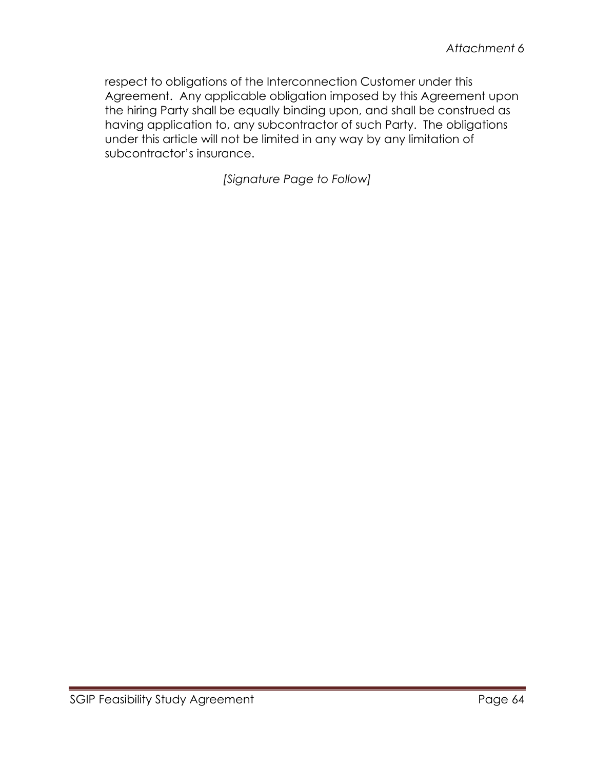respect to obligations of the Interconnection Customer under this Agreement. Any applicable obligation imposed by this Agreement upon the hiring Party shall be equally binding upon, and shall be construed as having application to, any subcontractor of such Party. The obligations under this article will not be limited in any way by any limitation of subcontractor's insurance.

*[Signature Page to Follow]*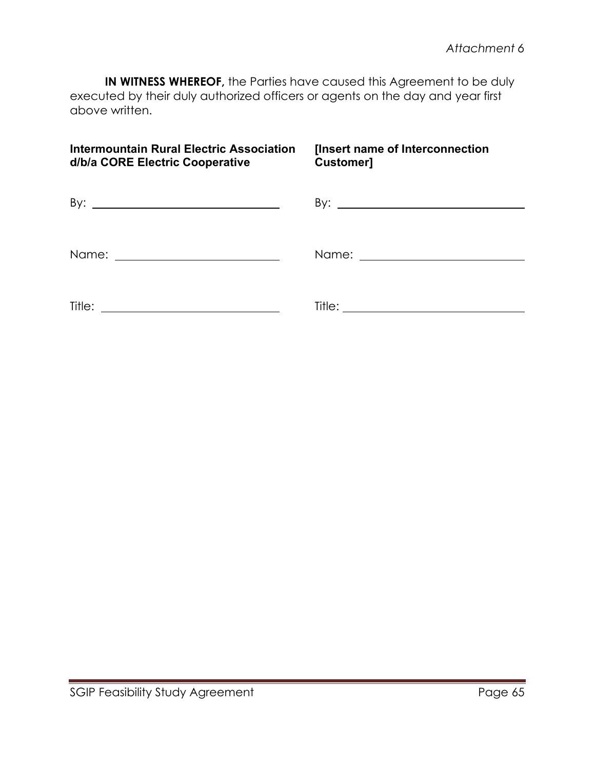**IN WITNESS WHEREOF,** the Parties have caused this Agreement to be duly executed by their duly authorized officers or agents on the day and year first above written.

| <b>Intermountain Rural Electric Association</b><br>d/b/a CORE Electric Cooperative | [Insert name of Interconnection<br><b>Customer]</b> |
|------------------------------------------------------------------------------------|-----------------------------------------------------|
|                                                                                    |                                                     |
|                                                                                    |                                                     |
| Title:<br><u> 1989 - Johann Barn, fransk politik (f. 1989)</u>                     |                                                     |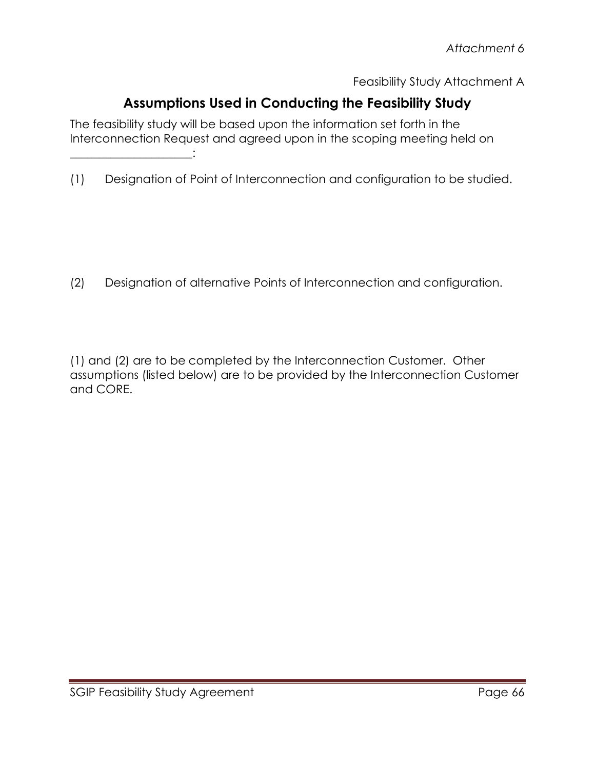Feasibility Study Attachment A

# **Assumptions Used in Conducting the Feasibility Study**

The feasibility study will be based upon the information set forth in the Interconnection Request and agreed upon in the scoping meeting held on

(1) Designation of Point of Interconnection and configuration to be studied.

(2) Designation of alternative Points of Interconnection and configuration.

(1) and (2) are to be completed by the Interconnection Customer. Other assumptions (listed below) are to be provided by the Interconnection Customer and CORE.

\_\_\_\_\_\_\_\_\_\_\_\_\_\_\_\_\_\_\_\_\_: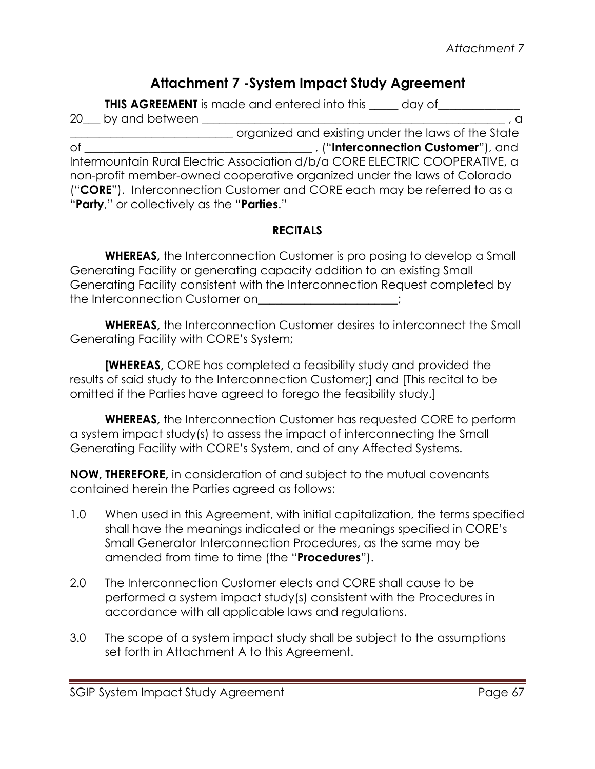# **Attachment 7 -System Impact Study Agreement**

**THIS AGREEMENT** is made and entered into this \_\_\_\_\_ day of\_\_\_\_\_\_\_\_\_\_\_\_\_\_\_\_\_\_\_\_\_\_  $20\,\_\,$  by and between  $\_\_$ \_\_\_\_\_\_\_\_\_\_\_\_\_\_\_\_\_\_\_\_\_\_\_\_\_\_\_\_ organized and existing under the laws of the State of \_\_\_\_\_\_\_\_\_\_\_\_\_\_\_\_\_\_\_\_\_\_\_\_\_\_\_\_\_\_\_\_\_\_\_\_\_\_\_ , ("**Interconnection Customer**"), and Intermountain Rural Electric Association d/b/a CORE ELECTRIC COOPERATIVE, a non-profit member-owned cooperative organized under the laws of Colorado ("**CORE**"). Interconnection Customer and CORE each may be referred to as a "**Party**," or collectively as the "**Parties**."

### **RECITALS**

**WHEREAS,** the Interconnection Customer is pro posing to develop a Small Generating Facility or generating capacity addition to an existing Small Generating Facility consistent with the Interconnection Request completed by the Interconnection Customer on  $\hspace{1cm}$  ;

**WHEREAS,** the Interconnection Customer desires to interconnect the Small Generating Facility with CORE's System;

**[WHEREAS,** CORE has completed a feasibility study and provided the results of said study to the Interconnection Customer;] and [This recital to be omitted if the Parties have agreed to forego the feasibility study.]

**WHEREAS,** the Interconnection Customer has requested CORE to perform a system impact study(s) to assess the impact of interconnecting the Small Generating Facility with CORE's System, and of any Affected Systems.

**NOW, THEREFORE,** in consideration of and subject to the mutual covenants contained herein the Parties agreed as follows:

- 1.0 When used in this Agreement, with initial capitalization, the terms specified shall have the meanings indicated or the meanings specified in CORE's Small Generator Interconnection Procedures, as the same may be amended from time to time (the "**Procedures**").
- 2.0 The Interconnection Customer elects and CORE shall cause to be performed a system impact study(s) consistent with the Procedures in accordance with all applicable laws and regulations.
- 3.0 The scope of a system impact study shall be subject to the assumptions set forth in Attachment A to this Agreement.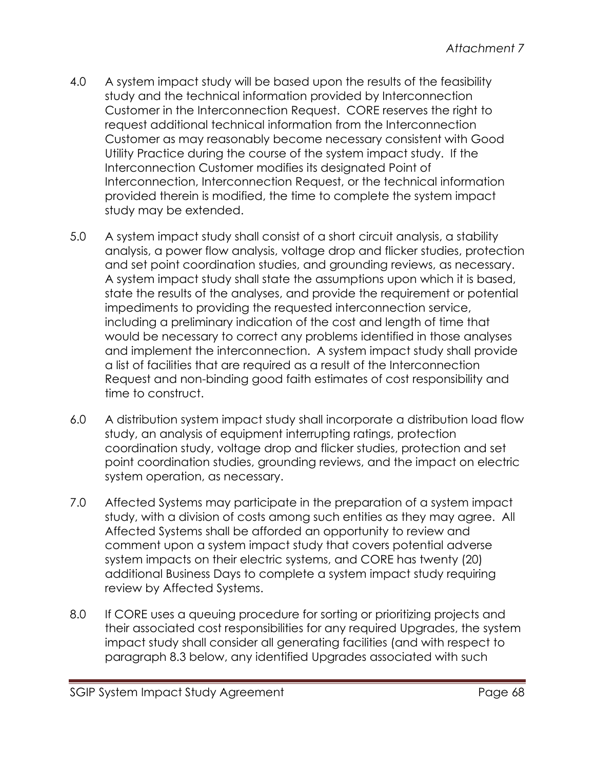- 4.0 A system impact study will be based upon the results of the feasibility study and the technical information provided by Interconnection Customer in the Interconnection Request. CORE reserves the right to request additional technical information from the Interconnection Customer as may reasonably become necessary consistent with Good Utility Practice during the course of the system impact study. If the Interconnection Customer modifies its designated Point of Interconnection, Interconnection Request, or the technical information provided therein is modified, the time to complete the system impact study may be extended.
- 5.0 A system impact study shall consist of a short circuit analysis, a stability analysis, a power flow analysis, voltage drop and flicker studies, protection and set point coordination studies, and grounding reviews, as necessary. A system impact study shall state the assumptions upon which it is based, state the results of the analyses, and provide the requirement or potential impediments to providing the requested interconnection service, including a preliminary indication of the cost and length of time that would be necessary to correct any problems identified in those analyses and implement the interconnection. A system impact study shall provide a list of facilities that are required as a result of the Interconnection Request and non-binding good faith estimates of cost responsibility and time to construct.
- 6.0 A distribution system impact study shall incorporate a distribution load flow study, an analysis of equipment interrupting ratings, protection coordination study, voltage drop and flicker studies, protection and set point coordination studies, grounding reviews, and the impact on electric system operation, as necessary.
- 7.0 Affected Systems may participate in the preparation of a system impact study, with a division of costs among such entities as they may agree. All Affected Systems shall be afforded an opportunity to review and comment upon a system impact study that covers potential adverse system impacts on their electric systems, and CORE has twenty (20) additional Business Days to complete a system impact study requiring review by Affected Systems.
- 8.0 If CORE uses a queuing procedure for sorting or prioritizing projects and their associated cost responsibilities for any required Upgrades, the system impact study shall consider all generating facilities (and with respect to paragraph 8.3 below, any identified Upgrades associated with such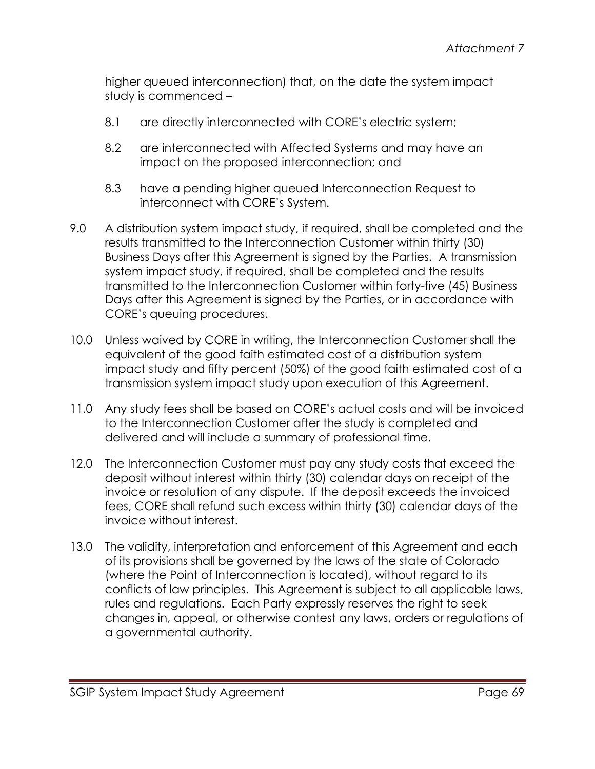higher queued interconnection) that, on the date the system impact study is commenced –

- 8.1 are directly interconnected with CORE's electric system;
- 8.2 are interconnected with Affected Systems and may have an impact on the proposed interconnection; and
- 8.3 have a pending higher queued Interconnection Request to interconnect with CORE's System.
- 9.0 A distribution system impact study, if required, shall be completed and the results transmitted to the Interconnection Customer within thirty (30) Business Days after this Agreement is signed by the Parties. A transmission system impact study, if required, shall be completed and the results transmitted to the Interconnection Customer within forty-five (45) Business Days after this Agreement is signed by the Parties, or in accordance with CORE's queuing procedures.
- 10.0 Unless waived by CORE in writing, the Interconnection Customer shall the equivalent of the good faith estimated cost of a distribution system impact study and fifty percent (50%) of the good faith estimated cost of a transmission system impact study upon execution of this Agreement.
- 11.0 Any study fees shall be based on CORE's actual costs and will be invoiced to the Interconnection Customer after the study is completed and delivered and will include a summary of professional time.
- 12.0 The Interconnection Customer must pay any study costs that exceed the deposit without interest within thirty (30) calendar days on receipt of the invoice or resolution of any dispute. If the deposit exceeds the invoiced fees, CORE shall refund such excess within thirty (30) calendar days of the invoice without interest.
- 13.0 The validity, interpretation and enforcement of this Agreement and each of its provisions shall be governed by the laws of the state of Colorado (where the Point of Interconnection is located), without regard to its conflicts of law principles. This Agreement is subject to all applicable laws, rules and regulations. Each Party expressly reserves the right to seek changes in, appeal, or otherwise contest any laws, orders or regulations of a governmental authority.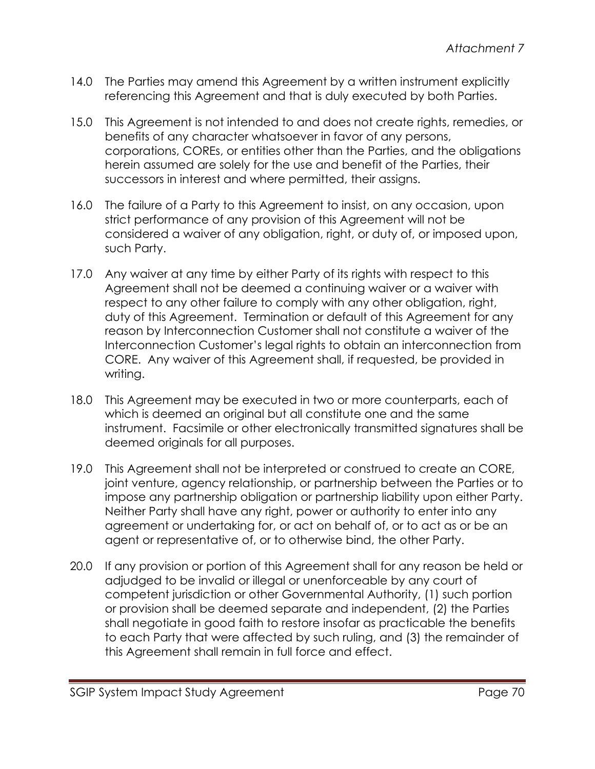- 14.0 The Parties may amend this Agreement by a written instrument explicitly referencing this Agreement and that is duly executed by both Parties.
- 15.0 This Agreement is not intended to and does not create rights, remedies, or benefits of any character whatsoever in favor of any persons, corporations, COREs, or entities other than the Parties, and the obligations herein assumed are solely for the use and benefit of the Parties, their successors in interest and where permitted, their assigns.
- 16.0 The failure of a Party to this Agreement to insist, on any occasion, upon strict performance of any provision of this Agreement will not be considered a waiver of any obligation, right, or duty of, or imposed upon, such Party.
- 17.0 Any waiver at any time by either Party of its rights with respect to this Agreement shall not be deemed a continuing waiver or a waiver with respect to any other failure to comply with any other obligation, right, duty of this Agreement. Termination or default of this Agreement for any reason by Interconnection Customer shall not constitute a waiver of the Interconnection Customer's legal rights to obtain an interconnection from CORE. Any waiver of this Agreement shall, if requested, be provided in writing.
- 18.0 This Agreement may be executed in two or more counterparts, each of which is deemed an original but all constitute one and the same instrument. Facsimile or other electronically transmitted signatures shall be deemed originals for all purposes.
- 19.0 This Agreement shall not be interpreted or construed to create an CORE, joint venture, agency relationship, or partnership between the Parties or to impose any partnership obligation or partnership liability upon either Party. Neither Party shall have any right, power or authority to enter into any agreement or undertaking for, or act on behalf of, or to act as or be an agent or representative of, or to otherwise bind, the other Party.
- 20.0 If any provision or portion of this Agreement shall for any reason be held or adjudged to be invalid or illegal or unenforceable by any court of competent jurisdiction or other Governmental Authority, (1) such portion or provision shall be deemed separate and independent, (2) the Parties shall negotiate in good faith to restore insofar as practicable the benefits to each Party that were affected by such ruling, and (3) the remainder of this Agreement shall remain in full force and effect.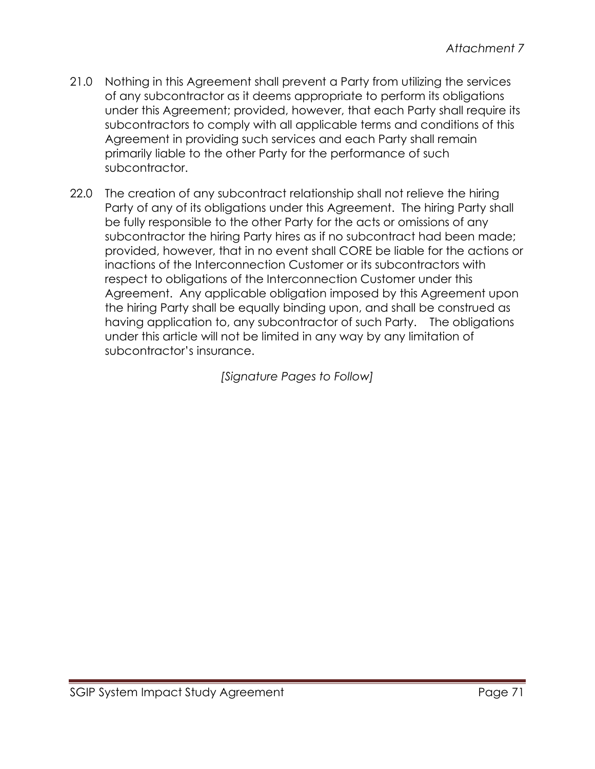- 21.0 Nothing in this Agreement shall prevent a Party from utilizing the services of any subcontractor as it deems appropriate to perform its obligations under this Agreement; provided, however, that each Party shall require its subcontractors to comply with all applicable terms and conditions of this Agreement in providing such services and each Party shall remain primarily liable to the other Party for the performance of such subcontractor.
- 22.0 The creation of any subcontract relationship shall not relieve the hiring Party of any of its obligations under this Agreement. The hiring Party shall be fully responsible to the other Party for the acts or omissions of any subcontractor the hiring Party hires as if no subcontract had been made; provided, however, that in no event shall CORE be liable for the actions or inactions of the Interconnection Customer or its subcontractors with respect to obligations of the Interconnection Customer under this Agreement. Any applicable obligation imposed by this Agreement upon the hiring Party shall be equally binding upon, and shall be construed as having application to, any subcontractor of such Party. The obligations under this article will not be limited in any way by any limitation of subcontractor's insurance.

*[Signature Pages to Follow]*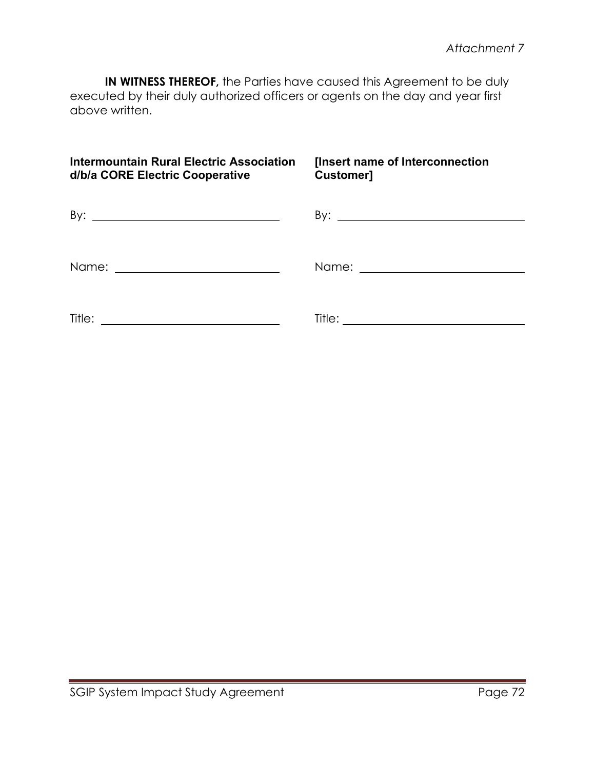**IN WITNESS THEREOF,** the Parties have caused this Agreement to be duly executed by their duly authorized officers or agents on the day and year first above written.

| <b>Intermountain Rural Electric Association</b><br>d/b/a CORE Electric Cooperative | <b>[Insert name of Interconnection</b><br>Customer] |
|------------------------------------------------------------------------------------|-----------------------------------------------------|
|                                                                                    |                                                     |
|                                                                                    |                                                     |
|                                                                                    |                                                     |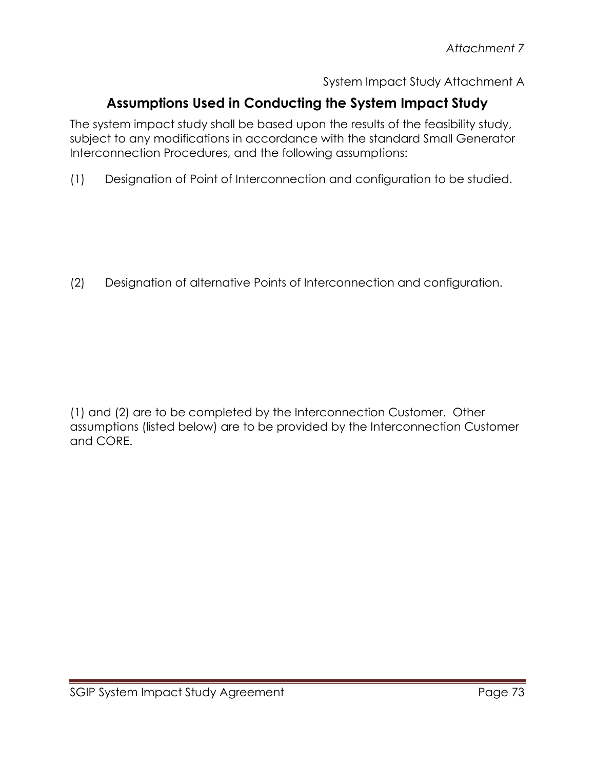System Impact Study Attachment A

# **Assumptions Used in Conducting the System Impact Study**

The system impact study shall be based upon the results of the feasibility study, subject to any modifications in accordance with the standard Small Generator Interconnection Procedures, and the following assumptions:

(1) Designation of Point of Interconnection and configuration to be studied.

(2) Designation of alternative Points of Interconnection and configuration.

(1) and (2) are to be completed by the Interconnection Customer. Other assumptions (listed below) are to be provided by the Interconnection Customer and CORE.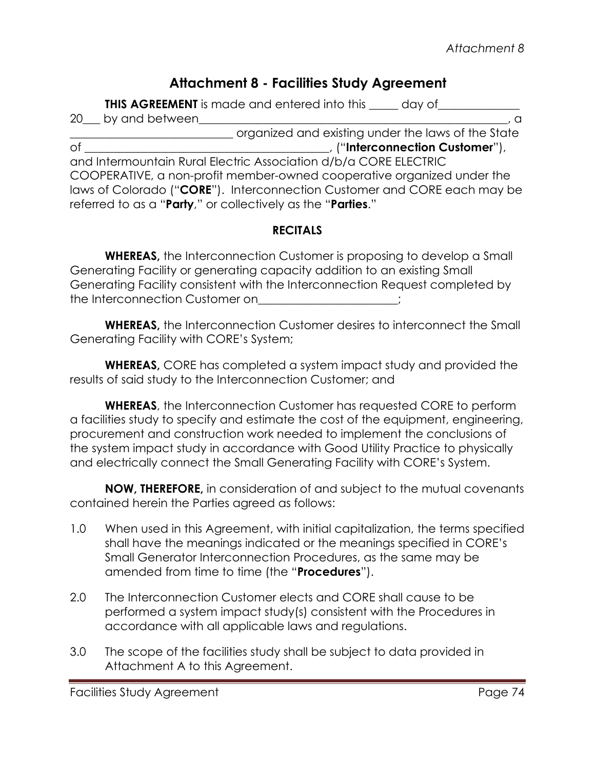## **Attachment 8 - Facilities Study Agreement**

**THIS AGREEMENT** is made and entered into this \_\_\_\_\_ day of\_\_\_\_\_\_\_\_\_\_\_\_\_\_\_\_\_\_\_\_\_\_ 20 by and between \_\_\_\_\_\_\_\_\_\_\_\_\_\_\_\_\_\_\_\_\_\_\_\_\_\_\_\_ organized and existing under the laws of the State of \_\_\_\_\_\_\_\_\_\_\_\_\_\_\_\_\_\_\_\_\_\_\_\_\_\_\_\_\_\_\_\_\_\_\_\_\_\_\_\_\_\_, ("**Interconnection Customer**"), and Intermountain Rural Electric Association d/b/a CORE ELECTRIC COOPERATIVE, a non-profit member-owned cooperative organized under the laws of Colorado ("**CORE**"). Interconnection Customer and CORE each may be referred to as a "**Party**," or collectively as the "**Parties**."

### **RECITALS**

**WHEREAS,** the Interconnection Customer is proposing to develop a Small Generating Facility or generating capacity addition to an existing Small Generating Facility consistent with the Interconnection Request completed by the Interconnection Customer on  $\hspace{1cm}$  ;

**WHEREAS,** the Interconnection Customer desires to interconnect the Small Generating Facility with CORE's System;

**WHEREAS,** CORE has completed a system impact study and provided the results of said study to the Interconnection Customer; and

**WHEREAS**, the Interconnection Customer has requested CORE to perform a facilities study to specify and estimate the cost of the equipment, engineering, procurement and construction work needed to implement the conclusions of the system impact study in accordance with Good Utility Practice to physically and electrically connect the Small Generating Facility with CORE's System.

**NOW, THEREFORE,** in consideration of and subject to the mutual covenants contained herein the Parties agreed as follows:

- 1.0 When used in this Agreement, with initial capitalization, the terms specified shall have the meanings indicated or the meanings specified in CORE's Small Generator Interconnection Procedures, as the same may be amended from time to time (the "**Procedures**").
- 2.0 The Interconnection Customer elects and CORE shall cause to be performed a system impact study(s) consistent with the Procedures in accordance with all applicable laws and regulations.
- 3.0 The scope of the facilities study shall be subject to data provided in Attachment A to this Agreement.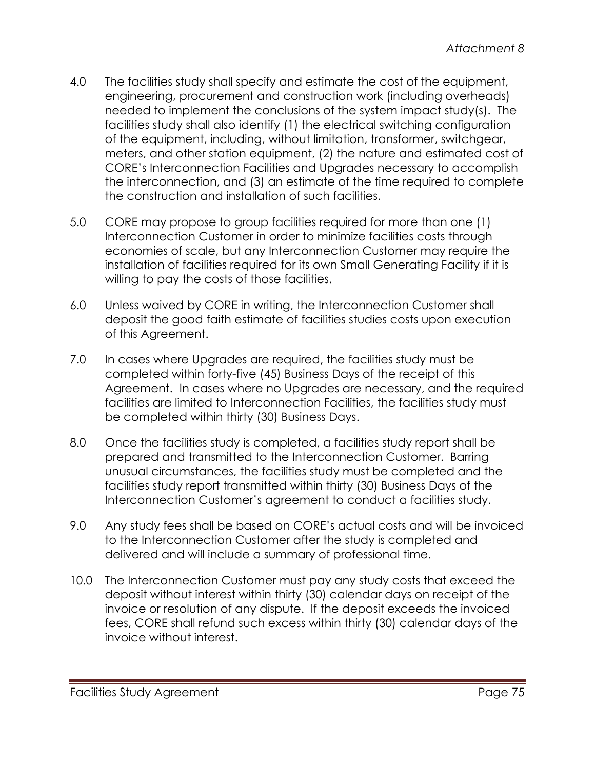- 4.0 The facilities study shall specify and estimate the cost of the equipment, engineering, procurement and construction work (including overheads) needed to implement the conclusions of the system impact study(s). The facilities study shall also identify (1) the electrical switching configuration of the equipment, including, without limitation, transformer, switchgear, meters, and other station equipment, (2) the nature and estimated cost of CORE's Interconnection Facilities and Upgrades necessary to accomplish the interconnection, and (3) an estimate of the time required to complete the construction and installation of such facilities.
- 5.0 CORE may propose to group facilities required for more than one (1) Interconnection Customer in order to minimize facilities costs through economies of scale, but any Interconnection Customer may require the installation of facilities required for its own Small Generating Facility if it is willing to pay the costs of those facilities.
- 6.0 Unless waived by CORE in writing, the Interconnection Customer shall deposit the good faith estimate of facilities studies costs upon execution of this Agreement.
- 7.0 In cases where Upgrades are required, the facilities study must be completed within forty-five (45) Business Days of the receipt of this Agreement. In cases where no Upgrades are necessary, and the required facilities are limited to Interconnection Facilities, the facilities study must be completed within thirty (30) Business Days.
- 8.0 Once the facilities study is completed, a facilities study report shall be prepared and transmitted to the Interconnection Customer. Barring unusual circumstances, the facilities study must be completed and the facilities study report transmitted within thirty (30) Business Days of the Interconnection Customer's agreement to conduct a facilities study.
- 9.0 Any study fees shall be based on CORE's actual costs and will be invoiced to the Interconnection Customer after the study is completed and delivered and will include a summary of professional time.
- 10.0 The Interconnection Customer must pay any study costs that exceed the deposit without interest within thirty (30) calendar days on receipt of the invoice or resolution of any dispute. If the deposit exceeds the invoiced fees, CORE shall refund such excess within thirty (30) calendar days of the invoice without interest.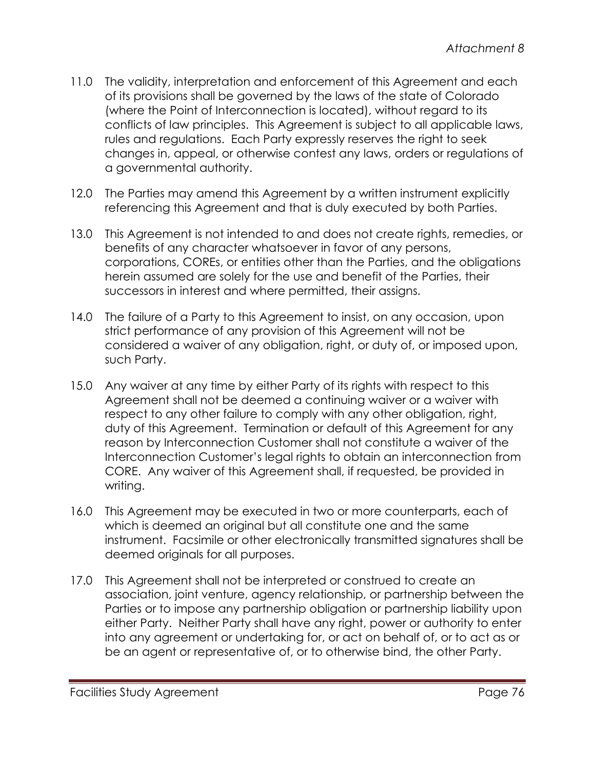- 11.0 The validity, interpretation and enforcement of this Agreement and each of its provisions shall be governed by the laws of the state of Colorado (where the Point of Interconnection is located), without regard to its conflicts of law principles. This Agreement is subject to all applicable laws, rules and regulations. Each Party expressly reserves the right to seek changes in, appeal, or otherwise contest any laws, orders or regulations of a governmental authority.
- 12.0 The Parties may amend this Agreement by a written instrument explicitly referencing this Agreement and that is duly executed by both Parties.
- 13.0 This Agreement is not intended to and does not create rights, remedies, or benefits of any character whatsoever in favor of any persons, corporations, COREs, or entities other than the Parties, and the obligations herein assumed are solely for the use and benefit of the Parties, their successors in interest and where permitted, their assigns.
- 14.0 The failure of a Party to this Agreement to insist, on any occasion, upon strict performance of any provision of this Agreement will not be considered a waiver of any obligation, right, or duty of, or imposed upon, such Party.
- 15.0 Any waiver at any time by either Party of its rights with respect to this Agreement shall not be deemed a continuing waiver or a waiver with respect to any other failure to comply with any other obligation, right, duty of this Agreement. Termination or default of this Agreement for any reason by Interconnection Customer shall not constitute a waiver of the Interconnection Customer's legal rights to obtain an interconnection from CORE. Any waiver of this Agreement shall, if requested, be provided in writing.
- 16.0 This Agreement may be executed in two or more counterparts, each of which is deemed an original but all constitute one and the same instrument. Facsimile or other electronically transmitted signatures shall be deemed originals for all purposes.
- 17.0 This Agreement shall not be interpreted or construed to create an association, joint venture, agency relationship, or partnership between the Parties or to impose any partnership obligation or partnership liability upon either Party. Neither Party shall have any right, power or authority to enter into any agreement or undertaking for, or act on behalf of, or to act as or be an agent or representative of, or to otherwise bind, the other Party.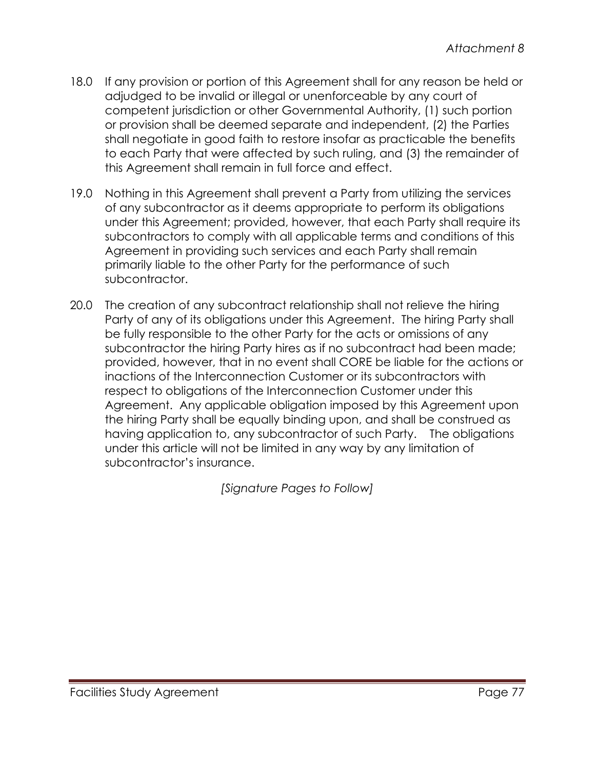- 18.0 If any provision or portion of this Agreement shall for any reason be held or adjudged to be invalid or illegal or unenforceable by any court of competent jurisdiction or other Governmental Authority, (1) such portion or provision shall be deemed separate and independent, (2) the Parties shall negotiate in good faith to restore insofar as practicable the benefits to each Party that were affected by such ruling, and (3) the remainder of this Agreement shall remain in full force and effect.
- 19.0 Nothing in this Agreement shall prevent a Party from utilizing the services of any subcontractor as it deems appropriate to perform its obligations under this Agreement; provided, however, that each Party shall require its subcontractors to comply with all applicable terms and conditions of this Agreement in providing such services and each Party shall remain primarily liable to the other Party for the performance of such subcontractor.
- 20.0 The creation of any subcontract relationship shall not relieve the hiring Party of any of its obligations under this Agreement. The hiring Party shall be fully responsible to the other Party for the acts or omissions of any subcontractor the hiring Party hires as if no subcontract had been made; provided, however, that in no event shall CORE be liable for the actions or inactions of the Interconnection Customer or its subcontractors with respect to obligations of the Interconnection Customer under this Agreement. Any applicable obligation imposed by this Agreement upon the hiring Party shall be equally binding upon, and shall be construed as having application to, any subcontractor of such Party. The obligations under this article will not be limited in any way by any limitation of subcontractor's insurance.

*[Signature Pages to Follow]*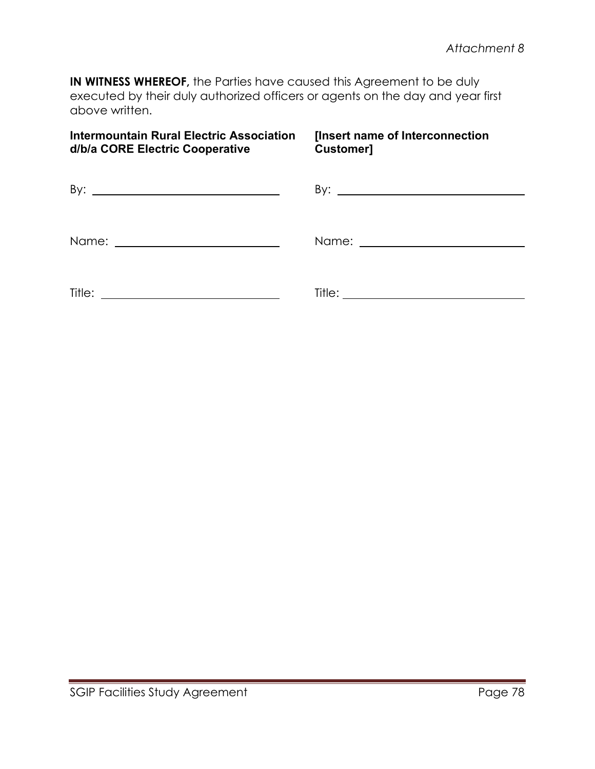**IN WITNESS WHEREOF,** the Parties have caused this Agreement to be duly executed by their duly authorized officers or agents on the day and year first above written.

### **Intermountain Rural Electric Association [Insert name of Interconnection d/b/a CORE Electric Cooperative**

| By:<br><u> 1989 - Johann Barbara, martin amerikan basar da</u> |  |
|----------------------------------------------------------------|--|
|                                                                |  |
| Title:                                                         |  |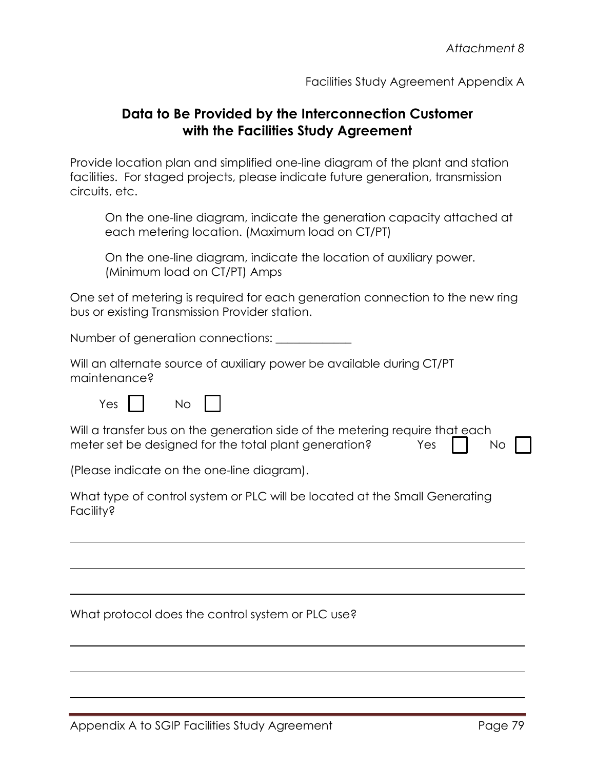Facilities Study Agreement Appendix A

## **Data to Be Provided by the Interconnection Customer with the Facilities Study Agreement**

Provide location plan and simplified one-line diagram of the plant and station facilities. For staged projects, please indicate future generation, transmission circuits, etc.

On the one-line diagram, indicate the generation capacity attached at each metering location. (Maximum load on CT/PT)

On the one-line diagram, indicate the location of auxiliary power. (Minimum load on CT/PT) Amps

One set of metering is required for each generation connection to the new ring bus or existing Transmission Provider station.

Number of generation connections:

Will an alternate source of auxiliary power be available during CT/PT maintenance?

 $Yes$   $\vert$   $\vert$   $No$   $\vert$   $\vert$ 

Will a transfer bus on the generation side of the metering require that each meter set be designed for the total plant generation?  $Y$ es  $\parallel$  No

(Please indicate on the one-line diagram).

What type of control system or PLC will be located at the Small Generating Facility?

What protocol does the control system or PLC use?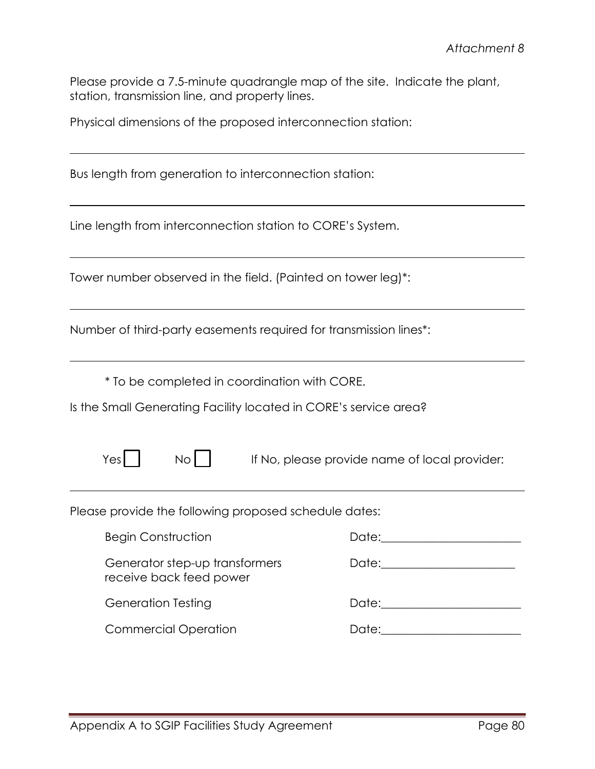Please provide a 7.5-minute quadrangle map of the site. Indicate the plant, station, transmission line, and property lines.

Physical dimensions of the proposed interconnection station:

Bus length from generation to interconnection station:

Line length from interconnection station to CORE's System.

Tower number observed in the field. (Painted on tower leg)\*:

| Number of third-party easements required for transmission lines*: |  |  |
|-------------------------------------------------------------------|--|--|
|                                                                   |  |  |

\* To be completed in coordination with CORE.

Is the Small Generating Facility located in CORE's service area?

 $N<sub>o</sub>$  If No, please provide name of local provider:

Please provide the following proposed schedule dates:

| <b>Begin Construction</b>                                 | Date: Date:                                                                                                                                                                                                                    |
|-----------------------------------------------------------|--------------------------------------------------------------------------------------------------------------------------------------------------------------------------------------------------------------------------------|
| Generator step-up transformers<br>receive back feed power | Date: ____________________                                                                                                                                                                                                     |
| <b>Generation Testing</b>                                 | Date: the contract of the contract of the contract of the contract of the contract of the contract of the contract of the contract of the contract of the contract of the contract of the contract of the contract of the cont |
| <b>Commercial Operation</b>                               | Date:                                                                                                                                                                                                                          |